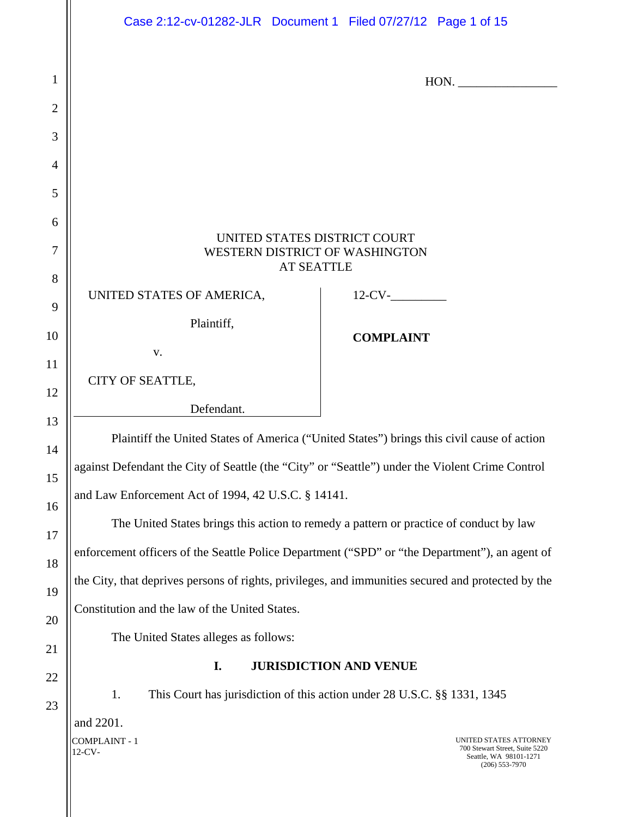|                | Case 2:12-cv-01282-JLR  Document 1  Filed 07/27/12  Page 1 of 15                                   |  |  |                                      |  |                                                                                                        |
|----------------|----------------------------------------------------------------------------------------------------|--|--|--------------------------------------|--|--------------------------------------------------------------------------------------------------------|
| $\mathbf{1}$   |                                                                                                    |  |  |                                      |  | HON.                                                                                                   |
| $\overline{2}$ |                                                                                                    |  |  |                                      |  |                                                                                                        |
| 3              |                                                                                                    |  |  |                                      |  |                                                                                                        |
| $\overline{4}$ |                                                                                                    |  |  |                                      |  |                                                                                                        |
| 5              |                                                                                                    |  |  |                                      |  |                                                                                                        |
| 6              |                                                                                                    |  |  |                                      |  |                                                                                                        |
| 7              | UNITED STATES DISTRICT COURT<br>WESTERN DISTRICT OF WASHINGTON<br><b>AT SEATTLE</b>                |  |  |                                      |  |                                                                                                        |
| 8              | UNITED STATES OF AMERICA,                                                                          |  |  | $12$ -CV- $\_\_\_\_\_\_\_\_\_\_\_\_$ |  |                                                                                                        |
| 9<br>10        | Plaintiff,                                                                                         |  |  |                                      |  |                                                                                                        |
|                | V.                                                                                                 |  |  | <b>COMPLAINT</b>                     |  |                                                                                                        |
| 11             | CITY OF SEATTLE,                                                                                   |  |  |                                      |  |                                                                                                        |
| 12<br>13       | Defendant.                                                                                         |  |  |                                      |  |                                                                                                        |
| 14             | Plaintiff the United States of America ("United States") brings this civil cause of action         |  |  |                                      |  |                                                                                                        |
| 15             | against Defendant the City of Seattle (the "City" or "Seattle") under the Violent Crime Control    |  |  |                                      |  |                                                                                                        |
| 16             | and Law Enforcement Act of 1994, 42 U.S.C. § 14141.                                                |  |  |                                      |  |                                                                                                        |
| 17             | The United States brings this action to remedy a pattern or practice of conduct by law             |  |  |                                      |  |                                                                                                        |
| 18             | enforcement officers of the Seattle Police Department ("SPD" or "the Department"), an agent of     |  |  |                                      |  |                                                                                                        |
| 19             | the City, that deprives persons of rights, privileges, and immunities secured and protected by the |  |  |                                      |  |                                                                                                        |
| 20             | Constitution and the law of the United States.                                                     |  |  |                                      |  |                                                                                                        |
| 21             | The United States alleges as follows:                                                              |  |  |                                      |  |                                                                                                        |
| 22             | I.<br><b>JURISDICTION AND VENUE</b>                                                                |  |  |                                      |  |                                                                                                        |
| 23             | This Court has jurisdiction of this action under 28 U.S.C. §§ 1331, 1345<br>1.                     |  |  |                                      |  |                                                                                                        |
|                | and 2201.<br>COMPLAINT - 1<br>12-CV-                                                               |  |  |                                      |  | UNITED STATES ATTORNEY<br>700 Stewart Street, Suite 5220<br>Seattle, WA 98101-1271<br>$(206)$ 553-7970 |

 $\parallel$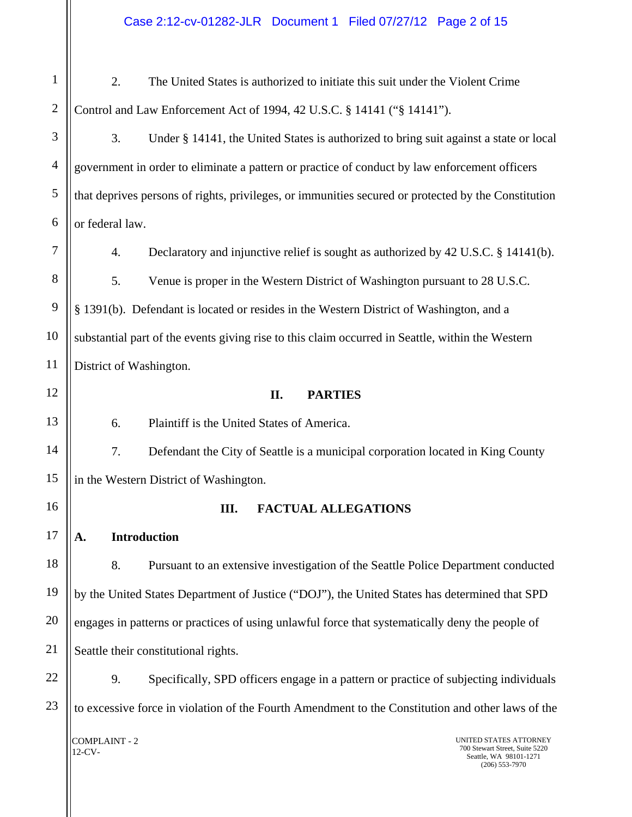#### Case 2:12-cv-01282-JLR Document 1 Filed 07/27/12 Page 2 of 15

1 2 3 4 5 6 7 8 9 10 11 12 2. The United States is authorized to initiate this suit under the Violent Crime Control and Law Enforcement Act of 1994, 42 U.S.C. § 14141 ("§ 14141"). 3. Under § 14141, the United States is authorized to bring suit against a state or local government in order to eliminate a pattern or practice of conduct by law enforcement officers that deprives persons of rights, privileges, or immunities secured or protected by the Constitution or federal law. 4. Declaratory and injunctive relief is sought as authorized by 42 U.S.C. § 14141(b). 5. Venue is proper in the Western District of Washington pursuant to 28 U.S.C. § 1391(b). Defendant is located or resides in the Western District of Washington, and a substantial part of the events giving rise to this claim occurred in Seattle, within the Western District of Washington. **II. PARTIES** 

6. Plaintiff is the United States of America.

7. Defendant the City of Seattle is a municipal corporation located in King County in the Western District of Washington.

#### **III. FACTUAL ALLEGATIONS**

**A. Introduction** 

13

14

15

16

17

18 19 20 21 8. Pursuant to an extensive investigation of the Seattle Police Department conducted by the United States Department of Justice ("DOJ"), the United States has determined that SPD engages in patterns or practices of using unlawful force that systematically deny the people of Seattle their constitutional rights.

22 23 9. Specifically, SPD officers engage in a pattern or practice of subjecting individuals to excessive force in violation of the Fourth Amendment to the Constitution and other laws of the

COMPLAINT - 2 12-CV-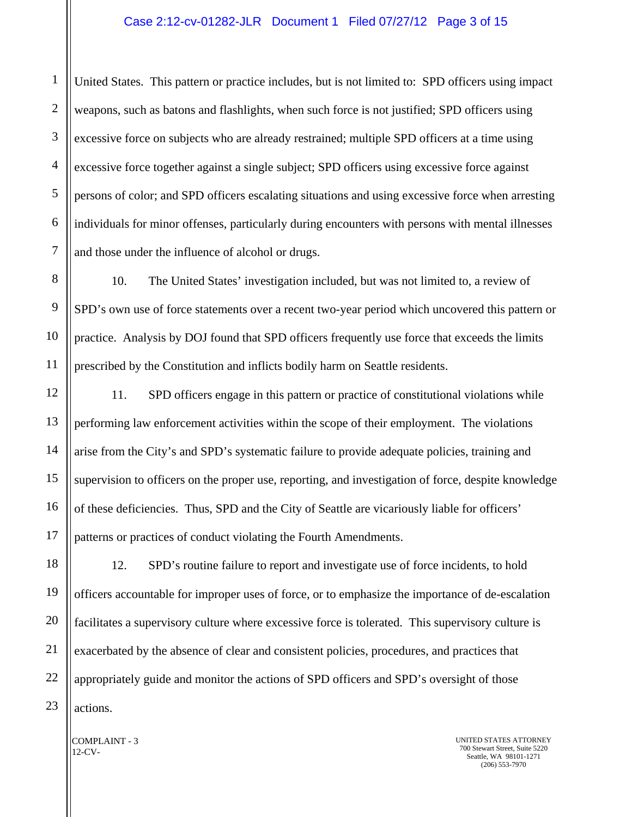#### Case 2:12-cv-01282-JLR Document 1 Filed 07/27/12 Page 3 of 15

United States. This pattern or practice includes, but is not limited to: SPD officers using impact weapons, such as batons and flashlights, when such force is not justified; SPD officers using excessive force on subjects who are already restrained; multiple SPD officers at a time using excessive force together against a single subject; SPD officers using excessive force against persons of color; and SPD officers escalating situations and using excessive force when arresting individuals for minor offenses, particularly during encounters with persons with mental illnesses and those under the influence of alcohol or drugs.

10. The United States' investigation included, but was not limited to, a review of SPD's own use of force statements over a recent two-year period which uncovered this pattern or practice. Analysis by DOJ found that SPD officers frequently use force that exceeds the limits prescribed by the Constitution and inflicts bodily harm on Seattle residents.

11. SPD officers engage in this pattern or practice of constitutional violations while performing law enforcement activities within the scope of their employment. The violations arise from the City's and SPD's systematic failure to provide adequate policies, training and supervision to officers on the proper use, reporting, and investigation of force, despite knowledge of these deficiencies. Thus, SPD and the City of Seattle are vicariously liable for officers' patterns or practices of conduct violating the Fourth Amendments.

12. SPD's routine failure to report and investigate use of force incidents, to hold officers accountable for improper uses of force, or to emphasize the importance of de-escalation facilitates a supervisory culture where excessive force is tolerated. This supervisory culture is exacerbated by the absence of clear and consistent policies, procedures, and practices that appropriately guide and monitor the actions of SPD officers and SPD's oversight of those actions.

COMPLAINT - 3 12-CV-

UNITED STATES ATTORNEY 700 Stewart Street, Suite 5220 Seattle, WA 98101-1271 (206) 553-7970

1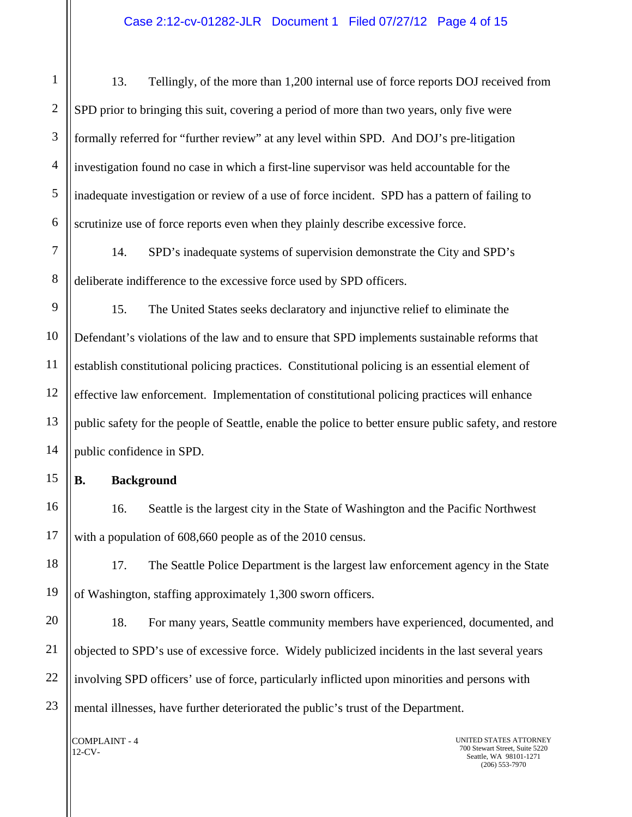1 2 3 4 5 6 13. Tellingly, of the more than 1,200 internal use of force reports DOJ received from SPD prior to bringing this suit, covering a period of more than two years, only five were formally referred for "further review" at any level within SPD. And DOJ's pre-litigation investigation found no case in which a first-line supervisor was held accountable for the inadequate investigation or review of a use of force incident. SPD has a pattern of failing to scrutinize use of force reports even when they plainly describe excessive force.

7 8 14. SPD's inadequate systems of supervision demonstrate the City and SPD's deliberate indifference to the excessive force used by SPD officers.

9 10 11 12 13 14 15. The United States seeks declaratory and injunctive relief to eliminate the Defendant's violations of the law and to ensure that SPD implements sustainable reforms that establish constitutional policing practices. Constitutional policing is an essential element of effective law enforcement. Implementation of constitutional policing practices will enhance public safety for the people of Seattle, enable the police to better ensure public safety, and restore public confidence in SPD.

**B. Background** 

15

16

17

16. Seattle is the largest city in the State of Washington and the Pacific Northwest with a population of 608,660 people as of the 2010 census.

18 19 17. The Seattle Police Department is the largest law enforcement agency in the State of Washington, staffing approximately 1,300 sworn officers.

20 21 22 23 18. For many years, Seattle community members have experienced, documented, and objected to SPD's use of excessive force. Widely publicized incidents in the last several years involving SPD officers' use of force, particularly inflicted upon minorities and persons with mental illnesses, have further deteriorated the public's trust of the Department.

COMPLAINT - 4 12-CV-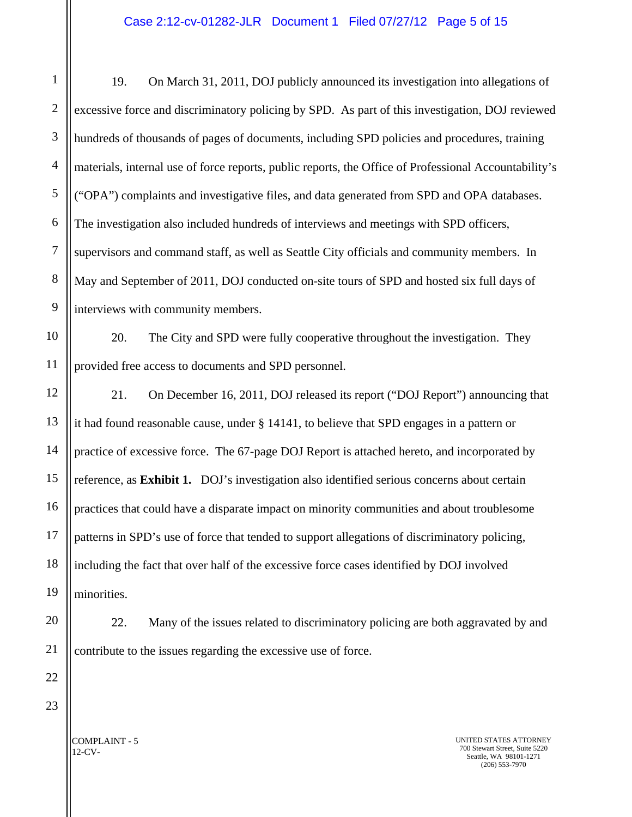1 2 3 4 5 6 7 8 9 10 11 12 13 14 15 16 17 18 19 20 21 22 19. On March 31, 2011, DOJ publicly announced its investigation into allegations of excessive force and discriminatory policing by SPD. As part of this investigation, DOJ reviewed hundreds of thousands of pages of documents, including SPD policies and procedures, training materials, internal use of force reports, public reports, the Office of Professional Accountability's ("OPA") complaints and investigative files, and data generated from SPD and OPA databases. The investigation also included hundreds of interviews and meetings with SPD officers, supervisors and command staff, as well as Seattle City officials and community members. In May and September of 2011, DOJ conducted on-site tours of SPD and hosted six full days of interviews with community members. 20. The City and SPD were fully cooperative throughout the investigation. They provided free access to documents and SPD personnel. 21. On December 16, 2011, DOJ released its report ("DOJ Report") announcing that it had found reasonable cause, under § 14141, to believe that SPD engages in a pattern or practice of excessive force. The 67-page DOJ Report is attached hereto, and incorporated by reference, as **Exhibit 1.** DOJ's investigation also identified serious concerns about certain practices that could have a disparate impact on minority communities and about troublesome patterns in SPD's use of force that tended to support allegations of discriminatory policing, including the fact that over half of the excessive force cases identified by DOJ involved minorities. 22. Many of the issues related to discriminatory policing are both aggravated by and contribute to the issues regarding the excessive use of force.

23

UNITED STATES ATTORNEY 700 Stewart Street, Suite 5220 Seattle, WA 98101-1271 (206) 553-7970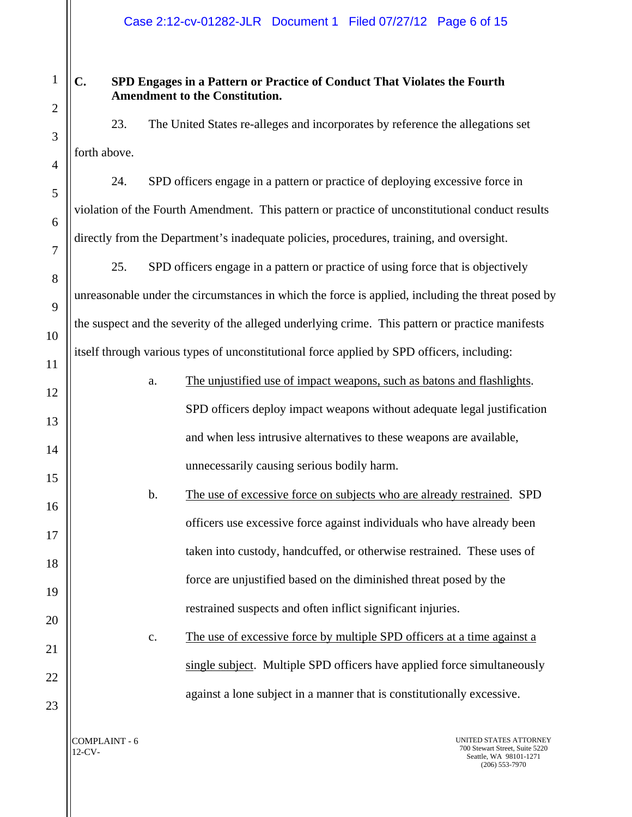# **C. SPD Engages in a Pattern or Practice of Conduct That Violates the Fourth Amendment to the Constitution.**

23. The United States re-alleges and incorporates by reference the allegations set forth above.

24. SPD officers engage in a pattern or practice of deploying excessive force in violation of the Fourth Amendment. This pattern or practice of unconstitutional conduct results directly from the Department's inadequate policies, procedures, training, and oversight.

25. SPD officers engage in a pattern or practice of using force that is objectively unreasonable under the circumstances in which the force is applied, including the threat posed by the suspect and the severity of the alleged underlying crime. This pattern or practice manifests itself through various types of unconstitutional force applied by SPD officers, including:

| 12 | a.            | The unjustified use of impact weapons, such as batons and flashlights.  |
|----|---------------|-------------------------------------------------------------------------|
| 13 |               | SPD officers deploy impact weapons without adequate legal justification |
| 14 |               | and when less intrusive alternatives to these weapons are available,    |
| 15 |               | unnecessarily causing serious bodily harm.                              |
|    | $\mathbf b$ . | The use of excessive force on subjects who are already restrained. SPD  |
| 16 |               | officers use excessive force against individuals who have already been  |
| 17 |               | taken into custody, handcuffed, or otherwise restrained. These uses of  |
| 18 |               |                                                                         |
| 19 |               | force are unjustified based on the diminished threat posed by the       |
| 20 |               | restrained suspects and often inflict significant injuries.             |
| 21 | c.            | The use of excessive force by multiple SPD officers at a time against a |
| 22 |               | single subject. Multiple SPD officers have applied force simultaneously |
|    |               | against a lone subject in a manner that is constitutionally excessive.  |

COMPLAINT - 6 12-CV-

23

1

2

3

4

5

6

7

8

9

10

11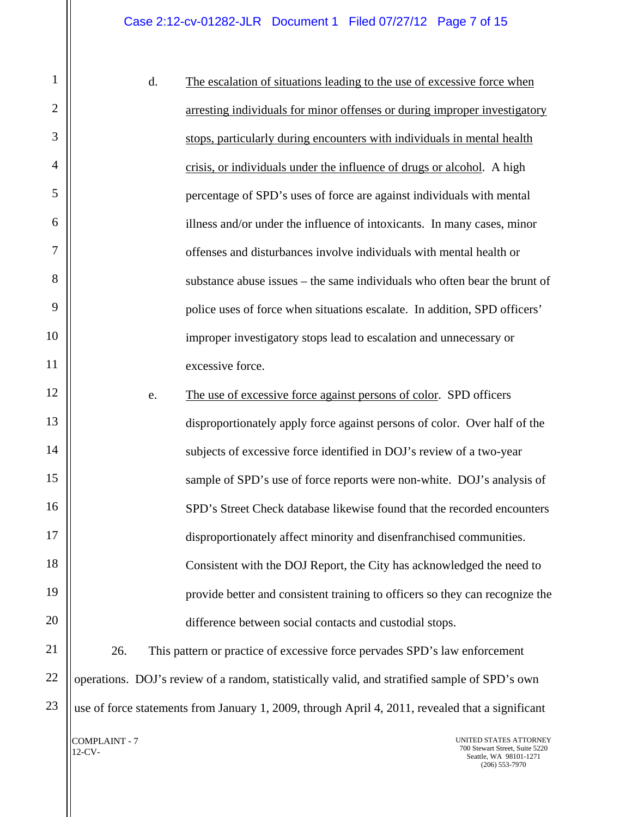|                |               | d. | The escalation of situations leading to the use of excessive force when                          |
|----------------|---------------|----|--------------------------------------------------------------------------------------------------|
| $\mathbf{2}$   |               |    | arresting individuals for minor offenses or during improper investigatory                        |
| 3              |               |    | stops, particularly during encounters with individuals in mental health                          |
| $\overline{4}$ |               |    | crisis, or individuals under the influence of drugs or alcohol. A high                           |
| 5              |               |    | percentage of SPD's uses of force are against individuals with mental                            |
| 6              |               |    | illness and/or under the influence of intoxicants. In many cases, minor                          |
| 7              |               |    | offenses and disturbances involve individuals with mental health or                              |
| 8              |               |    | substance abuse issues – the same individuals who often bear the brunt of                        |
| 9              |               |    | police uses of force when situations escalate. In addition, SPD officers'                        |
| 10             |               |    | improper investigatory stops lead to escalation and unnecessary or                               |
| 11             |               |    | excessive force.                                                                                 |
| 12             |               | e. | The use of excessive force against persons of color. SPD officers                                |
| 13             |               |    | disproportionately apply force against persons of color. Over half of the                        |
| 14             |               |    | subjects of excessive force identified in DOJ's review of a two-year                             |
| 15             |               |    | sample of SPD's use of force reports were non-white. DOJ's analysis of                           |
| 16             |               |    | SPD's Street Check database likewise found that the recorded encounters                          |
| 17             |               |    | disproportionately affect minority and disenfranchised communities.                              |
| 18             |               |    | Consistent with the DOJ Report, the City has acknowledged the need to                            |
| 19             |               |    | provide better and consistent training to officers so they can recognize the                     |
| 20             |               |    | difference between social contacts and custodial stops.                                          |
| 21             | 26.           |    | This pattern or practice of excessive force pervades SPD's law enforcement                       |
| 22             |               |    | operations. DOJ's review of a random, statistically valid, and stratified sample of SPD's own    |
| 23             |               |    | use of force statements from January 1, 2009, through April 4, 2011, revealed that a significant |
|                | COMPLAINT - 7 |    | UNITED STATES ATTORNEY                                                                           |

12-CV-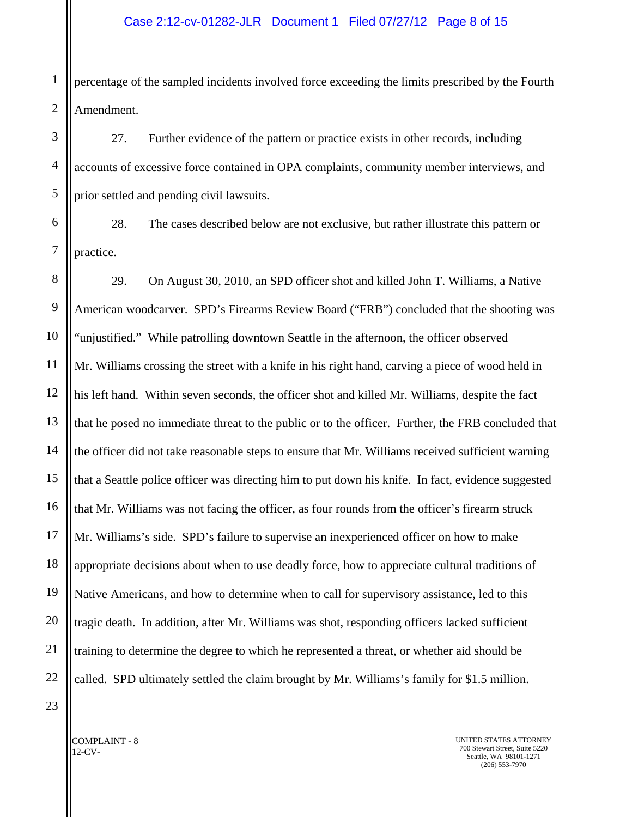1 2 percentage of the sampled incidents involved force exceeding the limits prescribed by the Fourth Amendment.

27. Further evidence of the pattern or practice exists in other records, including accounts of excessive force contained in OPA complaints, community member interviews, and prior settled and pending civil lawsuits.

6 7 28. The cases described below are not exclusive, but rather illustrate this pattern or practice.

8 9 10 11 12 13 14 15 16 17 18 19 20 21 22 29. On August 30, 2010, an SPD officer shot and killed John T. Williams, a Native American woodcarver. SPD's Firearms Review Board ("FRB") concluded that the shooting was "unjustified." While patrolling downtown Seattle in the afternoon, the officer observed Mr. Williams crossing the street with a knife in his right hand, carving a piece of wood held in his left hand. Within seven seconds, the officer shot and killed Mr. Williams, despite the fact that he posed no immediate threat to the public or to the officer. Further, the FRB concluded that the officer did not take reasonable steps to ensure that Mr. Williams received sufficient warning that a Seattle police officer was directing him to put down his knife. In fact, evidence suggested that Mr. Williams was not facing the officer, as four rounds from the officer's firearm struck Mr. Williams's side. SPD's failure to supervise an inexperienced officer on how to make appropriate decisions about when to use deadly force, how to appreciate cultural traditions of Native Americans, and how to determine when to call for supervisory assistance, led to this tragic death. In addition, after Mr. Williams was shot, responding officers lacked sufficient training to determine the degree to which he represented a threat, or whether aid should be called. SPD ultimately settled the claim brought by Mr. Williams's family for \$1.5 million.

23

3

4

5

COMPLAINT - 8 12-CV-

UNITED STATES ATTORNEY 700 Stewart Street, Suite 5220 Seattle, WA 98101-1271 (206) 553-7970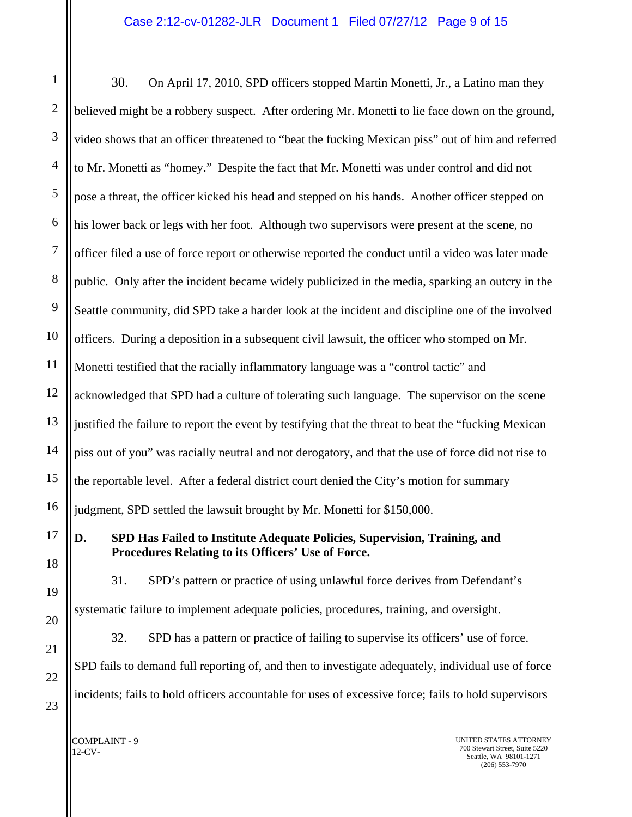1 2 3 4 5 6 7 8 9 10 11 12 13 14 15 16 17 18 30. On April 17, 2010, SPD officers stopped Martin Monetti, Jr., a Latino man they believed might be a robbery suspect. After ordering Mr. Monetti to lie face down on the ground, video shows that an officer threatened to "beat the fucking Mexican piss" out of him and referred to Mr. Monetti as "homey." Despite the fact that Mr. Monetti was under control and did not pose a threat, the officer kicked his head and stepped on his hands. Another officer stepped on his lower back or legs with her foot. Although two supervisors were present at the scene, no officer filed a use of force report or otherwise reported the conduct until a video was later made public. Only after the incident became widely publicized in the media, sparking an outcry in the Seattle community, did SPD take a harder look at the incident and discipline one of the involved officers. During a deposition in a subsequent civil lawsuit, the officer who stomped on Mr. Monetti testified that the racially inflammatory language was a "control tactic" and acknowledged that SPD had a culture of tolerating such language. The supervisor on the scene justified the failure to report the event by testifying that the threat to beat the "fucking Mexican piss out of you" was racially neutral and not derogatory, and that the use of force did not rise to the reportable level. After a federal district court denied the City's motion for summary judgment, SPD settled the lawsuit brought by Mr. Monetti for \$150,000. **D. SPD Has Failed to Institute Adequate Policies, Supervision, Training, and Procedures Relating to its Officers' Use of Force.** 

31. SPD's pattern or practice of using unlawful force derives from Defendant's systematic failure to implement adequate policies, procedures, training, and oversight. 32. SPD has a pattern or practice of failing to supervise its officers' use of force. SPD fails to demand full reporting of, and then to investigate adequately, individual use of force incidents; fails to hold officers accountable for uses of excessive force; fails to hold supervisors

COMPLAINT - 9 12-CV-

19

20

21

22

23

UNITED STATES ATTORNEY 700 Stewart Street, Suite 5220 Seattle, WA 98101-1271 (206) 553-7970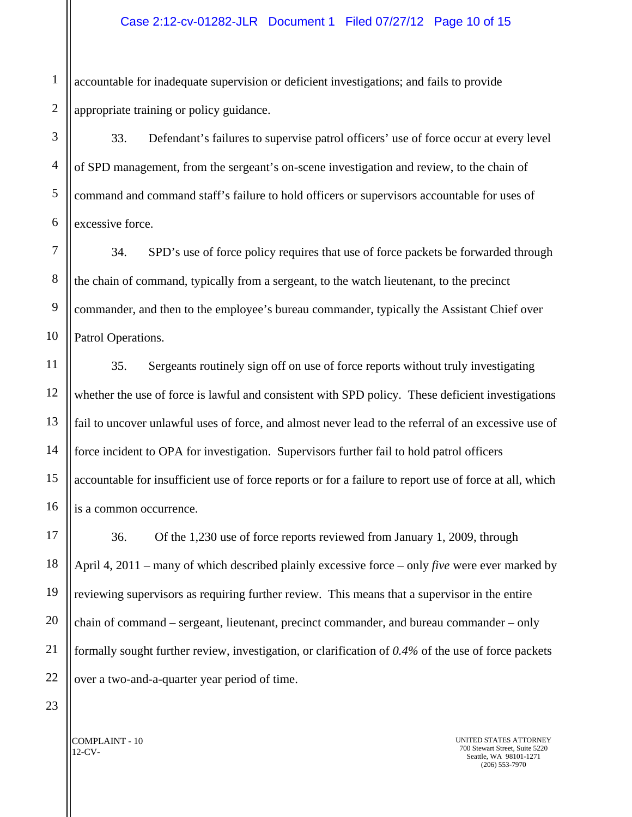1 accountable for inadequate supervision or deficient investigations; and fails to provide appropriate training or policy guidance.

33. Defendant's failures to supervise patrol officers' use of force occur at every level of SPD management, from the sergeant's on-scene investigation and review, to the chain of command and command staff's failure to hold officers or supervisors accountable for uses of excessive force.

34. SPD's use of force policy requires that use of force packets be forwarded through the chain of command, typically from a sergeant, to the watch lieutenant, to the precinct commander, and then to the employee's bureau commander, typically the Assistant Chief over Patrol Operations.

35. Sergeants routinely sign off on use of force reports without truly investigating whether the use of force is lawful and consistent with SPD policy.These deficient investigations fail to uncover unlawful uses of force, and almost never lead to the referral of an excessive use of force incident to OPA for investigation. Supervisors further fail to hold patrol officers accountable for insufficient use of force reports or for a failure to report use of force at all, which is a common occurrence.

36. Of the 1,230 use of force reports reviewed from January 1, 2009, through April 4, 2011 – many of which described plainly excessive force – only *five* were ever marked by reviewing supervisors as requiring further review. This means that a supervisor in the entire chain of command – sergeant, lieutenant, precinct commander, and bureau commander – only formally sought further review, investigation, or clarification of *0.4%* of the use of force packets over a two-and-a-quarter year period of time.

COMPLAINT - 10 12-CV-

23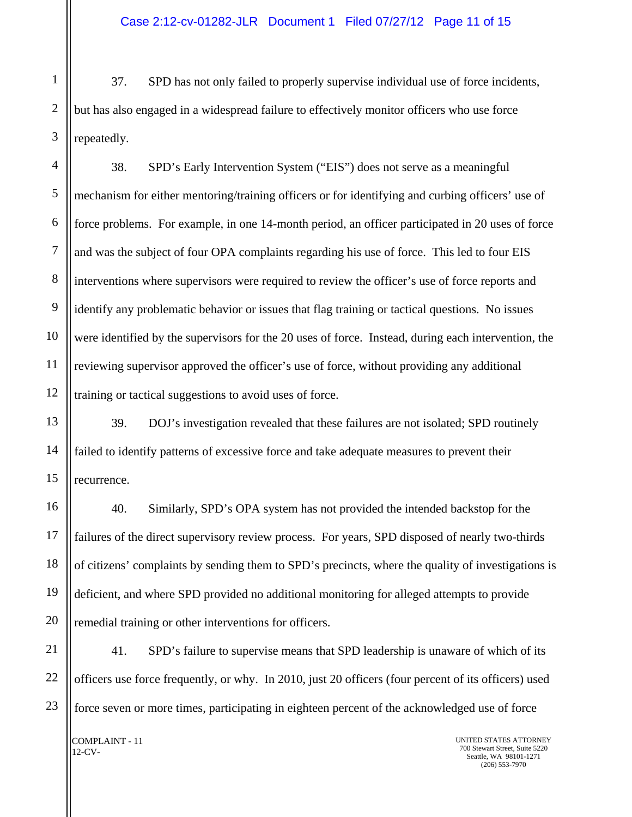37. SPD has not only failed to properly supervise individual use of force incidents, but has also engaged in a widespread failure to effectively monitor officers who use force repeatedly.

38. SPD's Early Intervention System ("EIS") does not serve as a meaningful mechanism for either mentoring/training officers or for identifying and curbing officers' use of force problems. For example, in one 14-month period, an officer participated in 20 uses of force and was the subject of four OPA complaints regarding his use of force. This led to four EIS interventions where supervisors were required to review the officer's use of force reports and identify any problematic behavior or issues that flag training or tactical questions. No issues were identified by the supervisors for the 20 uses of force. Instead, during each intervention, the reviewing supervisor approved the officer's use of force, without providing any additional training or tactical suggestions to avoid uses of force.

39. DOJ's investigation revealed that these failures are not isolated; SPD routinely failed to identify patterns of excessive force and take adequate measures to prevent their recurrence.

40. Similarly, SPD's OPA system has not provided the intended backstop for the failures of the direct supervisory review process. For years, SPD disposed of nearly two-thirds of citizens' complaints by sending them to SPD's precincts, where the quality of investigations is deficient, and where SPD provided no additional monitoring for alleged attempts to provide remedial training or other interventions for officers.

21 22 23 41. SPD's failure to supervise means that SPD leadership is unaware of which of its officers use force frequently, or why. In 2010, just 20 officers (four percent of its officers) used force seven or more times, participating in eighteen percent of the acknowledged use of force

COMPLAINT - 11 12-CV-

17

18

19

20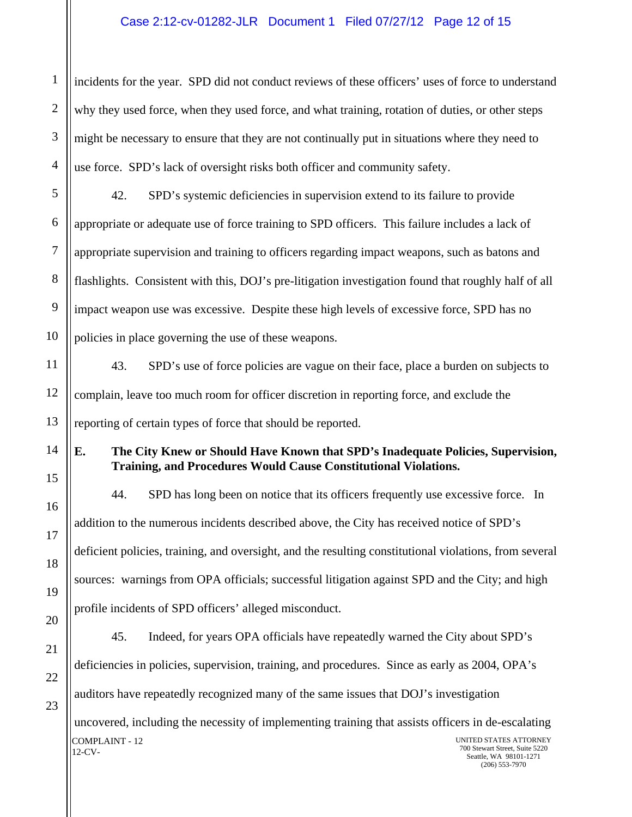1 2 3 4 incidents for the year. SPD did not conduct reviews of these officers' uses of force to understand why they used force, when they used force, and what training, rotation of duties, or other steps might be necessary to ensure that they are not continually put in situations where they need to use force. SPD's lack of oversight risks both officer and community safety.

5 6 7 8 9 10 42. SPD's systemic deficiencies in supervision extend to its failure to provide appropriate or adequate use of force training to SPD officers. This failure includes a lack of appropriate supervision and training to officers regarding impact weapons, such as batons and flashlights. Consistent with this, DOJ's pre-litigation investigation found that roughly half of all impact weapon use was excessive. Despite these high levels of excessive force, SPD has no policies in place governing the use of these weapons.

43. SPD's use of force policies are vague on their face, place a burden on subjects to complain, leave too much room for officer discretion in reporting force, and exclude the reporting of certain types of force that should be reported.

**E. The City Knew or Should Have Known that SPD's Inadequate Policies, Supervision, Training, and Procedures Would Cause Constitutional Violations.** 

44. SPD has long been on notice that its officers frequently use excessive force. In addition to the numerous incidents described above, the City has received notice of SPD's deficient policies, training, and oversight, and the resulting constitutional violations, from several sources: warnings from OPA officials; successful litigation against SPD and the City; and high profile incidents of SPD officers' alleged misconduct.

COMPLAINT - 12 UNITED STATES ATTORNEY 21 45. Indeed, for years OPA officials have repeatedly warned the City about SPD's deficiencies in policies, supervision, training, and procedures. Since as early as 2004, OPA's auditors have repeatedly recognized many of the same issues that DOJ's investigation uncovered, including the necessity of implementing training that assists officers in de-escalating

11

12

13

14

15

16

17

18

19

20

12-CV-

700 Stewart Street, Suite 5220 Seattle, WA 98101-1271 (206) 553-7970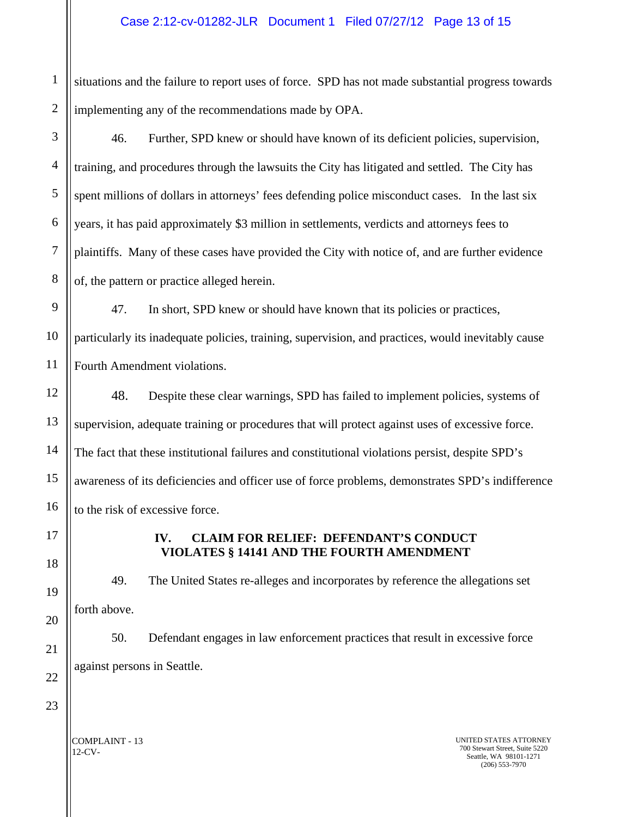situations and the failure to report uses of force. SPD has not made substantial progress towards implementing any of the recommendations made by OPA.

46. Further, SPD knew or should have known of its deficient policies, supervision, training, and procedures through the lawsuits the City has litigated and settled. The City has spent millions of dollars in attorneys' fees defending police misconduct cases. In the last six years, it has paid approximately \$3 million in settlements, verdicts and attorneys fees to plaintiffs. Many of these cases have provided the City with notice of, and are further evidence of, the pattern or practice alleged herein.

9 10 11 47. In short, SPD knew or should have known that its policies or practices, particularly its inadequate policies, training, supervision, and practices, would inevitably cause Fourth Amendment violations.

48. Despite these clear warnings, SPD has failed to implement policies, systems of supervision, adequate training or procedures that will protect against uses of excessive force. The fact that these institutional failures and constitutional violations persist, despite SPD's awareness of its deficiencies and officer use of force problems, demonstrates SPD's indifference to the risk of excessive force.

# **IV. CLAIM FOR RELIEF: DEFENDANT'S CONDUCT VIOLATES § 14141 AND THE FOURTH AMENDMENT**

49. The United States re-alleges and incorporates by reference the allegations set forth above.

50. Defendant engages in law enforcement practices that result in excessive force against persons in Seattle.

COMPLAINT - 13 12-CV-

UNITED STATES ATTORNEY 700 Stewart Street, Suite 5220 Seattle, WA 98101-1271 (206) 553-7970

4

5

6

7

8

12

13

14

15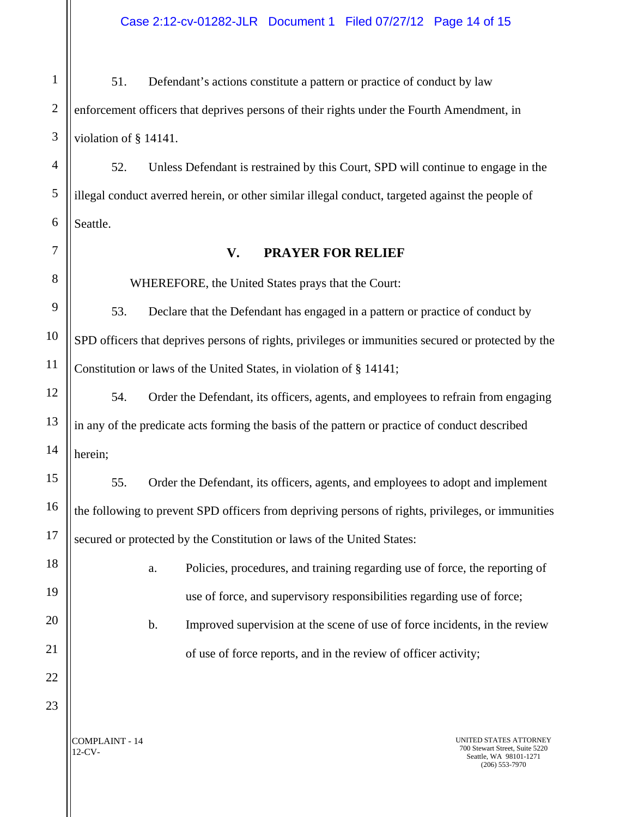Case 2:12-cv-01282-JLR Document 1 Filed 07/27/12 Page 14 of 15

1 2 3 51. Defendant's actions constitute a pattern or practice of conduct by law enforcement officers that deprives persons of their rights under the Fourth Amendment, in violation of § 14141.

4 5 6 52. Unless Defendant is restrained by this Court, SPD will continue to engage in the illegal conduct averred herein, or other similar illegal conduct, targeted against the people of Seattle.

7

8

9

10

11

12

13

14

15

16

17

18

19

20

21

#### **V. PRAYER FOR RELIEF**

WHEREFORE, the United States prays that the Court:

53. Declare that the Defendant has engaged in a pattern or practice of conduct by SPD officers that deprives persons of rights, privileges or immunities secured or protected by the Constitution or laws of the United States, in violation of § 14141;

54. Order the Defendant, its officers, agents, and employees to refrain from engaging in any of the predicate acts forming the basis of the pattern or practice of conduct described herein;

55. Order the Defendant, its officers, agents, and employees to adopt and implement the following to prevent SPD officers from depriving persons of rights, privileges, or immunities secured or protected by the Constitution or laws of the United States:

> a. Policies, procedures, and training regarding use of force, the reporting of use of force, and supervisory responsibilities regarding use of force;

- b. Improved supervision at the scene of use of force incidents, in the review of use of force reports, and in the review of officer activity;
- 22 23

COMPLAINT - 14 12-CV-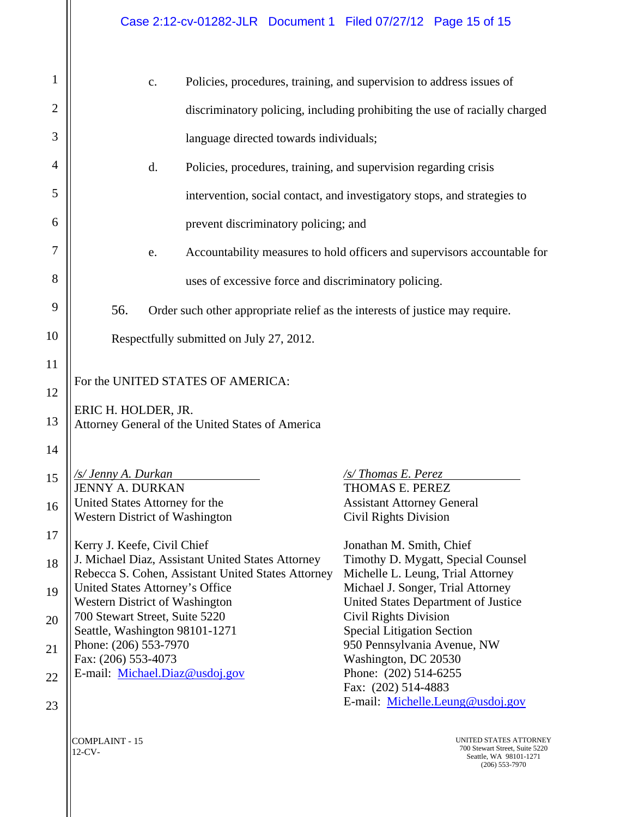| $\mathbf{1}$ |                                                                                        |                                                                        |  |  |  |  |
|--------------|----------------------------------------------------------------------------------------|------------------------------------------------------------------------|--|--|--|--|
|              | Policies, procedures, training, and supervision to address issues of<br>$\mathbf{c}$ . |                                                                        |  |  |  |  |
| 2            | discriminatory policing, including prohibiting the use of racially charged             |                                                                        |  |  |  |  |
| 3            | language directed towards individuals;                                                 |                                                                        |  |  |  |  |
| 4            | d.<br>Policies, procedures, training, and supervision regarding crisis                 |                                                                        |  |  |  |  |
| 5            | intervention, social contact, and investigatory stops, and strategies to               |                                                                        |  |  |  |  |
| 6            | prevent discriminatory policing; and                                                   |                                                                        |  |  |  |  |
| 7            | Accountability measures to hold officers and supervisors accountable for<br>e.         |                                                                        |  |  |  |  |
| 8            | uses of excessive force and discriminatory policing.                                   |                                                                        |  |  |  |  |
| 9            | 56.<br>Order such other appropriate relief as the interests of justice may require.    |                                                                        |  |  |  |  |
| 10           | Respectfully submitted on July 27, 2012.                                               |                                                                        |  |  |  |  |
| 11           |                                                                                        |                                                                        |  |  |  |  |
|              | For the UNITED STATES OF AMERICA:                                                      |                                                                        |  |  |  |  |
| 12           | ERIC H. HOLDER, JR.                                                                    |                                                                        |  |  |  |  |
| 13           | Attorney General of the United States of America                                       |                                                                        |  |  |  |  |
| 14           |                                                                                        |                                                                        |  |  |  |  |
| 15           | <u>/s/ Jenny A. Durkan</u>                                                             | /s/Thomas E. Perez                                                     |  |  |  |  |
|              | <b>JENNY A. DURKAN</b>                                                                 | THOMAS E. PEREZ                                                        |  |  |  |  |
| 16           | United States Attorney for the<br><b>Western District of Washington</b>                | <b>Assistant Attorney General</b><br><b>Civil Rights Division</b>      |  |  |  |  |
| 17           | Kerry J. Keefe, Civil Chief                                                            | Jonathan M. Smith, Chief                                               |  |  |  |  |
| 18           | J. Michael Diaz, Assistant United States Attorney                                      | Timothy D. Mygatt, Special Counsel                                     |  |  |  |  |
| 19           | Rebecca S. Cohen, Assistant United States Attorney<br>United States Attorney's Office  | Michelle L. Leung, Trial Attorney<br>Michael J. Songer, Trial Attorney |  |  |  |  |
|              | <b>Western District of Washington</b><br>700 Stewart Street, Suite 5220                | United States Department of Justice<br><b>Civil Rights Division</b>    |  |  |  |  |
| 20           | Seattle, Washington 98101-1271                                                         | <b>Special Litigation Section</b>                                      |  |  |  |  |
| 21           | Phone: (206) 553-7970<br>Fax: (206) 553-4073                                           | 950 Pennsylvania Avenue, NW<br>Washington, DC 20530                    |  |  |  |  |
| 22           | E-mail: Michael.Diaz@usdoj.gov                                                         | Phone: (202) 514-6255<br>Fax: (202) 514-4883                           |  |  |  |  |
| 23           |                                                                                        | E-mail: Michelle.Leung@usdoj.gov                                       |  |  |  |  |
|              |                                                                                        |                                                                        |  |  |  |  |

COMPLAINT - 15 12-CV-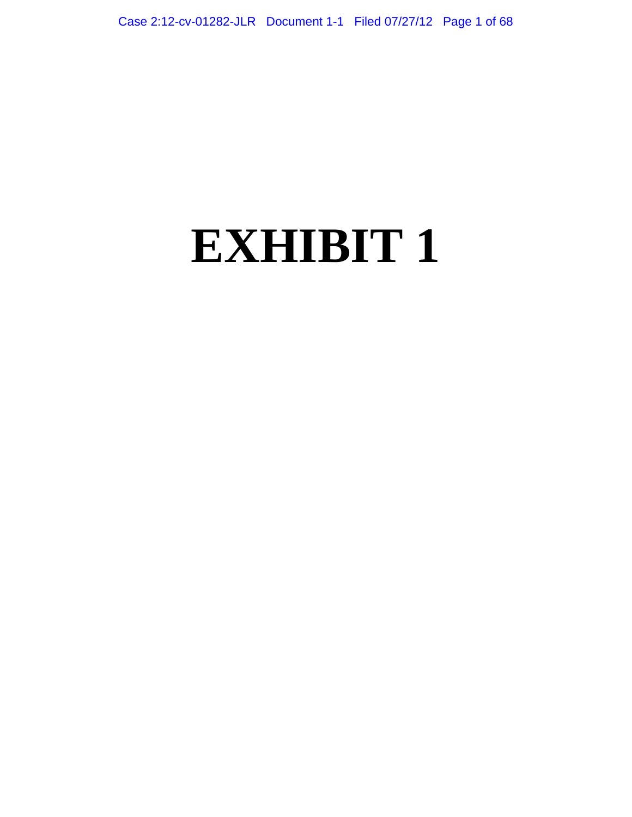# **EXHIBIT 1**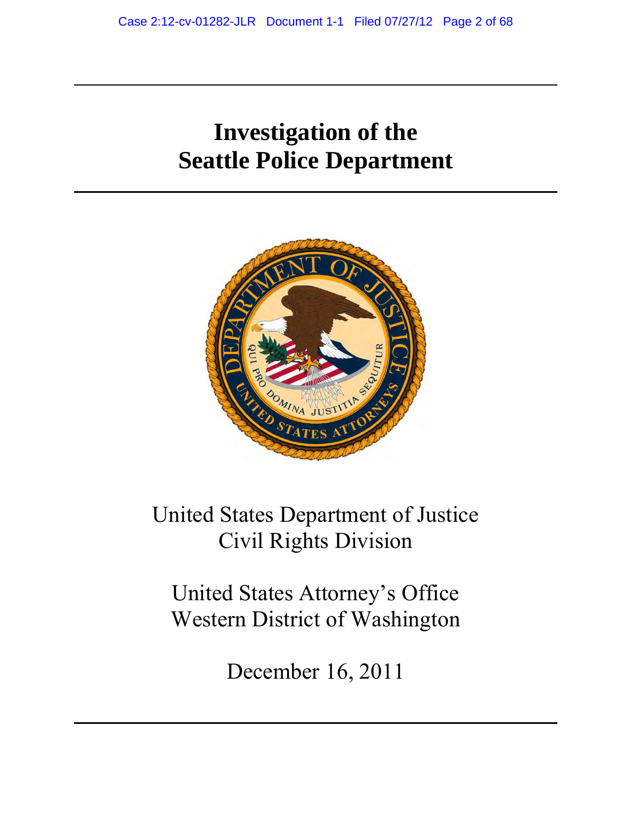# **Investigation of the Seattle Police Department**



United States Department of Justice Civil Rights Division

United States Attorney's Office Western District of Washington

December 16, 2011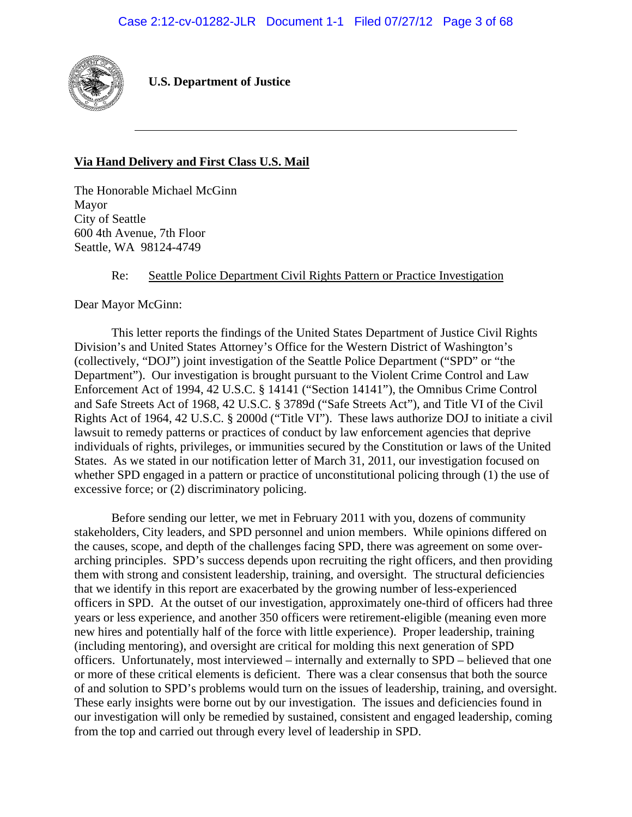

 **U.S. Department of Justice** 

# **Via Hand Delivery and First Class U.S. Mail**

The Honorable Michael McGinn Mayor City of Seattle 600 4th Avenue, 7th Floor Seattle, WA 98124-4749

#### Re: Seattle Police Department Civil Rights Pattern or Practice Investigation

Dear Mayor McGinn:

This letter reports the findings of the United States Department of Justice Civil Rights Division's and United States Attorney's Office for the Western District of Washington's (collectively, "DOJ") joint investigation of the Seattle Police Department ("SPD" or "the Department"). Our investigation is brought pursuant to the Violent Crime Control and Law Enforcement Act of 1994, 42 U.S.C. § 14141 ("Section 14141"), the Omnibus Crime Control and Safe Streets Act of 1968, 42 U.S.C. § 3789d ("Safe Streets Act"), and Title VI of the Civil Rights Act of 1964, 42 U.S.C. § 2000d ("Title VI"). These laws authorize DOJ to initiate a civil lawsuit to remedy patterns or practices of conduct by law enforcement agencies that deprive individuals of rights, privileges, or immunities secured by the Constitution or laws of the United States. As we stated in our notification letter of March 31, 2011, our investigation focused on whether SPD engaged in a pattern or practice of unconstitutional policing through (1) the use of excessive force; or (2) discriminatory policing.

Before sending our letter, we met in February 2011 with you, dozens of community stakeholders, City leaders, and SPD personnel and union members. While opinions differed on the causes, scope, and depth of the challenges facing SPD, there was agreement on some overarching principles. SPD's success depends upon recruiting the right officers, and then providing them with strong and consistent leadership, training, and oversight. The structural deficiencies that we identify in this report are exacerbated by the growing number of less-experienced officers in SPD. At the outset of our investigation, approximately one-third of officers had three years or less experience, and another 350 officers were retirement-eligible (meaning even more new hires and potentially half of the force with little experience). Proper leadership, training (including mentoring), and oversight are critical for molding this next generation of SPD officers. Unfortunately, most interviewed – internally and externally to SPD – believed that one or more of these critical elements is deficient. There was a clear consensus that both the source of and solution to SPD's problems would turn on the issues of leadership, training, and oversight. These early insights were borne out by our investigation. The issues and deficiencies found in our investigation will only be remedied by sustained, consistent and engaged leadership, coming from the top and carried out through every level of leadership in SPD.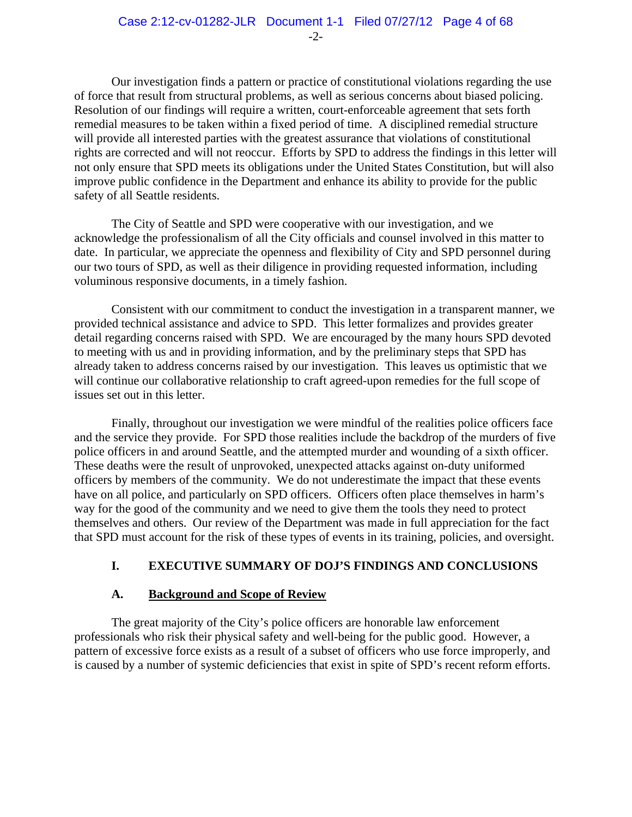Our investigation finds a pattern or practice of constitutional violations regarding the use of force that result from structural problems, as well as serious concerns about biased policing. Resolution of our findings will require a written, court-enforceable agreement that sets forth remedial measures to be taken within a fixed period of time. A disciplined remedial structure will provide all interested parties with the greatest assurance that violations of constitutional rights are corrected and will not reoccur. Efforts by SPD to address the findings in this letter will not only ensure that SPD meets its obligations under the United States Constitution, but will also improve public confidence in the Department and enhance its ability to provide for the public safety of all Seattle residents.

The City of Seattle and SPD were cooperative with our investigation, and we acknowledge the professionalism of all the City officials and counsel involved in this matter to date. In particular, we appreciate the openness and flexibility of City and SPD personnel during our two tours of SPD, as well as their diligence in providing requested information, including voluminous responsive documents, in a timely fashion.

Consistent with our commitment to conduct the investigation in a transparent manner, we provided technical assistance and advice to SPD. This letter formalizes and provides greater detail regarding concerns raised with SPD. We are encouraged by the many hours SPD devoted to meeting with us and in providing information, and by the preliminary steps that SPD has already taken to address concerns raised by our investigation. This leaves us optimistic that we will continue our collaborative relationship to craft agreed-upon remedies for the full scope of issues set out in this letter.

Finally, throughout our investigation we were mindful of the realities police officers face and the service they provide. For SPD those realities include the backdrop of the murders of five police officers in and around Seattle, and the attempted murder and wounding of a sixth officer. These deaths were the result of unprovoked, unexpected attacks against on-duty uniformed officers by members of the community. We do not underestimate the impact that these events have on all police, and particularly on SPD officers. Officers often place themselves in harm's way for the good of the community and we need to give them the tools they need to protect themselves and others. Our review of the Department was made in full appreciation for the fact that SPD must account for the risk of these types of events in its training, policies, and oversight.

# **I. EXECUTIVE SUMMARY OF DOJ'S FINDINGS AND CONCLUSIONS**

# **A. Background and Scope of Review**

The great majority of the City's police officers are honorable law enforcement professionals who risk their physical safety and well-being for the public good. However, a pattern of excessive force exists as a result of a subset of officers who use force improperly, and is caused by a number of systemic deficiencies that exist in spite of SPD's recent reform efforts.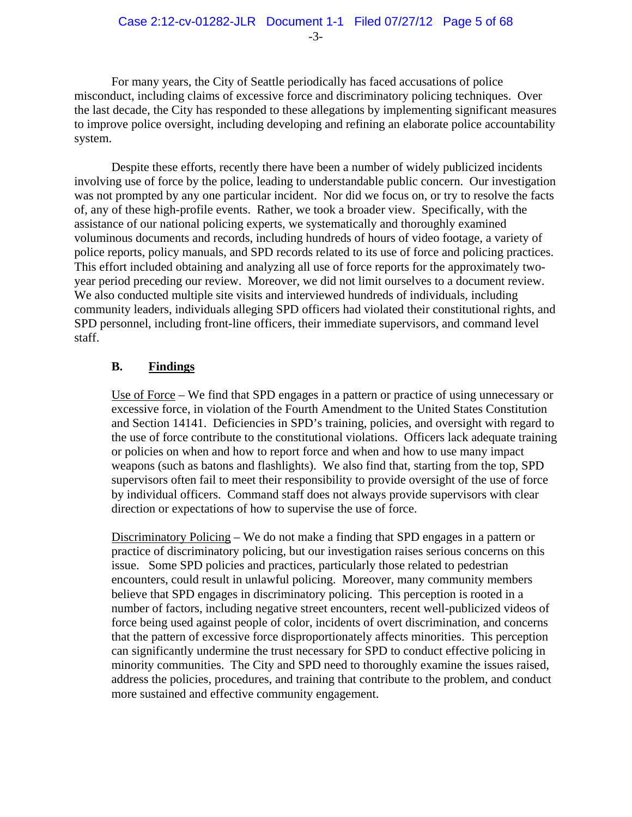-3-

For many years, the City of Seattle periodically has faced accusations of police misconduct, including claims of excessive force and discriminatory policing techniques. Over the last decade, the City has responded to these allegations by implementing significant measures to improve police oversight, including developing and refining an elaborate police accountability system.

Despite these efforts, recently there have been a number of widely publicized incidents involving use of force by the police, leading to understandable public concern. Our investigation was not prompted by any one particular incident. Nor did we focus on, or try to resolve the facts of, any of these high-profile events. Rather, we took a broader view. Specifically, with the assistance of our national policing experts, we systematically and thoroughly examined voluminous documents and records, including hundreds of hours of video footage, a variety of police reports, policy manuals, and SPD records related to its use of force and policing practices. This effort included obtaining and analyzing all use of force reports for the approximately twoyear period preceding our review. Moreover, we did not limit ourselves to a document review. We also conducted multiple site visits and interviewed hundreds of individuals, including community leaders, individuals alleging SPD officers had violated their constitutional rights, and SPD personnel, including front-line officers, their immediate supervisors, and command level staff.

# **B. Findings**

Use of Force – We find that SPD engages in a pattern or practice of using unnecessary or excessive force, in violation of the Fourth Amendment to the United States Constitution and Section 14141. Deficiencies in SPD's training, policies, and oversight with regard to the use of force contribute to the constitutional violations. Officers lack adequate training or policies on when and how to report force and when and how to use many impact weapons (such as batons and flashlights). We also find that, starting from the top, SPD supervisors often fail to meet their responsibility to provide oversight of the use of force by individual officers. Command staff does not always provide supervisors with clear direction or expectations of how to supervise the use of force.

Discriminatory Policing – We do not make a finding that SPD engages in a pattern or practice of discriminatory policing, but our investigation raises serious concerns on this issue.Some SPD policies and practices, particularly those related to pedestrian encounters, could result in unlawful policing. Moreover, many community members believe that SPD engages in discriminatory policing. This perception is rooted in a number of factors, including negative street encounters, recent well-publicized videos of force being used against people of color, incidents of overt discrimination, and concerns that the pattern of excessive force disproportionately affects minorities. This perception can significantly undermine the trust necessary for SPD to conduct effective policing in minority communities. The City and SPD need to thoroughly examine the issues raised, address the policies, procedures, and training that contribute to the problem, and conduct more sustained and effective community engagement.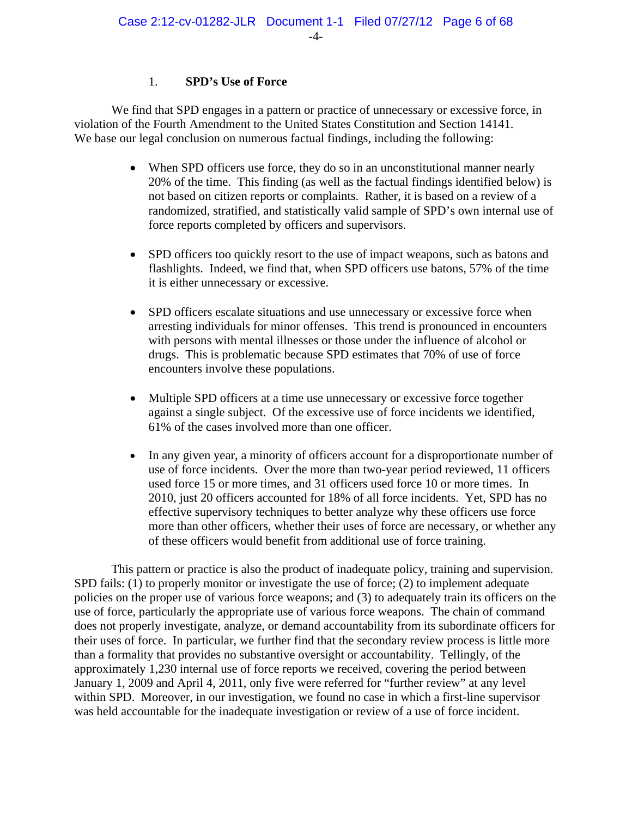# 1. **SPD's Use of Force**

We find that SPD engages in a pattern or practice of unnecessary or excessive force, in violation of the Fourth Amendment to the United States Constitution and Section 14141. We base our legal conclusion on numerous factual findings, including the following:

- When SPD officers use force, they do so in an unconstitutional manner nearly 20% of the time. This finding (as well as the factual findings identified below) is not based on citizen reports or complaints. Rather, it is based on a review of a randomized, stratified, and statistically valid sample of SPD's own internal use of force reports completed by officers and supervisors.
- SPD officers too quickly resort to the use of impact weapons, such as batons and flashlights. Indeed, we find that, when SPD officers use batons, 57% of the time it is either unnecessary or excessive.
- SPD officers escalate situations and use unnecessary or excessive force when arresting individuals for minor offenses. This trend is pronounced in encounters with persons with mental illnesses or those under the influence of alcohol or drugs. This is problematic because SPD estimates that 70% of use of force encounters involve these populations.
- Multiple SPD officers at a time use unnecessary or excessive force together against a single subject. Of the excessive use of force incidents we identified, 61% of the cases involved more than one officer.
- In any given year, a minority of officers account for a disproportionate number of use of force incidents. Over the more than two-year period reviewed, 11 officers used force 15 or more times, and 31 officers used force 10 or more times. In 2010, just 20 officers accounted for 18% of all force incidents. Yet, SPD has no effective supervisory techniques to better analyze why these officers use force more than other officers, whether their uses of force are necessary, or whether any of these officers would benefit from additional use of force training.

This pattern or practice is also the product of inadequate policy, training and supervision. SPD fails: (1) to properly monitor or investigate the use of force; (2) to implement adequate policies on the proper use of various force weapons; and (3) to adequately train its officers on the use of force, particularly the appropriate use of various force weapons. The chain of command does not properly investigate, analyze, or demand accountability from its subordinate officers for their uses of force. In particular, we further find that the secondary review process is little more than a formality that provides no substantive oversight or accountability. Tellingly, of the approximately 1,230 internal use of force reports we received, covering the period between January 1, 2009 and April 4, 2011, only five were referred for "further review" at any level within SPD. Moreover, in our investigation, we found no case in which a first-line supervisor was held accountable for the inadequate investigation or review of a use of force incident.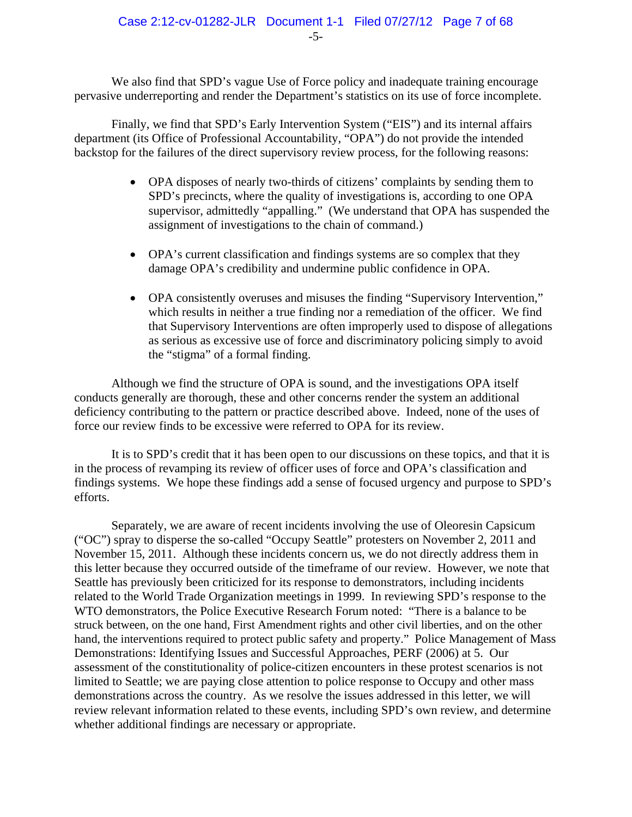We also find that SPD's vague Use of Force policy and inadequate training encourage pervasive underreporting and render the Department's statistics on its use of force incomplete.

Finally, we find that SPD's Early Intervention System ("EIS") and its internal affairs department (its Office of Professional Accountability, "OPA") do not provide the intended backstop for the failures of the direct supervisory review process, for the following reasons:

- OPA disposes of nearly two-thirds of citizens' complaints by sending them to SPD's precincts, where the quality of investigations is, according to one OPA supervisor, admittedly "appalling." (We understand that OPA has suspended the assignment of investigations to the chain of command.)
- OPA's current classification and findings systems are so complex that they damage OPA's credibility and undermine public confidence in OPA.
- OPA consistently overuses and misuses the finding "Supervisory Intervention," which results in neither a true finding nor a remediation of the officer. We find that Supervisory Interventions are often improperly used to dispose of allegations as serious as excessive use of force and discriminatory policing simply to avoid the "stigma" of a formal finding.

Although we find the structure of OPA is sound, and the investigations OPA itself conducts generally are thorough, these and other concerns render the system an additional deficiency contributing to the pattern or practice described above. Indeed, none of the uses of force our review finds to be excessive were referred to OPA for its review.

It is to SPD's credit that it has been open to our discussions on these topics, and that it is in the process of revamping its review of officer uses of force and OPA's classification and findings systems. We hope these findings add a sense of focused urgency and purpose to SPD's efforts.

Separately, we are aware of recent incidents involving the use of Oleoresin Capsicum ("OC") spray to disperse the so-called "Occupy Seattle" protesters on November 2, 2011 and November 15, 2011. Although these incidents concern us, we do not directly address them in this letter because they occurred outside of the timeframe of our review. However, we note that Seattle has previously been criticized for its response to demonstrators, including incidents related to the World Trade Organization meetings in 1999. In reviewing SPD's response to the WTO demonstrators, the Police Executive Research Forum noted: "There is a balance to be struck between, on the one hand, First Amendment rights and other civil liberties, and on the other hand, the interventions required to protect public safety and property." Police Management of Mass Demonstrations: Identifying Issues and Successful Approaches, PERF (2006) at 5. Our assessment of the constitutionality of police-citizen encounters in these protest scenarios is not limited to Seattle; we are paying close attention to police response to Occupy and other mass demonstrations across the country. As we resolve the issues addressed in this letter, we will review relevant information related to these events, including SPD's own review, and determine whether additional findings are necessary or appropriate.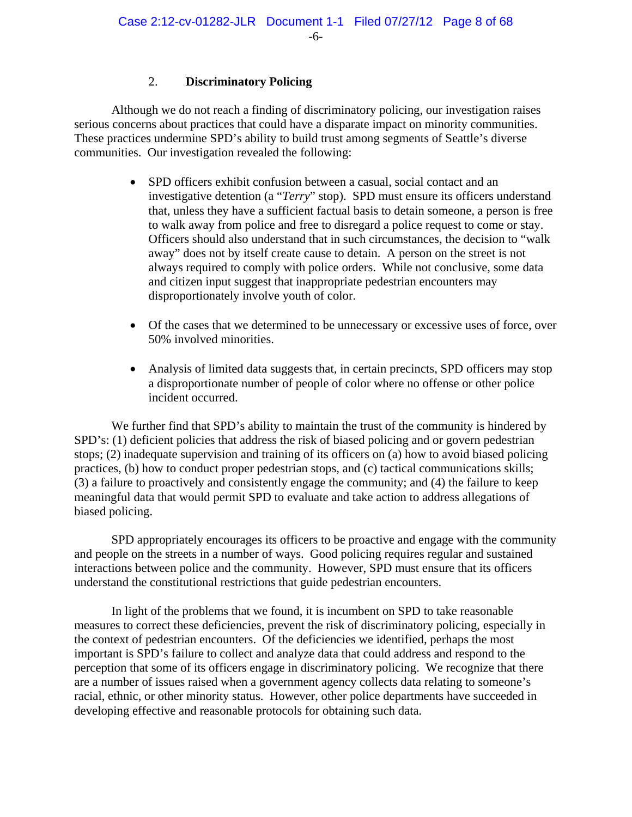# 2. **Discriminatory Policing**

Although we do not reach a finding of discriminatory policing, our investigation raises serious concerns about practices that could have a disparate impact on minority communities. These practices undermine SPD's ability to build trust among segments of Seattle's diverse communities. Our investigation revealed the following:

- SPD officers exhibit confusion between a casual, social contact and an investigative detention (a "*Terry*" stop). SPD must ensure its officers understand that, unless they have a sufficient factual basis to detain someone, a person is free to walk away from police and free to disregard a police request to come or stay. Officers should also understand that in such circumstances, the decision to "walk away" does not by itself create cause to detain. A person on the street is not always required to comply with police orders. While not conclusive, some data and citizen input suggest that inappropriate pedestrian encounters may disproportionately involve youth of color.
- Of the cases that we determined to be unnecessary or excessive uses of force, over 50% involved minorities.
- Analysis of limited data suggests that, in certain precincts, SPD officers may stop a disproportionate number of people of color where no offense or other police incident occurred.

We further find that SPD's ability to maintain the trust of the community is hindered by SPD's: (1) deficient policies that address the risk of biased policing and or govern pedestrian stops; (2) inadequate supervision and training of its officers on (a) how to avoid biased policing practices, (b) how to conduct proper pedestrian stops, and (c) tactical communications skills; (3) a failure to proactively and consistently engage the community; and (4) the failure to keep meaningful data that would permit SPD to evaluate and take action to address allegations of biased policing.

SPD appropriately encourages its officers to be proactive and engage with the community and people on the streets in a number of ways. Good policing requires regular and sustained interactions between police and the community. However, SPD must ensure that its officers understand the constitutional restrictions that guide pedestrian encounters.

In light of the problems that we found, it is incumbent on SPD to take reasonable measures to correct these deficiencies, prevent the risk of discriminatory policing, especially in the context of pedestrian encounters. Of the deficiencies we identified, perhaps the most important is SPD's failure to collect and analyze data that could address and respond to the perception that some of its officers engage in discriminatory policing. We recognize that there are a number of issues raised when a government agency collects data relating to someone's racial, ethnic, or other minority status. However, other police departments have succeeded in developing effective and reasonable protocols for obtaining such data.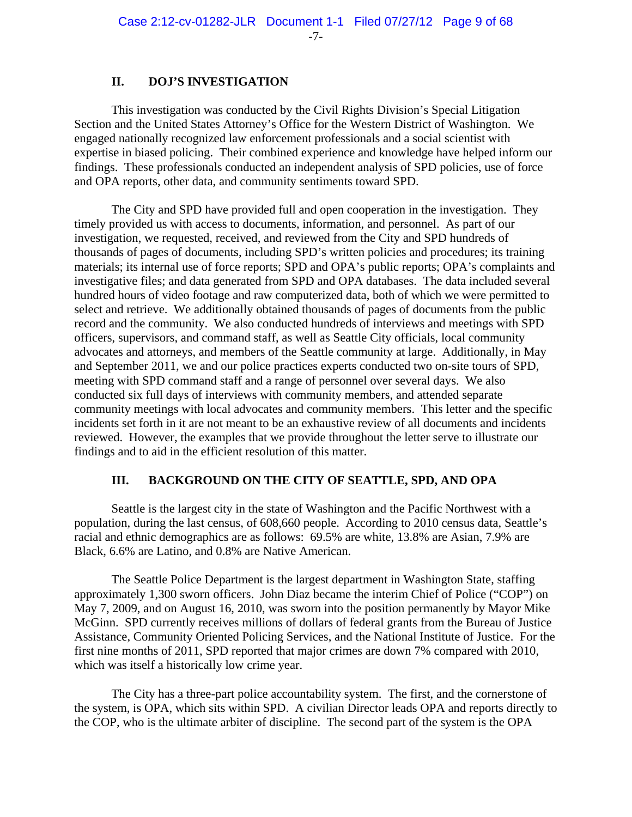#### **II. DOJ'S INVESTIGATION**

This investigation was conducted by the Civil Rights Division's Special Litigation Section and the United States Attorney's Office for the Western District of Washington. We engaged nationally recognized law enforcement professionals and a social scientist with expertise in biased policing. Their combined experience and knowledge have helped inform our findings. These professionals conducted an independent analysis of SPD policies, use of force and OPA reports, other data, and community sentiments toward SPD.

The City and SPD have provided full and open cooperation in the investigation. They timely provided us with access to documents, information, and personnel. As part of our investigation, we requested, received, and reviewed from the City and SPD hundreds of thousands of pages of documents, including SPD's written policies and procedures; its training materials; its internal use of force reports; SPD and OPA's public reports; OPA's complaints and investigative files; and data generated from SPD and OPA databases. The data included several hundred hours of video footage and raw computerized data, both of which we were permitted to select and retrieve. We additionally obtained thousands of pages of documents from the public record and the community. We also conducted hundreds of interviews and meetings with SPD officers, supervisors, and command staff, as well as Seattle City officials, local community advocates and attorneys, and members of the Seattle community at large. Additionally, in May and September 2011, we and our police practices experts conducted two on-site tours of SPD, meeting with SPD command staff and a range of personnel over several days. We also conducted six full days of interviews with community members, and attended separate community meetings with local advocates and community members. This letter and the specific incidents set forth in it are not meant to be an exhaustive review of all documents and incidents reviewed. However, the examples that we provide throughout the letter serve to illustrate our findings and to aid in the efficient resolution of this matter.

#### **III. BACKGROUND ON THE CITY OF SEATTLE, SPD, AND OPA**

Seattle is the largest city in the state of Washington and the Pacific Northwest with a population, during the last census, of 608,660 people. According to 2010 census data, Seattle's racial and ethnic demographics are as follows: 69.5% are white, 13.8% are Asian, 7.9% are Black, 6.6% are Latino, and 0.8% are Native American.

The Seattle Police Department is the largest department in Washington State, staffing approximately 1,300 sworn officers. John Diaz became the interim Chief of Police ("COP") on May 7, 2009, and on August 16, 2010, was sworn into the position permanently by Mayor Mike McGinn. SPD currently receives millions of dollars of federal grants from the Bureau of Justice Assistance, Community Oriented Policing Services, and the National Institute of Justice. For the first nine months of 2011, SPD reported that major crimes are down 7% compared with 2010, which was itself a historically low crime year.

The City has a three-part police accountability system. The first, and the cornerstone of the system, is OPA, which sits within SPD. A civilian Director leads OPA and reports directly to the COP, who is the ultimate arbiter of discipline. The second part of the system is the OPA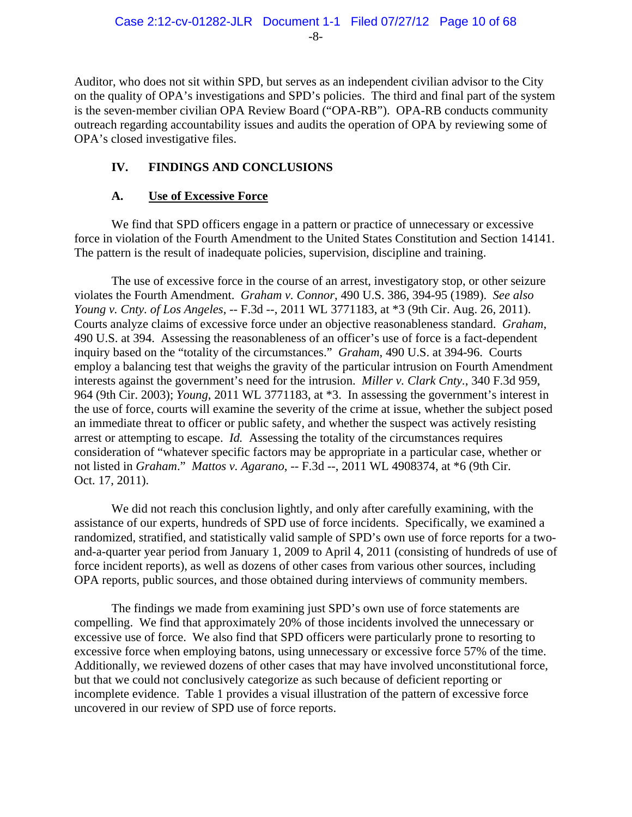Auditor, who does not sit within SPD, but serves as an independent civilian advisor to the City on the quality of OPA's investigations and SPD's policies. The third and final part of the system is the seven-member civilian OPA Review Board ("OPA-RB"). OPA-RB conducts community outreach regarding accountability issues and audits the operation of OPA by reviewing some of OPA's closed investigative files.

# **IV. FINDINGS AND CONCLUSIONS**

# **A. Use of Excessive Force**

We find that SPD officers engage in a pattern or practice of unnecessary or excessive force in violation of the Fourth Amendment to the United States Constitution and Section 14141. The pattern is the result of inadequate policies, supervision, discipline and training.

The use of excessive force in the course of an arrest, investigatory stop, or other seizure violates the Fourth Amendment. *Graham v. Connor*, 490 U.S. 386, 394-95 (1989). *See also Young v. Cnty. of Los Angeles*, -- F.3d --, 2011 WL 3771183, at \*3 (9th Cir. Aug. 26, 2011). Courts analyze claims of excessive force under an objective reasonableness standard. *Graham*, 490 U.S. at 394. Assessing the reasonableness of an officer's use of force is a fact-dependent inquiry based on the "totality of the circumstances." *Graham*, 490 U.S. at 394-96. Courts employ a balancing test that weighs the gravity of the particular intrusion on Fourth Amendment interests against the government's need for the intrusion. *Miller v. Clark Cnty.*, 340 F.3d 959, 964 (9th Cir. 2003); *Young*, 2011 WL 3771183, at \*3. In assessing the government's interest in the use of force, courts will examine the severity of the crime at issue, whether the subject posed an immediate threat to officer or public safety, and whether the suspect was actively resisting arrest or attempting to escape. *Id.* Assessing the totality of the circumstances requires consideration of "whatever specific factors may be appropriate in a particular case, whether or not listed in *Graham*." *Mattos v. Agarano*, -- F.3d --, 2011 WL 4908374, at \*6 (9th Cir. Oct. 17, 2011).

We did not reach this conclusion lightly, and only after carefully examining, with the assistance of our experts, hundreds of SPD use of force incidents. Specifically, we examined a randomized, stratified, and statistically valid sample of SPD's own use of force reports for a twoand-a-quarter year period from January 1, 2009 to April 4, 2011 (consisting of hundreds of use of force incident reports), as well as dozens of other cases from various other sources, including OPA reports, public sources, and those obtained during interviews of community members.

The findings we made from examining just SPD's own use of force statements are compelling. We find that approximately 20% of those incidents involved the unnecessary or excessive use of force. We also find that SPD officers were particularly prone to resorting to excessive force when employing batons, using unnecessary or excessive force 57% of the time. Additionally, we reviewed dozens of other cases that may have involved unconstitutional force, but that we could not conclusively categorize as such because of deficient reporting or incomplete evidence. Table 1 provides a visual illustration of the pattern of excessive force uncovered in our review of SPD use of force reports.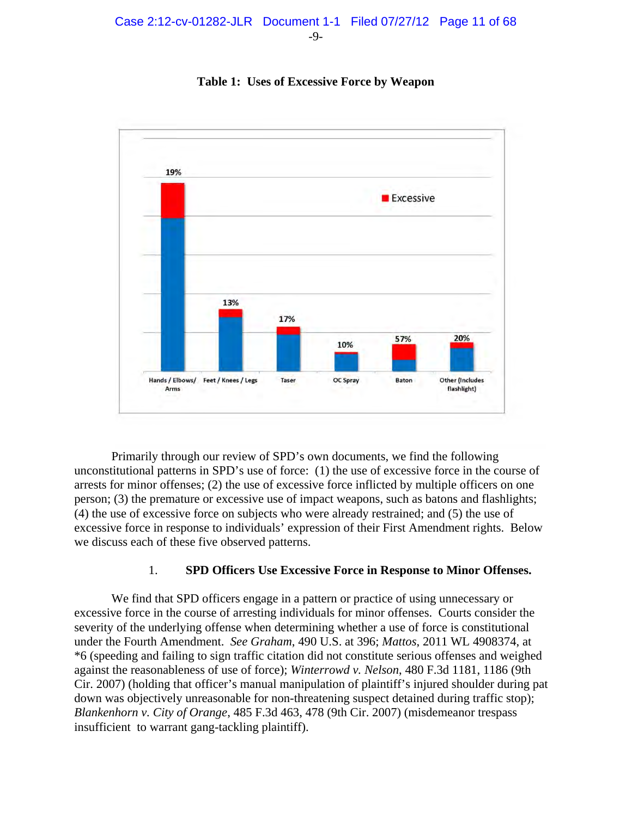

**Table 1: Uses of Excessive Force by Weapon**

Primarily through our review of SPD's own documents, we find the following unconstitutional patterns in SPD's use of force: (1) the use of excessive force in the course of arrests for minor offenses; (2) the use of excessive force inflicted by multiple officers on one person; (3) the premature or excessive use of impact weapons, such as batons and flashlights; (4) the use of excessive force on subjects who were already restrained; and (5) the use of excessive force in response to individuals' expression of their First Amendment rights. Below we discuss each of these five observed patterns.

# 1. **SPD Officers Use Excessive Force in Response to Minor Offenses.**

We find that SPD officers engage in a pattern or practice of using unnecessary or excessive force in the course of arresting individuals for minor offenses. Courts consider the severity of the underlying offense when determining whether a use of force is constitutional under the Fourth Amendment. *See Graham*, 490 U.S. at 396; *Mattos*, 2011 WL 4908374, at \*6 (speeding and failing to sign traffic citation did not constitute serious offenses and weighed against the reasonableness of use of force); *Winterrowd v. Nelson*, 480 F.3d 1181, 1186 (9th Cir. 2007) (holding that officer's manual manipulation of plaintiff's injured shoulder during pat down was objectively unreasonable for non-threatening suspect detained during traffic stop); *Blankenhorn v. City of Orange*, 485 F.3d 463, 478 (9th Cir. 2007) (misdemeanor trespass insufficient to warrant gang-tackling plaintiff).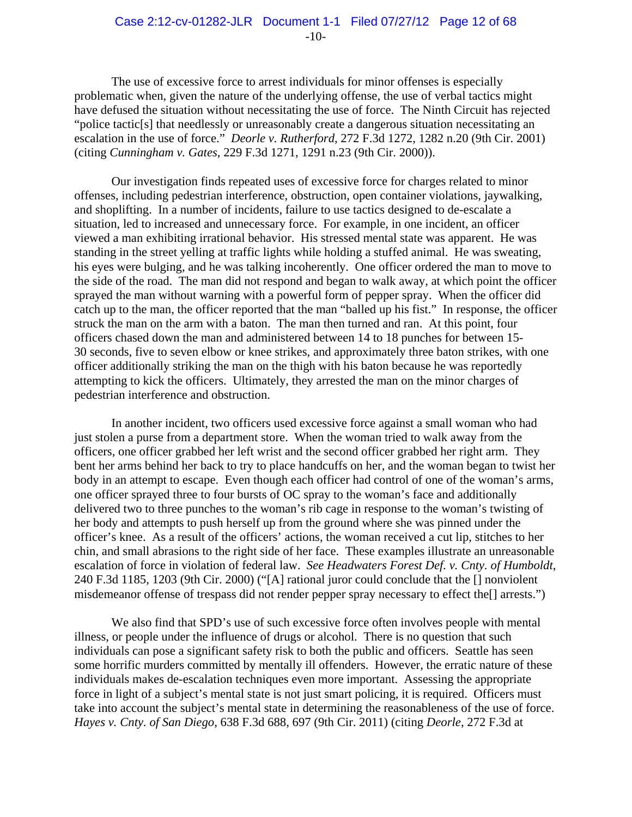The use of excessive force to arrest individuals for minor offenses is especially problematic when, given the nature of the underlying offense, the use of verbal tactics might have defused the situation without necessitating the use of force. The Ninth Circuit has rejected "police tactic[s] that needlessly or unreasonably create a dangerous situation necessitating an escalation in the use of force." *Deorle v. Rutherford*, 272 F.3d 1272, 1282 n.20 (9th Cir. 2001) (citing *Cunningham v. Gates*, 229 F.3d 1271, 1291 n.23 (9th Cir. 2000)).

Our investigation finds repeated uses of excessive force for charges related to minor offenses, including pedestrian interference, obstruction, open container violations, jaywalking, and shoplifting. In a number of incidents, failure to use tactics designed to de-escalate a situation, led to increased and unnecessary force. For example, in one incident, an officer viewed a man exhibiting irrational behavior. His stressed mental state was apparent. He was standing in the street yelling at traffic lights while holding a stuffed animal. He was sweating, his eyes were bulging, and he was talking incoherently. One officer ordered the man to move to the side of the road. The man did not respond and began to walk away, at which point the officer sprayed the man without warning with a powerful form of pepper spray. When the officer did catch up to the man, the officer reported that the man "balled up his fist." In response, the officer struck the man on the arm with a baton. The man then turned and ran. At this point, four officers chased down the man and administered between 14 to 18 punches for between 15- 30 seconds, five to seven elbow or knee strikes, and approximately three baton strikes, with one officer additionally striking the man on the thigh with his baton because he was reportedly attempting to kick the officers. Ultimately, they arrested the man on the minor charges of pedestrian interference and obstruction.

 In another incident, two officers used excessive force against a small woman who had just stolen a purse from a department store. When the woman tried to walk away from the officers, one officer grabbed her left wrist and the second officer grabbed her right arm. They bent her arms behind her back to try to place handcuffs on her, and the woman began to twist her body in an attempt to escape. Even though each officer had control of one of the woman's arms, one officer sprayed three to four bursts of OC spray to the woman's face and additionally delivered two to three punches to the woman's rib cage in response to the woman's twisting of her body and attempts to push herself up from the ground where she was pinned under the officer's knee. As a result of the officers' actions, the woman received a cut lip, stitches to her chin, and small abrasions to the right side of her face. These examples illustrate an unreasonable escalation of force in violation of federal law. *See Headwaters Forest Def. v. Cnty. of Humboldt*, 240 F.3d 1185, 1203 (9th Cir. 2000) ("[A] rational juror could conclude that the [] nonviolent misdemeanor offense of trespass did not render pepper spray necessary to effect the[] arrests.")

We also find that SPD's use of such excessive force often involves people with mental illness, or people under the influence of drugs or alcohol. There is no question that such individuals can pose a significant safety risk to both the public and officers. Seattle has seen some horrific murders committed by mentally ill offenders. However, the erratic nature of these individuals makes de-escalation techniques even more important. Assessing the appropriate force in light of a subject's mental state is not just smart policing, it is required. Officers must take into account the subject's mental state in determining the reasonableness of the use of force. *Hayes v. Cnty. of San Diego*, 638 F.3d 688, 697 (9th Cir. 2011) (citing *Deorle*, 272 F.3d at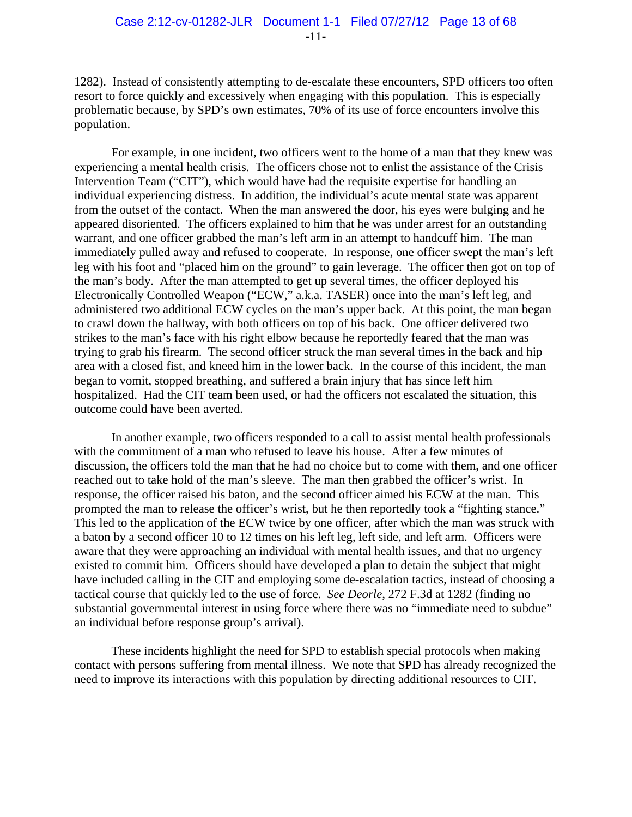1282). Instead of consistently attempting to de-escalate these encounters, SPD officers too often resort to force quickly and excessively when engaging with this population. This is especially problematic because, by SPD's own estimates, 70% of its use of force encounters involve this population.

For example, in one incident, two officers went to the home of a man that they knew was experiencing a mental health crisis. The officers chose not to enlist the assistance of the Crisis Intervention Team ("CIT"), which would have had the requisite expertise for handling an individual experiencing distress. In addition, the individual's acute mental state was apparent from the outset of the contact. When the man answered the door, his eyes were bulging and he appeared disoriented. The officers explained to him that he was under arrest for an outstanding warrant, and one officer grabbed the man's left arm in an attempt to handcuff him. The man immediately pulled away and refused to cooperate. In response, one officer swept the man's left leg with his foot and "placed him on the ground" to gain leverage. The officer then got on top of the man's body. After the man attempted to get up several times, the officer deployed his Electronically Controlled Weapon ("ECW," a.k.a. TASER) once into the man's left leg, and administered two additional ECW cycles on the man's upper back. At this point, the man began to crawl down the hallway, with both officers on top of his back. One officer delivered two strikes to the man's face with his right elbow because he reportedly feared that the man was trying to grab his firearm. The second officer struck the man several times in the back and hip area with a closed fist, and kneed him in the lower back. In the course of this incident, the man began to vomit, stopped breathing, and suffered a brain injury that has since left him hospitalized. Had the CIT team been used, or had the officers not escalated the situation, this outcome could have been averted.

In another example, two officers responded to a call to assist mental health professionals with the commitment of a man who refused to leave his house. After a few minutes of discussion, the officers told the man that he had no choice but to come with them, and one officer reached out to take hold of the man's sleeve. The man then grabbed the officer's wrist. In response, the officer raised his baton, and the second officer aimed his ECW at the man. This prompted the man to release the officer's wrist, but he then reportedly took a "fighting stance." This led to the application of the ECW twice by one officer, after which the man was struck with a baton by a second officer 10 to 12 times on his left leg, left side, and left arm. Officers were aware that they were approaching an individual with mental health issues, and that no urgency existed to commit him. Officers should have developed a plan to detain the subject that might have included calling in the CIT and employing some de-escalation tactics, instead of choosing a tactical course that quickly led to the use of force. *See Deorle*, 272 F.3d at 1282 (finding no substantial governmental interest in using force where there was no "immediate need to subdue" an individual before response group's arrival).

These incidents highlight the need for SPD to establish special protocols when making contact with persons suffering from mental illness. We note that SPD has already recognized the need to improve its interactions with this population by directing additional resources to CIT.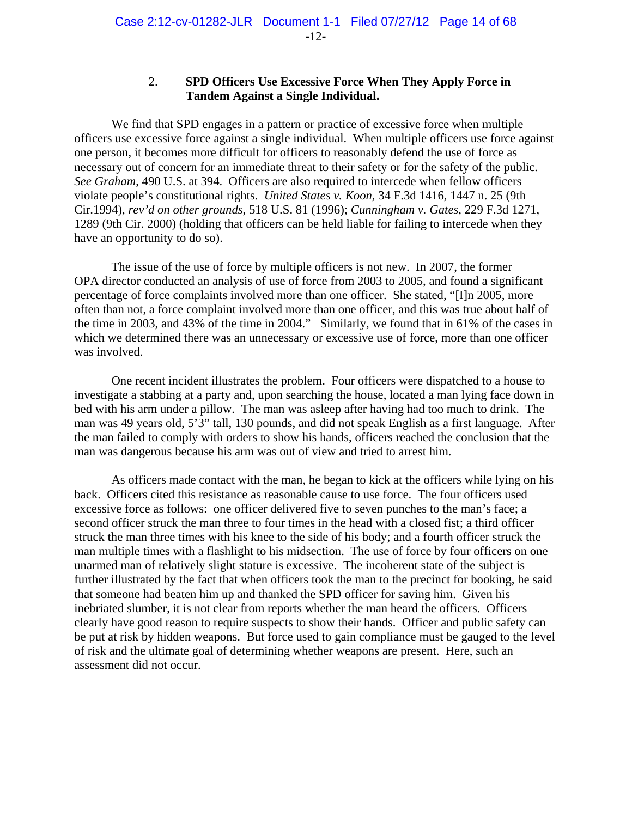#### 2. **SPD Officers Use Excessive Force When They Apply Force in Tandem Against a Single Individual.**

We find that SPD engages in a pattern or practice of excessive force when multiple officers use excessive force against a single individual. When multiple officers use force against one person, it becomes more difficult for officers to reasonably defend the use of force as necessary out of concern for an immediate threat to their safety or for the safety of the public. *See Graham*, 490 U.S. at 394. Officers are also required to intercede when fellow officers violate people's constitutional rights. *United States v. Koon*, 34 F.3d 1416, 1447 n. 25 (9th Cir.1994), *rev'd on other grounds*, 518 U.S. 81 (1996); *Cunningham v. Gates*, 229 F.3d 1271, 1289 (9th Cir. 2000) (holding that officers can be held liable for failing to intercede when they have an opportunity to do so).

The issue of the use of force by multiple officers is not new. In 2007, the former OPA director conducted an analysis of use of force from 2003 to 2005, and found a significant percentage of force complaints involved more than one officer. She stated, "[I]n 2005, more often than not, a force complaint involved more than one officer, and this was true about half of the time in 2003, and 43% of the time in 2004." Similarly, we found that in 61% of the cases in which we determined there was an unnecessary or excessive use of force, more than one officer was involved.

One recent incident illustrates the problem. Four officers were dispatched to a house to investigate a stabbing at a party and, upon searching the house, located a man lying face down in bed with his arm under a pillow. The man was asleep after having had too much to drink. The man was 49 years old, 5'3" tall, 130 pounds, and did not speak English as a first language. After the man failed to comply with orders to show his hands, officers reached the conclusion that the man was dangerous because his arm was out of view and tried to arrest him.

As officers made contact with the man, he began to kick at the officers while lying on his back. Officers cited this resistance as reasonable cause to use force. The four officers used excessive force as follows: one officer delivered five to seven punches to the man's face; a second officer struck the man three to four times in the head with a closed fist; a third officer struck the man three times with his knee to the side of his body; and a fourth officer struck the man multiple times with a flashlight to his midsection. The use of force by four officers on one unarmed man of relatively slight stature is excessive. The incoherent state of the subject is further illustrated by the fact that when officers took the man to the precinct for booking, he said that someone had beaten him up and thanked the SPD officer for saving him. Given his inebriated slumber, it is not clear from reports whether the man heard the officers. Officers clearly have good reason to require suspects to show their hands. Officer and public safety can be put at risk by hidden weapons. But force used to gain compliance must be gauged to the level of risk and the ultimate goal of determining whether weapons are present. Here, such an assessment did not occur.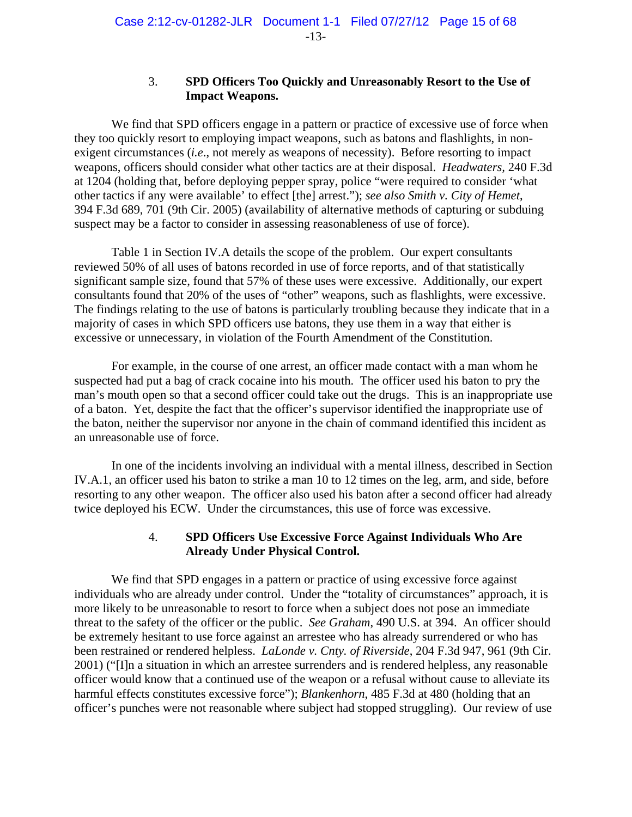#### 3. **SPD Officers Too Quickly and Unreasonably Resort to the Use of Impact Weapons.**

We find that SPD officers engage in a pattern or practice of excessive use of force when they too quickly resort to employing impact weapons, such as batons and flashlights, in nonexigent circumstances (*i.e*., not merely as weapons of necessity). Before resorting to impact weapons, officers should consider what other tactics are at their disposal. *Headwaters,* 240 F.3d at 1204 (holding that, before deploying pepper spray, police "were required to consider 'what other tactics if any were available' to effect [the] arrest."); *see also Smith v. City of Hemet*, 394 F.3d 689, 701 (9th Cir. 2005) (availability of alternative methods of capturing or subduing suspect may be a factor to consider in assessing reasonableness of use of force).

Table 1 in Section IV.A details the scope of the problem. Our expert consultants reviewed 50% of all uses of batons recorded in use of force reports, and of that statistically significant sample size, found that 57% of these uses were excessive. Additionally, our expert consultants found that 20% of the uses of "other" weapons, such as flashlights, were excessive. The findings relating to the use of batons is particularly troubling because they indicate that in a majority of cases in which SPD officers use batons, they use them in a way that either is excessive or unnecessary, in violation of the Fourth Amendment of the Constitution.

For example, in the course of one arrest, an officer made contact with a man whom he suspected had put a bag of crack cocaine into his mouth. The officer used his baton to pry the man's mouth open so that a second officer could take out the drugs. This is an inappropriate use of a baton. Yet, despite the fact that the officer's supervisor identified the inappropriate use of the baton, neither the supervisor nor anyone in the chain of command identified this incident as an unreasonable use of force.

In one of the incidents involving an individual with a mental illness, described in Section IV.A.1, an officer used his baton to strike a man 10 to 12 times on the leg, arm, and side, before resorting to any other weapon. The officer also used his baton after a second officer had already twice deployed his ECW. Under the circumstances, this use of force was excessive.

#### 4. **SPD Officers Use Excessive Force Against Individuals Who Are Already Under Physical Control.**

We find that SPD engages in a pattern or practice of using excessive force against individuals who are already under control. Under the "totality of circumstances" approach, it is more likely to be unreasonable to resort to force when a subject does not pose an immediate threat to the safety of the officer or the public. *See Graham*, 490 U.S. at 394. An officer should be extremely hesitant to use force against an arrestee who has already surrendered or who has been restrained or rendered helpless. *LaLonde v. Cnty. of Riverside*, 204 F.3d 947, 961 (9th Cir. 2001) ("[I]n a situation in which an arrestee surrenders and is rendered helpless, any reasonable officer would know that a continued use of the weapon or a refusal without cause to alleviate its harmful effects constitutes excessive force"); *Blankenhorn*, 485 F.3d at 480 (holding that an officer's punches were not reasonable where subject had stopped struggling). Our review of use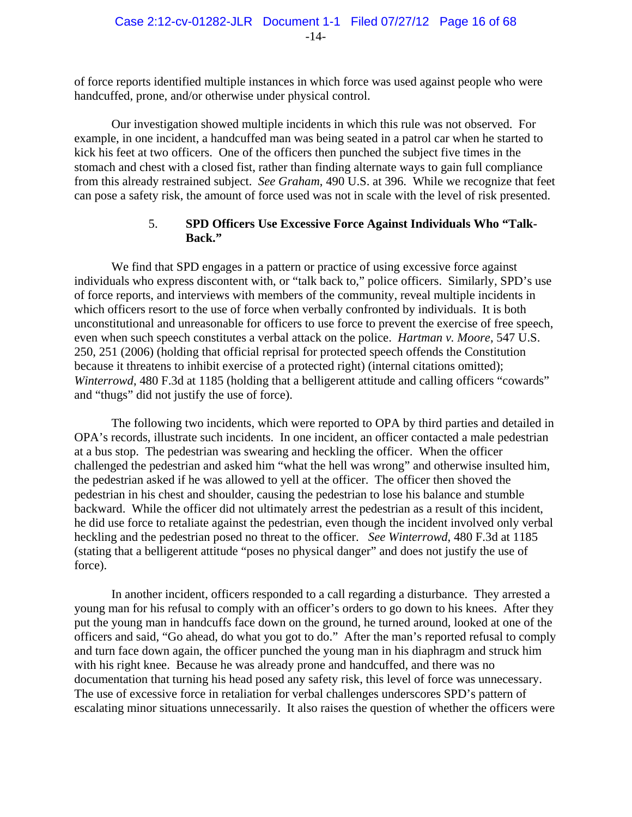of force reports identified multiple instances in which force was used against people who were handcuffed, prone, and/or otherwise under physical control.

Our investigation showed multiple incidents in which this rule was not observed. For example, in one incident, a handcuffed man was being seated in a patrol car when he started to kick his feet at two officers. One of the officers then punched the subject five times in the stomach and chest with a closed fist, rather than finding alternate ways to gain full compliance from this already restrained subject. *See Graham*, 490 U.S. at 396. While we recognize that feet can pose a safety risk, the amount of force used was not in scale with the level of risk presented.

# 5. **SPD Officers Use Excessive Force Against Individuals Who "Talk-Back."**

We find that SPD engages in a pattern or practice of using excessive force against individuals who express discontent with, or "talk back to," police officers. Similarly, SPD's use of force reports, and interviews with members of the community, reveal multiple incidents in which officers resort to the use of force when verbally confronted by individuals. It is both unconstitutional and unreasonable for officers to use force to prevent the exercise of free speech, even when such speech constitutes a verbal attack on the police. *Hartman v. Moore*, 547 U.S. 250, 251 (2006) (holding that official reprisal for protected speech offends the Constitution because it threatens to inhibit exercise of a protected right) (internal citations omitted); *Winterrowd*, 480 F.3d at 1185 (holding that a belligerent attitude and calling officers "cowards" and "thugs" did not justify the use of force).

The following two incidents, which were reported to OPA by third parties and detailed in OPA's records, illustrate such incidents. In one incident, an officer contacted a male pedestrian at a bus stop. The pedestrian was swearing and heckling the officer. When the officer challenged the pedestrian and asked him "what the hell was wrong" and otherwise insulted him, the pedestrian asked if he was allowed to yell at the officer. The officer then shoved the pedestrian in his chest and shoulder, causing the pedestrian to lose his balance and stumble backward. While the officer did not ultimately arrest the pedestrian as a result of this incident, he did use force to retaliate against the pedestrian, even though the incident involved only verbal heckling and the pedestrian posed no threat to the officer. *See Winterrowd*, 480 F.3d at 1185 (stating that a belligerent attitude "poses no physical danger" and does not justify the use of force).

In another incident, officers responded to a call regarding a disturbance. They arrested a young man for his refusal to comply with an officer's orders to go down to his knees. After they put the young man in handcuffs face down on the ground, he turned around, looked at one of the officers and said, "Go ahead, do what you got to do." After the man's reported refusal to comply and turn face down again, the officer punched the young man in his diaphragm and struck him with his right knee. Because he was already prone and handcuffed, and there was no documentation that turning his head posed any safety risk, this level of force was unnecessary. The use of excessive force in retaliation for verbal challenges underscores SPD's pattern of escalating minor situations unnecessarily. It also raises the question of whether the officers were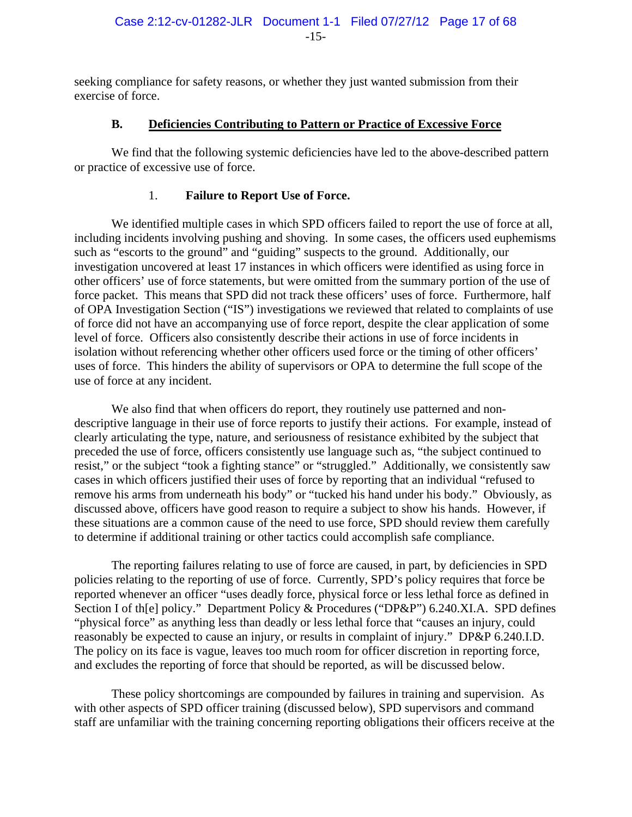seeking compliance for safety reasons, or whether they just wanted submission from their exercise of force.

# **B. Deficiencies Contributing to Pattern or Practice of Excessive Force**

We find that the following systemic deficiencies have led to the above-described pattern or practice of excessive use of force.

# 1. **Failure to Report Use of Force.**

We identified multiple cases in which SPD officers failed to report the use of force at all, including incidents involving pushing and shoving. In some cases, the officers used euphemisms such as "escorts to the ground" and "guiding" suspects to the ground. Additionally, our investigation uncovered at least 17 instances in which officers were identified as using force in other officers' use of force statements, but were omitted from the summary portion of the use of force packet. This means that SPD did not track these officers' uses of force. Furthermore, half of OPA Investigation Section ("IS") investigations we reviewed that related to complaints of use of force did not have an accompanying use of force report, despite the clear application of some level of force. Officers also consistently describe their actions in use of force incidents in isolation without referencing whether other officers used force or the timing of other officers' uses of force. This hinders the ability of supervisors or OPA to determine the full scope of the use of force at any incident.

We also find that when officers do report, they routinely use patterned and nondescriptive language in their use of force reports to justify their actions. For example, instead of clearly articulating the type, nature, and seriousness of resistance exhibited by the subject that preceded the use of force, officers consistently use language such as, "the subject continued to resist," or the subject "took a fighting stance" or "struggled." Additionally, we consistently saw cases in which officers justified their uses of force by reporting that an individual "refused to remove his arms from underneath his body" or "tucked his hand under his body." Obviously, as discussed above, officers have good reason to require a subject to show his hands. However, if these situations are a common cause of the need to use force, SPD should review them carefully to determine if additional training or other tactics could accomplish safe compliance.

The reporting failures relating to use of force are caused, in part, by deficiencies in SPD policies relating to the reporting of use of force. Currently, SPD's policy requires that force be reported whenever an officer "uses deadly force, physical force or less lethal force as defined in Section I of the policy." Department Policy & Procedures ("DP&P") 6.240.XI.A. SPD defines "physical force" as anything less than deadly or less lethal force that "causes an injury, could reasonably be expected to cause an injury, or results in complaint of injury." DP&P 6.240.I.D. The policy on its face is vague, leaves too much room for officer discretion in reporting force, and excludes the reporting of force that should be reported, as will be discussed below.

These policy shortcomings are compounded by failures in training and supervision. As with other aspects of SPD officer training (discussed below), SPD supervisors and command staff are unfamiliar with the training concerning reporting obligations their officers receive at the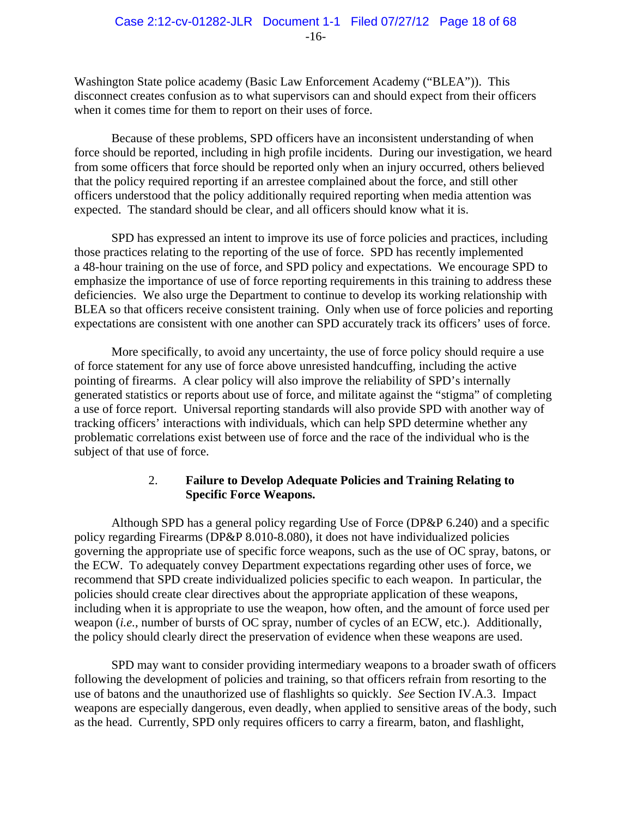Washington State police academy (Basic Law Enforcement Academy ("BLEA")). This disconnect creates confusion as to what supervisors can and should expect from their officers when it comes time for them to report on their uses of force.

Because of these problems, SPD officers have an inconsistent understanding of when force should be reported, including in high profile incidents. During our investigation, we heard from some officers that force should be reported only when an injury occurred, others believed that the policy required reporting if an arrestee complained about the force, and still other officers understood that the policy additionally required reporting when media attention was expected. The standard should be clear, and all officers should know what it is.

SPD has expressed an intent to improve its use of force policies and practices, including those practices relating to the reporting of the use of force. SPD has recently implemented a 48-hour training on the use of force, and SPD policy and expectations. We encourage SPD to emphasize the importance of use of force reporting requirements in this training to address these deficiencies. We also urge the Department to continue to develop its working relationship with BLEA so that officers receive consistent training. Only when use of force policies and reporting expectations are consistent with one another can SPD accurately track its officers' uses of force.

More specifically, to avoid any uncertainty, the use of force policy should require a use of force statement for any use of force above unresisted handcuffing, including the active pointing of firearms. A clear policy will also improve the reliability of SPD's internally generated statistics or reports about use of force, and militate against the "stigma" of completing a use of force report. Universal reporting standards will also provide SPD with another way of tracking officers' interactions with individuals, which can help SPD determine whether any problematic correlations exist between use of force and the race of the individual who is the subject of that use of force.

# 2. **Failure to Develop Adequate Policies and Training Relating to Specific Force Weapons.**

 Although SPD has a general policy regarding Use of Force (DP&P 6.240) and a specific policy regarding Firearms (DP&P 8.010-8.080), it does not have individualized policies governing the appropriate use of specific force weapons, such as the use of OC spray, batons, or the ECW. To adequately convey Department expectations regarding other uses of force, we recommend that SPD create individualized policies specific to each weapon. In particular, the policies should create clear directives about the appropriate application of these weapons, including when it is appropriate to use the weapon, how often, and the amount of force used per weapon (*i.e.*, number of bursts of OC spray, number of cycles of an ECW, etc.). Additionally, the policy should clearly direct the preservation of evidence when these weapons are used.

SPD may want to consider providing intermediary weapons to a broader swath of officers following the development of policies and training, so that officers refrain from resorting to the use of batons and the unauthorized use of flashlights so quickly. *See* Section IV.A.3. Impact weapons are especially dangerous, even deadly, when applied to sensitive areas of the body, such as the head. Currently, SPD only requires officers to carry a firearm, baton, and flashlight,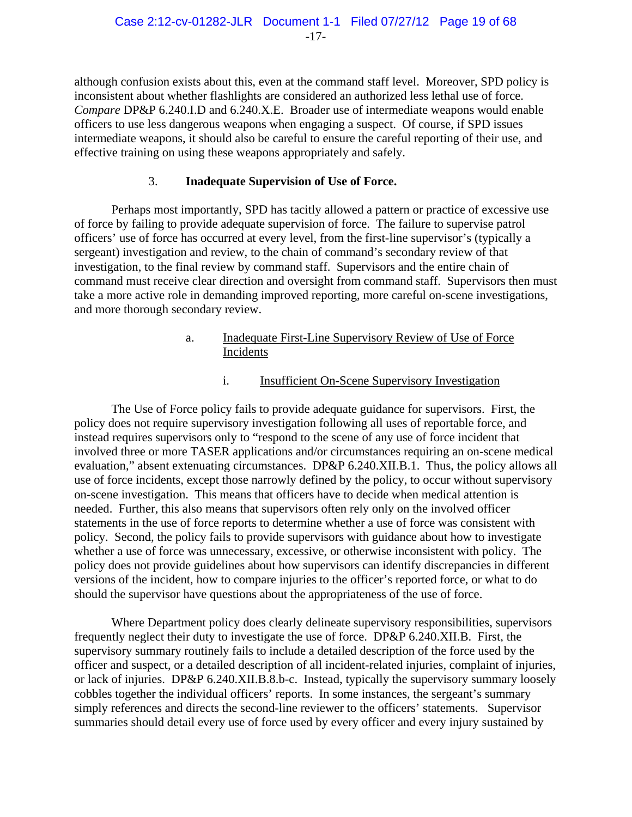although confusion exists about this, even at the command staff level. Moreover, SPD policy is inconsistent about whether flashlights are considered an authorized less lethal use of force. *Compare* DP&P 6.240.I.D and 6.240.X.E.Broader use of intermediate weapons would enable officers to use less dangerous weapons when engaging a suspect. Of course, if SPD issues intermediate weapons, it should also be careful to ensure the careful reporting of their use, and effective training on using these weapons appropriately and safely.

# 3. **Inadequate Supervision of Use of Force.**

Perhaps most importantly, SPD has tacitly allowed a pattern or practice of excessive use of force by failing to provide adequate supervision of force. The failure to supervise patrol officers' use of force has occurred at every level, from the first-line supervisor's (typically a sergeant) investigation and review, to the chain of command's secondary review of that investigation, to the final review by command staff. Supervisors and the entire chain of command must receive clear direction and oversight from command staff. Supervisors then must take a more active role in demanding improved reporting, more careful on-scene investigations, and more thorough secondary review.

# a. Inadequate First-Line Supervisory Review of Use of Force Incidents

# i. Insufficient On-Scene Supervisory Investigation

The Use of Force policy fails to provide adequate guidance for supervisors. First, the policy does not require supervisory investigation following all uses of reportable force, and instead requires supervisors only to "respond to the scene of any use of force incident that involved three or more TASER applications and/or circumstances requiring an on-scene medical evaluation," absent extenuating circumstances. DP&P 6.240.XII.B.1. Thus, the policy allows all use of force incidents, except those narrowly defined by the policy, to occur without supervisory on-scene investigation. This means that officers have to decide when medical attention is needed. Further, this also means that supervisors often rely only on the involved officer statements in the use of force reports to determine whether a use of force was consistent with policy. Second, the policy fails to provide supervisors with guidance about how to investigate whether a use of force was unnecessary, excessive, or otherwise inconsistent with policy. The policy does not provide guidelines about how supervisors can identify discrepancies in different versions of the incident, how to compare injuries to the officer's reported force, or what to do should the supervisor have questions about the appropriateness of the use of force.

Where Department policy does clearly delineate supervisory responsibilities, supervisors frequently neglect their duty to investigate the use of force. DP&P 6.240.XII.B. First, the supervisory summary routinely fails to include a detailed description of the force used by the officer and suspect, or a detailed description of all incident-related injuries, complaint of injuries, or lack of injuries. DP&P 6.240.XII.B.8.b-c. Instead, typically the supervisory summary loosely cobbles together the individual officers' reports. In some instances, the sergeant's summary simply references and directs the second-line reviewer to the officers' statements. Supervisor summaries should detail every use of force used by every officer and every injury sustained by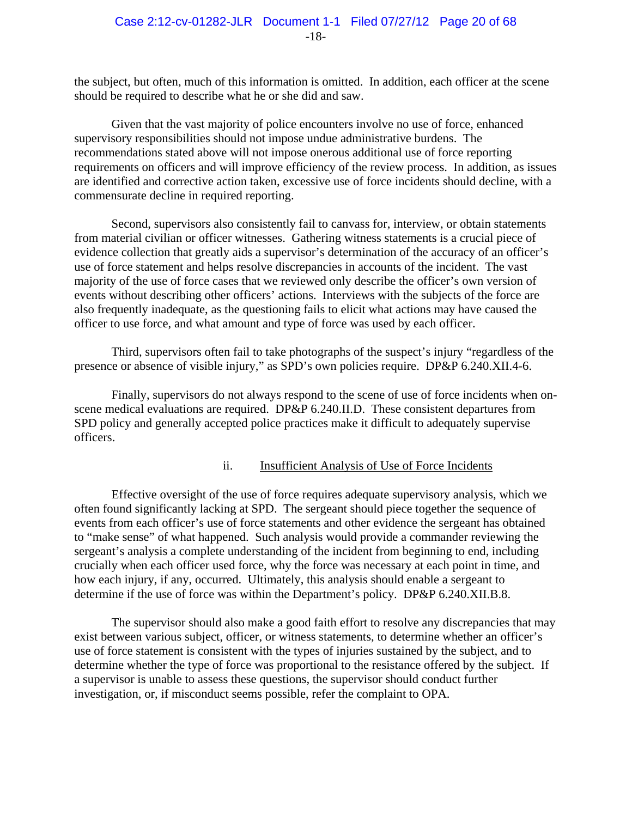the subject, but often, much of this information is omitted. In addition, each officer at the scene should be required to describe what he or she did and saw.

Given that the vast majority of police encounters involve no use of force, enhanced supervisory responsibilities should not impose undue administrative burdens. The recommendations stated above will not impose onerous additional use of force reporting requirements on officers and will improve efficiency of the review process. In addition, as issues are identified and corrective action taken, excessive use of force incidents should decline, with a commensurate decline in required reporting.

Second, supervisors also consistently fail to canvass for, interview, or obtain statements from material civilian or officer witnesses. Gathering witness statements is a crucial piece of evidence collection that greatly aids a supervisor's determination of the accuracy of an officer's use of force statement and helps resolve discrepancies in accounts of the incident. The vast majority of the use of force cases that we reviewed only describe the officer's own version of events without describing other officers' actions. Interviews with the subjects of the force are also frequently inadequate, as the questioning fails to elicit what actions may have caused the officer to use force, and what amount and type of force was used by each officer.

Third, supervisors often fail to take photographs of the suspect's injury "regardless of the presence or absence of visible injury," as SPD's own policies require. DP&P 6.240.XII.4-6.

Finally, supervisors do not always respond to the scene of use of force incidents when onscene medical evaluations are required. DP&P 6.240.II.D. These consistent departures from SPD policy and generally accepted police practices make it difficult to adequately supervise officers.

#### ii. Insufficient Analysis of Use of Force Incidents

Effective oversight of the use of force requires adequate supervisory analysis, which we often found significantly lacking at SPD. The sergeant should piece together the sequence of events from each officer's use of force statements and other evidence the sergeant has obtained to "make sense" of what happened. Such analysis would provide a commander reviewing the sergeant's analysis a complete understanding of the incident from beginning to end, including crucially when each officer used force, why the force was necessary at each point in time, and how each injury, if any, occurred. Ultimately, this analysis should enable a sergeant to determine if the use of force was within the Department's policy. DP&P 6.240.XII.B.8.

The supervisor should also make a good faith effort to resolve any discrepancies that may exist between various subject, officer, or witness statements, to determine whether an officer's use of force statement is consistent with the types of injuries sustained by the subject, and to determine whether the type of force was proportional to the resistance offered by the subject. If a supervisor is unable to assess these questions, the supervisor should conduct further investigation, or, if misconduct seems possible, refer the complaint to OPA.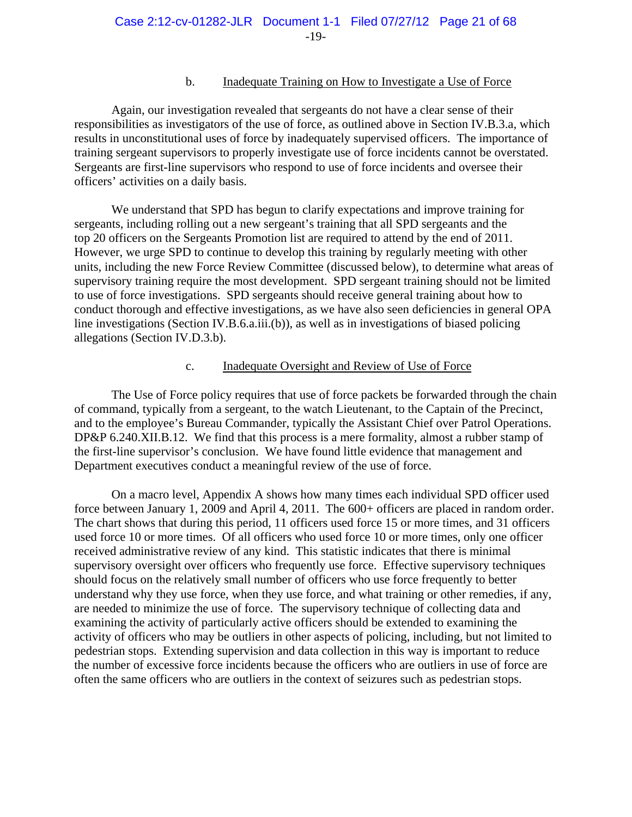#### b. Inadequate Training on How to Investigate a Use of Force

Again, our investigation revealed that sergeants do not have a clear sense of their responsibilities as investigators of the use of force, as outlined above in Section IV.B.3.a, which results in unconstitutional uses of force by inadequately supervised officers. The importance of training sergeant supervisors to properly investigate use of force incidents cannot be overstated. Sergeants are first-line supervisors who respond to use of force incidents and oversee their officers' activities on a daily basis.

We understand that SPD has begun to clarify expectations and improve training for sergeants, including rolling out a new sergeant's training that all SPD sergeants and the top 20 officers on the Sergeants Promotion list are required to attend by the end of 2011. However, we urge SPD to continue to develop this training by regularly meeting with other units, including the new Force Review Committee (discussed below), to determine what areas of supervisory training require the most development. SPD sergeant training should not be limited to use of force investigations. SPD sergeants should receive general training about how to conduct thorough and effective investigations, as we have also seen deficiencies in general OPA line investigations (Section IV.B.6.a.iii.(b)), as well as in investigations of biased policing allegations (Section IV.D.3.b).

#### c. Inadequate Oversight and Review of Use of Force

 The Use of Force policy requires that use of force packets be forwarded through the chain of command, typically from a sergeant, to the watch Lieutenant, to the Captain of the Precinct, and to the employee's Bureau Commander, typically the Assistant Chief over Patrol Operations. DP&P 6.240.XII.B.12. We find that this process is a mere formality, almost a rubber stamp of the first-line supervisor's conclusion. We have found little evidence that management and Department executives conduct a meaningful review of the use of force.

 On a macro level, Appendix A shows how many times each individual SPD officer used force between January 1, 2009 and April 4, 2011. The 600+ officers are placed in random order. The chart shows that during this period, 11 officers used force 15 or more times, and 31 officers used force 10 or more times. Of all officers who used force 10 or more times, only one officer received administrative review of any kind. This statistic indicates that there is minimal supervisory oversight over officers who frequently use force. Effective supervisory techniques should focus on the relatively small number of officers who use force frequently to better understand why they use force, when they use force, and what training or other remedies, if any, are needed to minimize the use of force. The supervisory technique of collecting data and examining the activity of particularly active officers should be extended to examining the activity of officers who may be outliers in other aspects of policing, including, but not limited to pedestrian stops. Extending supervision and data collection in this way is important to reduce the number of excessive force incidents because the officers who are outliers in use of force are often the same officers who are outliers in the context of seizures such as pedestrian stops.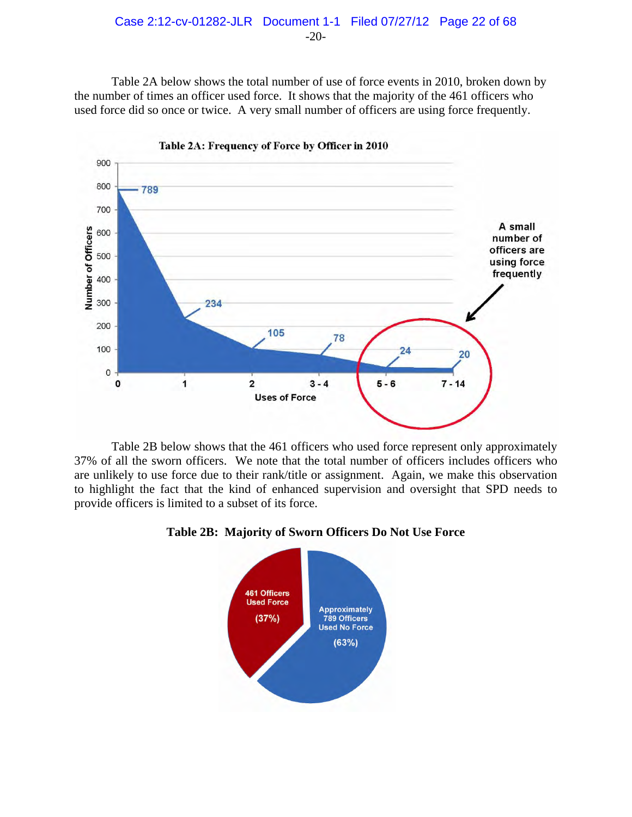

Table 2A below shows the total number of use of force events in 2010, broken down by the number of times an officer used force. It shows that the majority of the 461 officers who used force did so once or twice. A very small number of officers are using force frequently.



 Table 2B below shows that the 461 officers who used force represent only approximately 37% of all the sworn officers. We note that the total number of officers includes officers who are unlikely to use force due to their rank/title or assignment. Again, we make this observation to highlight the fact that the kind of enhanced supervision and oversight that SPD needs to provide officers is limited to a subset of its force.



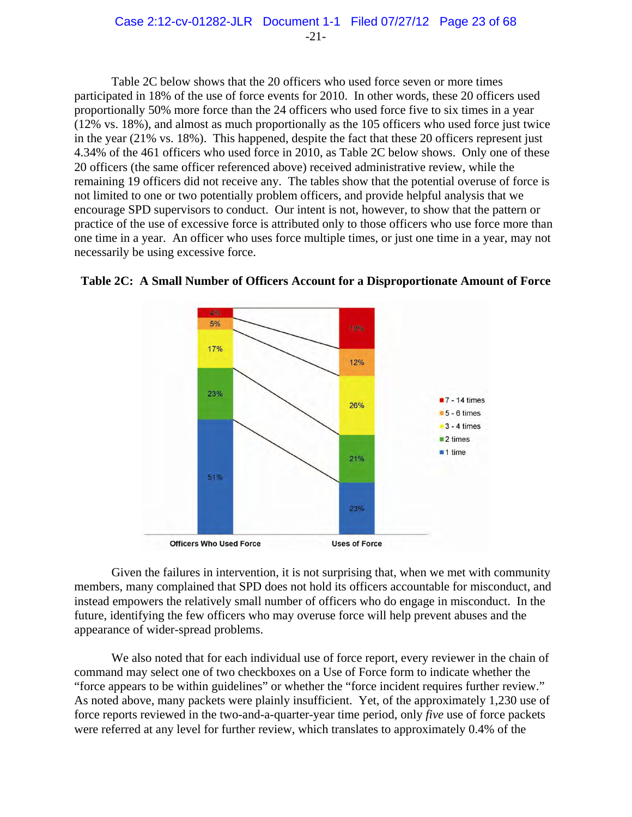Table 2C below shows that the 20 officers who used force seven or more times participated in 18% of the use of force events for 2010. In other words, these 20 officers used proportionally 50% more force than the 24 officers who used force five to six times in a year (12% vs. 18%), and almost as much proportionally as the 105 officers who used force just twice in the year (21% vs. 18%). This happened, despite the fact that these 20 officers represent just 4.34% of the 461 officers who used force in 2010, as Table 2C below shows. Only one of these 20 officers (the same officer referenced above) received administrative review, while the remaining 19 officers did not receive any. The tables show that the potential overuse of force is not limited to one or two potentially problem officers, and provide helpful analysis that we encourage SPD supervisors to conduct. Our intent is not, however, to show that the pattern or practice of the use of excessive force is attributed only to those officers who use force more than one time in a year. An officer who uses force multiple times, or just one time in a year, may not necessarily be using excessive force.





Given the failures in intervention, it is not surprising that, when we met with community members, many complained that SPD does not hold its officers accountable for misconduct, and instead empowers the relatively small number of officers who do engage in misconduct. In the future, identifying the few officers who may overuse force will help prevent abuses and the appearance of wider-spread problems.

We also noted that for each individual use of force report, every reviewer in the chain of command may select one of two checkboxes on a Use of Force form to indicate whether the "force appears to be within guidelines" or whether the "force incident requires further review." As noted above, many packets were plainly insufficient. Yet, of the approximately 1,230 use of force reports reviewed in the two-and-a-quarter-year time period, only *five* use of force packets were referred at any level for further review, which translates to approximately 0.4% of the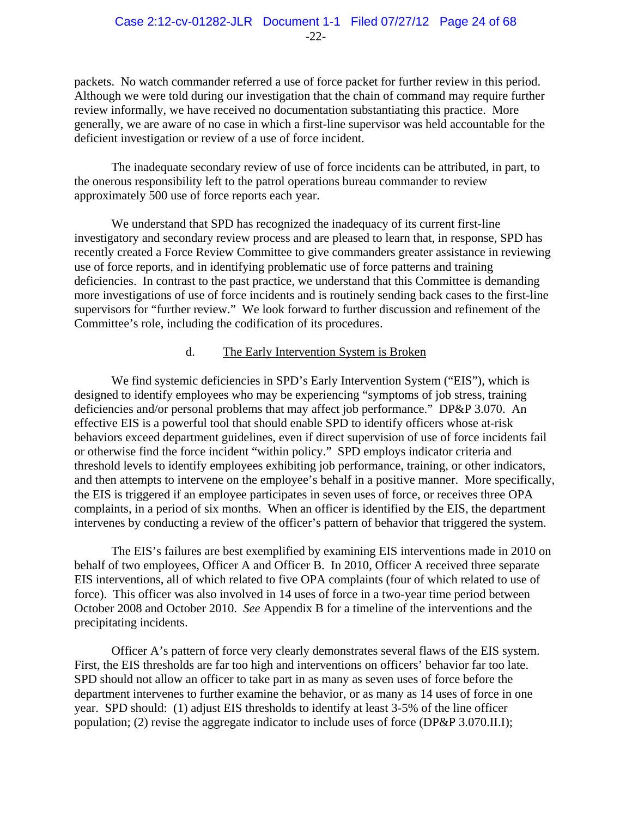packets. No watch commander referred a use of force packet for further review in this period. Although we were told during our investigation that the chain of command may require further review informally, we have received no documentation substantiating this practice. More generally, we are aware of no case in which a first-line supervisor was held accountable for the deficient investigation or review of a use of force incident.

The inadequate secondary review of use of force incidents can be attributed, in part, to the onerous responsibility left to the patrol operations bureau commander to review approximately 500 use of force reports each year.

We understand that SPD has recognized the inadequacy of its current first-line investigatory and secondary review process and are pleased to learn that, in response, SPD has recently created a Force Review Committee to give commanders greater assistance in reviewing use of force reports, and in identifying problematic use of force patterns and training deficiencies. In contrast to the past practice, we understand that this Committee is demanding more investigations of use of force incidents and is routinely sending back cases to the first-line supervisors for "further review." We look forward to further discussion and refinement of the Committee's role, including the codification of its procedures.

## d. The Early Intervention System is Broken

We find systemic deficiencies in SPD's Early Intervention System ("EIS"), which is designed to identify employees who may be experiencing "symptoms of job stress, training deficiencies and/or personal problems that may affect job performance." DP&P 3.070. An effective EIS is a powerful tool that should enable SPD to identify officers whose at-risk behaviors exceed department guidelines, even if direct supervision of use of force incidents fail or otherwise find the force incident "within policy." SPD employs indicator criteria and threshold levels to identify employees exhibiting job performance, training, or other indicators, and then attempts to intervene on the employee's behalf in a positive manner. More specifically, the EIS is triggered if an employee participates in seven uses of force, or receives three OPA complaints, in a period of six months. When an officer is identified by the EIS, the department intervenes by conducting a review of the officer's pattern of behavior that triggered the system.

The EIS's failures are best exemplified by examining EIS interventions made in 2010 on behalf of two employees, Officer A and Officer B. In 2010, Officer A received three separate EIS interventions, all of which related to five OPA complaints (four of which related to use of force). This officer was also involved in 14 uses of force in a two-year time period between October 2008 and October 2010. *See* Appendix B for a timeline of the interventions and the precipitating incidents.

Officer A's pattern of force very clearly demonstrates several flaws of the EIS system. First, the EIS thresholds are far too high and interventions on officers' behavior far too late. SPD should not allow an officer to take part in as many as seven uses of force before the department intervenes to further examine the behavior, or as many as 14 uses of force in one year. SPD should: (1) adjust EIS thresholds to identify at least 3-5% of the line officer population; (2) revise the aggregate indicator to include uses of force (DP&P 3.070.II.I);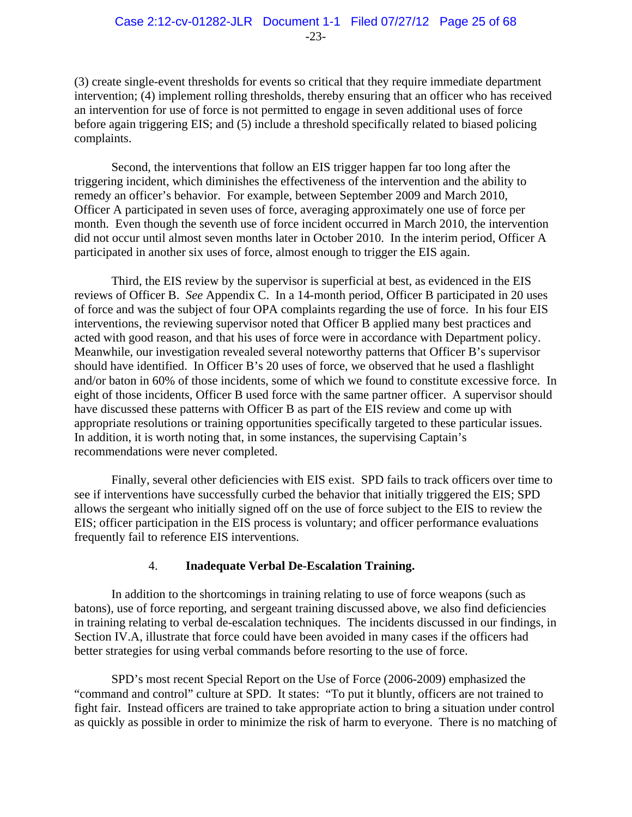(3) create single-event thresholds for events so critical that they require immediate department intervention; (4) implement rolling thresholds, thereby ensuring that an officer who has received an intervention for use of force is not permitted to engage in seven additional uses of force before again triggering EIS; and (5) include a threshold specifically related to biased policing complaints.

Second, the interventions that follow an EIS trigger happen far too long after the triggering incident, which diminishes the effectiveness of the intervention and the ability to remedy an officer's behavior. For example, between September 2009 and March 2010, Officer A participated in seven uses of force, averaging approximately one use of force per month. Even though the seventh use of force incident occurred in March 2010, the intervention did not occur until almost seven months later in October 2010. In the interim period, Officer A participated in another six uses of force, almost enough to trigger the EIS again.

Third, the EIS review by the supervisor is superficial at best, as evidenced in the EIS reviews of Officer B. *See* Appendix C. In a 14-month period, Officer B participated in 20 uses of force and was the subject of four OPA complaints regarding the use of force. In his four EIS interventions, the reviewing supervisor noted that Officer B applied many best practices and acted with good reason, and that his uses of force were in accordance with Department policy. Meanwhile, our investigation revealed several noteworthy patterns that Officer B's supervisor should have identified. In Officer B's 20 uses of force, we observed that he used a flashlight and/or baton in 60% of those incidents, some of which we found to constitute excessive force. In eight of those incidents, Officer B used force with the same partner officer. A supervisor should have discussed these patterns with Officer B as part of the EIS review and come up with appropriate resolutions or training opportunities specifically targeted to these particular issues. In addition, it is worth noting that, in some instances, the supervising Captain's recommendations were never completed.

Finally, several other deficiencies with EIS exist. SPD fails to track officers over time to see if interventions have successfully curbed the behavior that initially triggered the EIS; SPD allows the sergeant who initially signed off on the use of force subject to the EIS to review the EIS; officer participation in the EIS process is voluntary; and officer performance evaluations frequently fail to reference EIS interventions.

# 4. **Inadequate Verbal De-Escalation Training.**

In addition to the shortcomings in training relating to use of force weapons (such as batons), use of force reporting, and sergeant training discussed above, we also find deficiencies in training relating to verbal de-escalation techniques. The incidents discussed in our findings, in Section IV.A, illustrate that force could have been avoided in many cases if the officers had better strategies for using verbal commands before resorting to the use of force.

SPD's most recent Special Report on the Use of Force (2006-2009) emphasized the "command and control" culture at SPD. It states: "To put it bluntly, officers are not trained to fight fair. Instead officers are trained to take appropriate action to bring a situation under control as quickly as possible in order to minimize the risk of harm to everyone. There is no matching of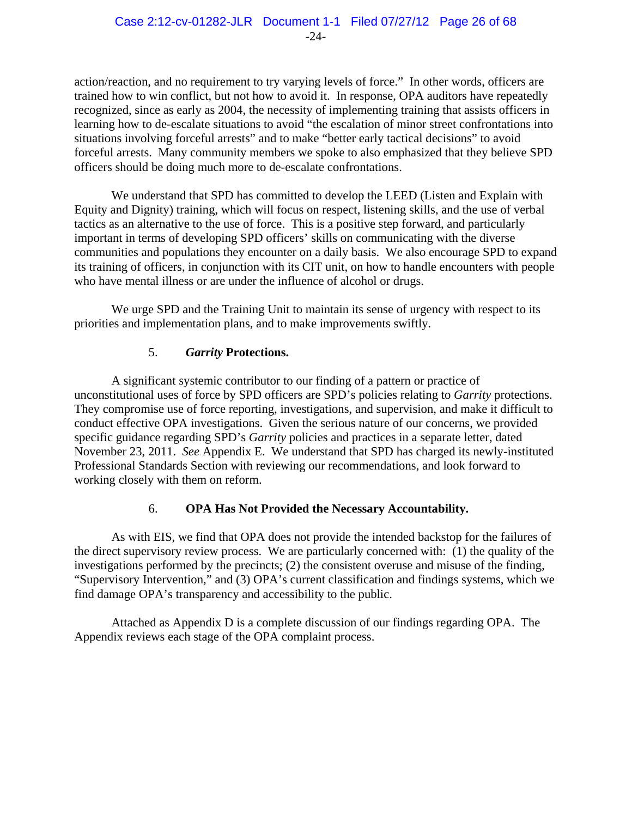action/reaction, and no requirement to try varying levels of force."In other words, officers are trained how to win conflict, but not how to avoid it. In response, OPA auditors have repeatedly recognized, since as early as 2004, the necessity of implementing training that assists officers in learning how to de-escalate situations to avoid "the escalation of minor street confrontations into situations involving forceful arrests" and to make "better early tactical decisions" to avoid forceful arrests. Many community members we spoke to also emphasized that they believe SPD officers should be doing much more to de-escalate confrontations.

We understand that SPD has committed to develop the LEED (Listen and Explain with Equity and Dignity) training, which will focus on respect, listening skills, and the use of verbal tactics as an alternative to the use of force. This is a positive step forward, and particularly important in terms of developing SPD officers' skills on communicating with the diverse communities and populations they encounter on a daily basis. We also encourage SPD to expand its training of officers, in conjunction with its CIT unit, on how to handle encounters with people who have mental illness or are under the influence of alcohol or drugs.

We urge SPD and the Training Unit to maintain its sense of urgency with respect to its priorities and implementation plans, and to make improvements swiftly.

# 5. *Garrity* **Protections.**

A significant systemic contributor to our finding of a pattern or practice of unconstitutional uses of force by SPD officers are SPD's policies relating to *Garrity* protections. They compromise use of force reporting, investigations, and supervision, and make it difficult to conduct effective OPA investigations. Given the serious nature of our concerns, we provided specific guidance regarding SPD's *Garrity* policies and practices in a separate letter, dated November 23, 2011. *See* Appendix E. We understand that SPD has charged its newly-instituted Professional Standards Section with reviewing our recommendations, and look forward to working closely with them on reform.

# 6. **OPA Has Not Provided the Necessary Accountability.**

As with EIS, we find that OPA does not provide the intended backstop for the failures of the direct supervisory review process. We are particularly concerned with: (1) the quality of the investigations performed by the precincts; (2) the consistent overuse and misuse of the finding, "Supervisory Intervention," and (3) OPA's current classification and findings systems, which we find damage OPA's transparency and accessibility to the public.

Attached as Appendix D is a complete discussion of our findings regarding OPA. The Appendix reviews each stage of the OPA complaint process.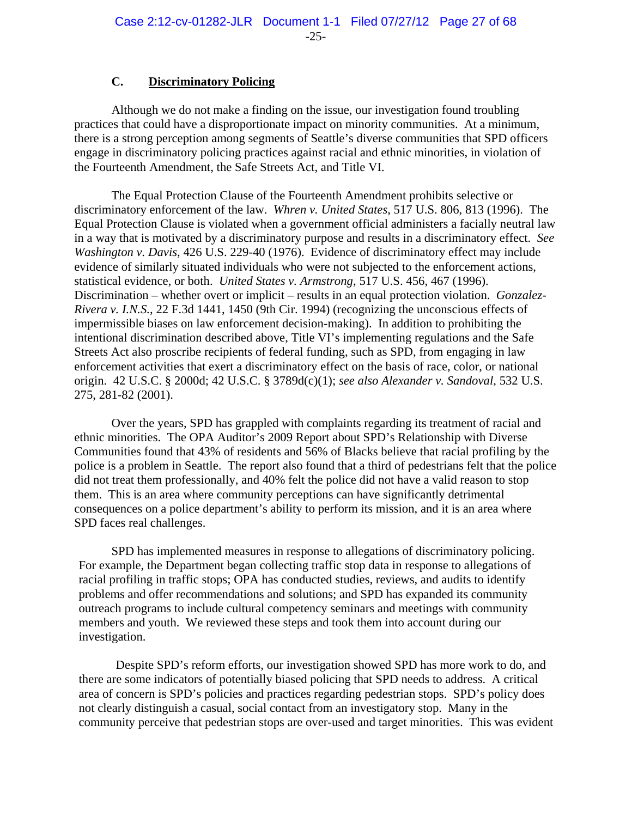## **C. Discriminatory Policing**

Although we do not make a finding on the issue, our investigation found troubling practices that could have a disproportionate impact on minority communities. At a minimum, there is a strong perception among segments of Seattle's diverse communities that SPD officers engage in discriminatory policing practices against racial and ethnic minorities, in violation of the Fourteenth Amendment, the Safe Streets Act, and Title VI.

The Equal Protection Clause of the Fourteenth Amendment prohibits selective or discriminatory enforcement of the law. *Whren v. United States*, 517 U.S. 806, 813 (1996). The Equal Protection Clause is violated when a government official administers a facially neutral law in a way that is motivated by a discriminatory purpose and results in a discriminatory effect. *See Washington v. Davis*, 426 U.S. 229-40 (1976). Evidence of discriminatory effect may include evidence of similarly situated individuals who were not subjected to the enforcement actions, statistical evidence, or both. *United States v. Armstrong*, 517 U.S. 456, 467 (1996). Discrimination – whether overt or implicit – results in an equal protection violation. *Gonzalez-Rivera v. I.N.S.*, 22 F.3d 1441, 1450 (9th Cir. 1994) (recognizing the unconscious effects of impermissible biases on law enforcement decision-making). In addition to prohibiting the intentional discrimination described above, Title VI's implementing regulations and the Safe Streets Act also proscribe recipients of federal funding, such as SPD, from engaging in law enforcement activities that exert a discriminatory effect on the basis of race, color, or national origin. 42 U.S.C. § 2000d; 42 U.S.C. § 3789d(c)(1); *see also Alexander v. Sandoval*, 532 U.S. 275, 281-82 (2001).

Over the years, SPD has grappled with complaints regarding its treatment of racial and ethnic minorities. The OPA Auditor's 2009 Report about SPD's Relationship with Diverse Communities found that 43% of residents and 56% of Blacks believe that racial profiling by the police is a problem in Seattle. The report also found that a third of pedestrians felt that the police did not treat them professionally, and 40% felt the police did not have a valid reason to stop them. This is an area where community perceptions can have significantly detrimental consequences on a police department's ability to perform its mission, and it is an area where SPD faces real challenges.

SPD has implemented measures in response to allegations of discriminatory policing. For example, the Department began collecting traffic stop data in response to allegations of racial profiling in traffic stops; OPA has conducted studies, reviews, and audits to identify problems and offer recommendations and solutions; and SPD has expanded its community outreach programs to include cultural competency seminars and meetings with community members and youth. We reviewed these steps and took them into account during our investigation.

Despite SPD's reform efforts, our investigation showed SPD has more work to do, and there are some indicators of potentially biased policing that SPD needs to address. A critical area of concern is SPD's policies and practices regarding pedestrian stops. SPD's policy does not clearly distinguish a casual, social contact from an investigatory stop. Many in the community perceive that pedestrian stops are over-used and target minorities. This was evident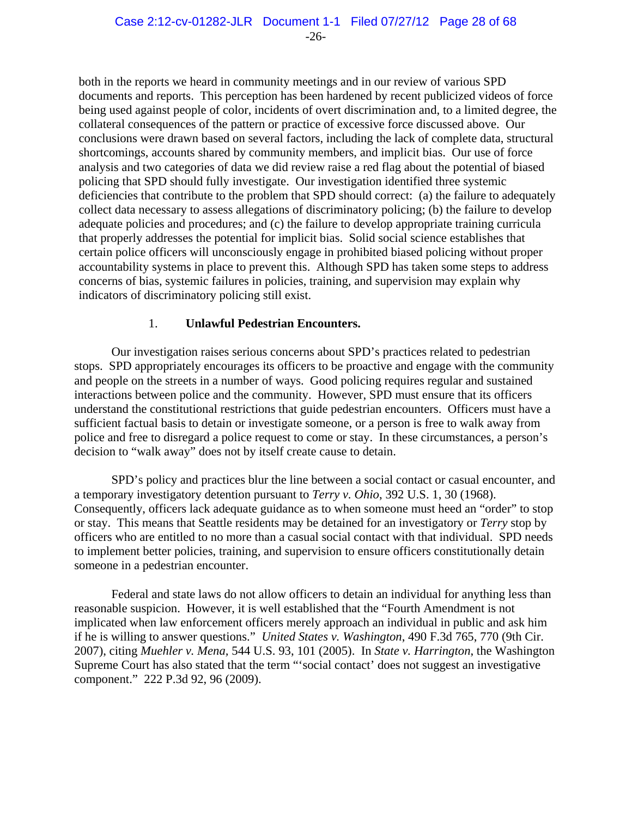both in the reports we heard in community meetings and in our review of various SPD documents and reports. This perception has been hardened by recent publicized videos of force being used against people of color, incidents of overt discrimination and, to a limited degree, the collateral consequences of the pattern or practice of excessive force discussed above. Our conclusions were drawn based on several factors, including the lack of complete data, structural shortcomings, accounts shared by community members, and implicit bias. Our use of force analysis and two categories of data we did review raise a red flag about the potential of biased policing that SPD should fully investigate. Our investigation identified three systemic deficiencies that contribute to the problem that SPD should correct: (a) the failure to adequately collect data necessary to assess allegations of discriminatory policing; (b) the failure to develop adequate policies and procedures; and (c) the failure to develop appropriate training curricula that properly addresses the potential for implicit bias. Solid social science establishes that certain police officers will unconsciously engage in prohibited biased policing without proper accountability systems in place to prevent this. Although SPD has taken some steps to address concerns of bias, systemic failures in policies, training, and supervision may explain why indicators of discriminatory policing still exist.

## 1. **Unlawful Pedestrian Encounters.**

Our investigation raises serious concerns about SPD's practices related to pedestrian stops. SPD appropriately encourages its officers to be proactive and engage with the community and people on the streets in a number of ways. Good policing requires regular and sustained interactions between police and the community. However, SPD must ensure that its officers understand the constitutional restrictions that guide pedestrian encounters. Officers must have a sufficient factual basis to detain or investigate someone, or a person is free to walk away from police and free to disregard a police request to come or stay. In these circumstances, a person's decision to "walk away" does not by itself create cause to detain.

SPD's policy and practices blur the line between a social contact or casual encounter, and a temporary investigatory detention pursuant to *Terry v. Ohio*, 392 U.S. 1, 30 (1968). Consequently, officers lack adequate guidance as to when someone must heed an "order" to stop or stay. This means that Seattle residents may be detained for an investigatory or *Terry* stop by officers who are entitled to no more than a casual social contact with that individual. SPD needs to implement better policies, training, and supervision to ensure officers constitutionally detain someone in a pedestrian encounter.

Federal and state laws do not allow officers to detain an individual for anything less than reasonable suspicion. However, it is well established that the "Fourth Amendment is not implicated when law enforcement officers merely approach an individual in public and ask him if he is willing to answer questions." *United States v. Washington*, 490 F.3d 765, 770 (9th Cir. 2007), citing *Muehler v. Mena,* 544 U.S. 93, 101 (2005).In *State v. Harrington*, the Washington Supreme Court has also stated that the term "'social contact' does not suggest an investigative component." 222 P.3d 92, 96 (2009).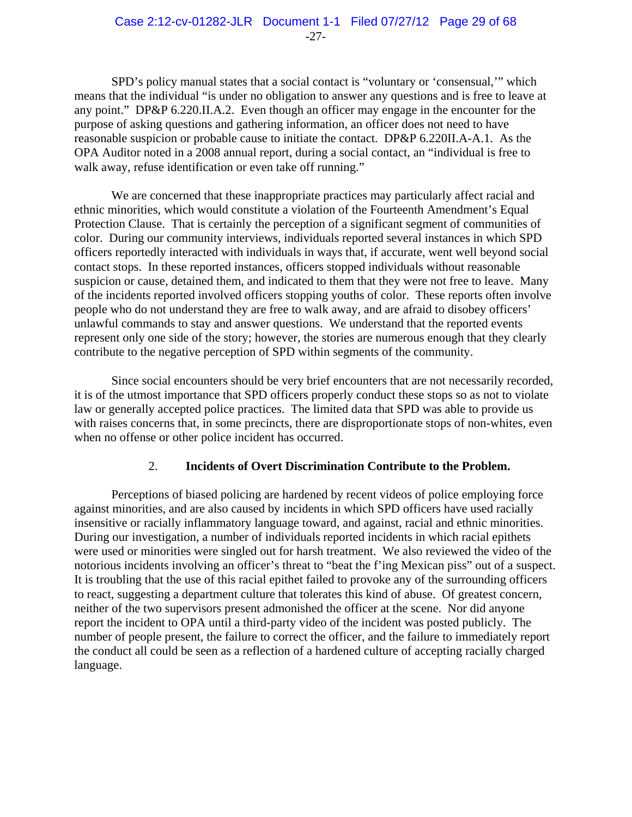SPD's policy manual states that a social contact is "voluntary or 'consensual,'" which means that the individual "is under no obligation to answer any questions and is free to leave at any point." DP&P 6.220.II.A.2. Even though an officer may engage in the encounter for the purpose of asking questions and gathering information, an officer does not need to have reasonable suspicion or probable cause to initiate the contact. DP&P 6.220II.A-A.1. As the OPA Auditor noted in a 2008 annual report, during a social contact, an "individual is free to walk away, refuse identification or even take off running."

We are concerned that these inappropriate practices may particularly affect racial and ethnic minorities, which would constitute a violation of the Fourteenth Amendment's Equal Protection Clause. That is certainly the perception of a significant segment of communities of color. During our community interviews, individuals reported several instances in which SPD officers reportedly interacted with individuals in ways that, if accurate, went well beyond social contact stops. In these reported instances, officers stopped individuals without reasonable suspicion or cause, detained them, and indicated to them that they were not free to leave. Many of the incidents reported involved officers stopping youths of color. These reports often involve people who do not understand they are free to walk away, and are afraid to disobey officers' unlawful commands to stay and answer questions. We understand that the reported events represent only one side of the story; however, the stories are numerous enough that they clearly contribute to the negative perception of SPD within segments of the community.

Since social encounters should be very brief encounters that are not necessarily recorded, it is of the utmost importance that SPD officers properly conduct these stops so as not to violate law or generally accepted police practices. The limited data that SPD was able to provide us with raises concerns that, in some precincts, there are disproportionate stops of non-whites, even when no offense or other police incident has occurred.

# 2. **Incidents of Overt Discrimination Contribute to the Problem.**

Perceptions of biased policing are hardened by recent videos of police employing force against minorities, and are also caused by incidents in which SPD officers have used racially insensitive or racially inflammatory language toward, and against, racial and ethnic minorities. During our investigation, a number of individuals reported incidents in which racial epithets were used or minorities were singled out for harsh treatment. We also reviewed the video of the notorious incidents involving an officer's threat to "beat the f'ing Mexican piss" out of a suspect. It is troubling that the use of this racial epithet failed to provoke any of the surrounding officers to react, suggesting a department culture that tolerates this kind of abuse. Of greatest concern, neither of the two supervisors present admonished the officer at the scene. Nor did anyone report the incident to OPA until a third-party video of the incident was posted publicly. The number of people present, the failure to correct the officer, and the failure to immediately report the conduct all could be seen as a reflection of a hardened culture of accepting racially charged language.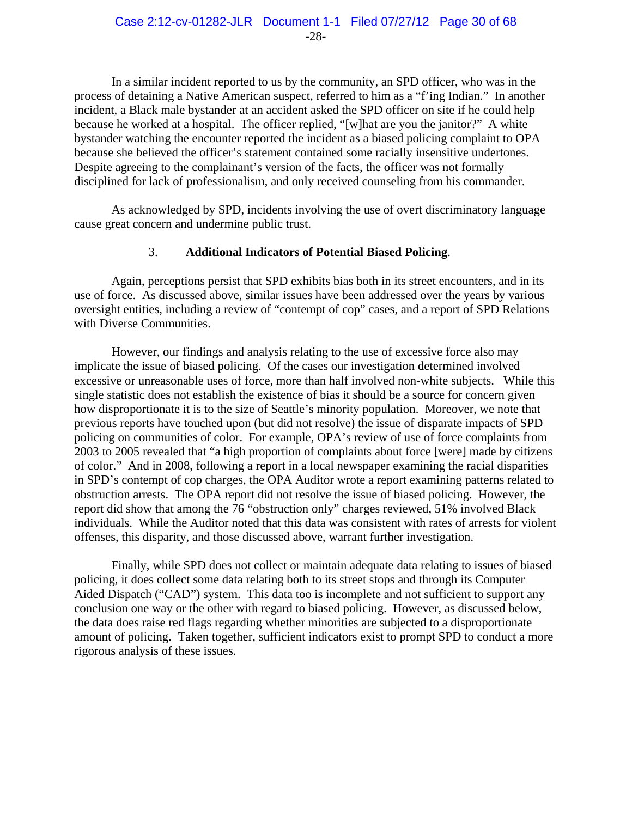In a similar incident reported to us by the community, an SPD officer, who was in the process of detaining a Native American suspect, referred to him as a "f'ing Indian." In another incident, a Black male bystander at an accident asked the SPD officer on site if he could help because he worked at a hospital. The officer replied, "[w]hat are you the janitor?" A white bystander watching the encounter reported the incident as a biased policing complaint to OPA because she believed the officer's statement contained some racially insensitive undertones. Despite agreeing to the complainant's version of the facts, the officer was not formally disciplined for lack of professionalism, and only received counseling from his commander.

As acknowledged by SPD, incidents involving the use of overt discriminatory language cause great concern and undermine public trust.

## 3. **Additional Indicators of Potential Biased Policing**.

Again, perceptions persist that SPD exhibits bias both in its street encounters, and in its use of force. As discussed above, similar issues have been addressed over the years by various oversight entities, including a review of "contempt of cop" cases, and a report of SPD Relations with Diverse Communities.

However, our findings and analysis relating to the use of excessive force also may implicate the issue of biased policing. Of the cases our investigation determined involved excessive or unreasonable uses of force, more than half involved non-white subjects. While this single statistic does not establish the existence of bias it should be a source for concern given how disproportionate it is to the size of Seattle's minority population. Moreover, we note that previous reports have touched upon (but did not resolve) the issue of disparate impacts of SPD policing on communities of color. For example, OPA's review of use of force complaints from 2003 to 2005 revealed that "a high proportion of complaints about force [were] made by citizens of color." And in 2008, following a report in a local newspaper examining the racial disparities in SPD's contempt of cop charges, the OPA Auditor wrote a report examining patterns related to obstruction arrests. The OPA report did not resolve the issue of biased policing. However, the report did show that among the 76 "obstruction only" charges reviewed, 51% involved Black individuals. While the Auditor noted that this data was consistent with rates of arrests for violent offenses, this disparity, and those discussed above, warrant further investigation.

Finally, while SPD does not collect or maintain adequate data relating to issues of biased policing, it does collect some data relating both to its street stops and through its Computer Aided Dispatch ("CAD") system. This data too is incomplete and not sufficient to support any conclusion one way or the other with regard to biased policing. However, as discussed below, the data does raise red flags regarding whether minorities are subjected to a disproportionate amount of policing. Taken together, sufficient indicators exist to prompt SPD to conduct a more rigorous analysis of these issues.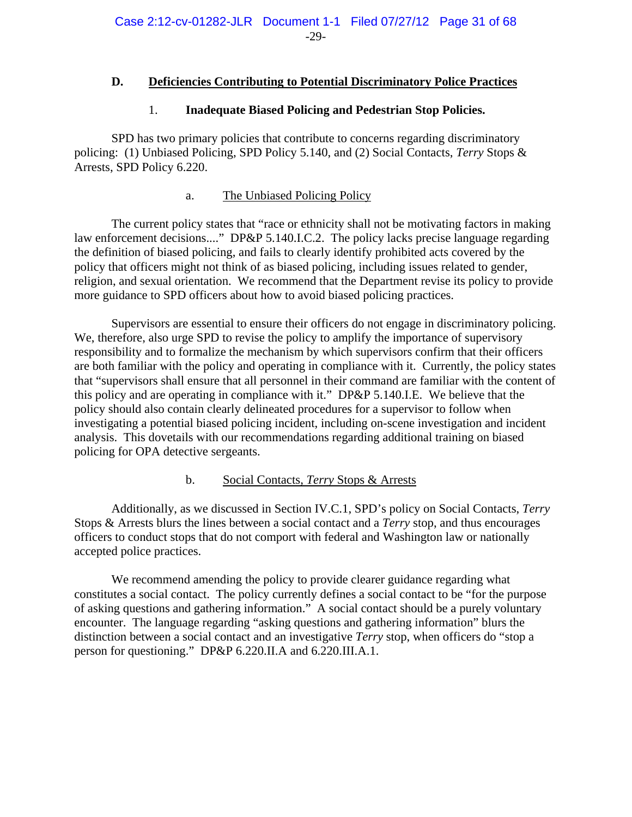# **D. Deficiencies Contributing to Potential Discriminatory Police Practices**

## 1. **Inadequate Biased Policing and Pedestrian Stop Policies.**

SPD has two primary policies that contribute to concerns regarding discriminatory policing: (1) Unbiased Policing, SPD Policy 5.140, and (2) Social Contacts, *Terry* Stops & Arrests, SPD Policy 6.220.

## a. The Unbiased Policing Policy

The current policy states that "race or ethnicity shall not be motivating factors in making law enforcement decisions...." DP&P 5.140.I.C.2. The policy lacks precise language regarding the definition of biased policing, and fails to clearly identify prohibited acts covered by the policy that officers might not think of as biased policing, including issues related to gender, religion, and sexual orientation. We recommend that the Department revise its policy to provide more guidance to SPD officers about how to avoid biased policing practices.

Supervisors are essential to ensure their officers do not engage in discriminatory policing. We, therefore, also urge SPD to revise the policy to amplify the importance of supervisory responsibility and to formalize the mechanism by which supervisors confirm that their officers are both familiar with the policy and operating in compliance with it. Currently, the policy states that "supervisors shall ensure that all personnel in their command are familiar with the content of this policy and are operating in compliance with it." DP&P 5.140.I.E. We believe that the policy should also contain clearly delineated procedures for a supervisor to follow when investigating a potential biased policing incident, including on-scene investigation and incident analysis. This dovetails with our recommendations regarding additional training on biased policing for OPA detective sergeants.

## b. Social Contacts, *Terry* Stops & Arrests

Additionally, as we discussed in Section IV.C.1, SPD's policy on Social Contacts, *Terry* Stops & Arrests blurs the lines between a social contact and a *Terry* stop, and thus encourages officers to conduct stops that do not comport with federal and Washington law or nationally accepted police practices.

We recommend amending the policy to provide clearer guidance regarding what constitutes a social contact. The policy currently defines a social contact to be "for the purpose of asking questions and gathering information." A social contact should be a purely voluntary encounter. The language regarding "asking questions and gathering information" blurs the distinction between a social contact and an investigative *Terry* stop, when officers do "stop a person for questioning." DP&P 6.220.II.A and 6.220.III.A.1.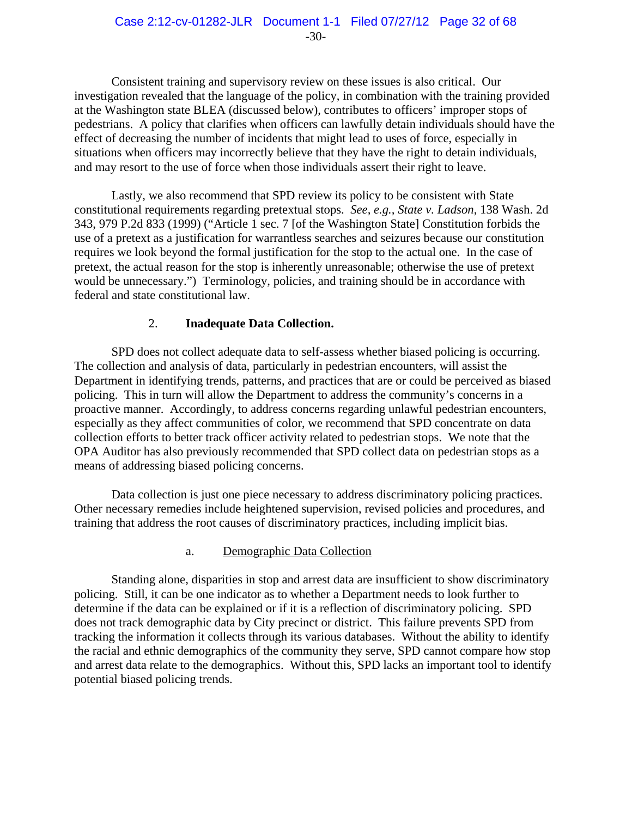Consistent training and supervisory review on these issues is also critical. Our investigation revealed that the language of the policy, in combination with the training provided at the Washington state BLEA (discussed below), contributes to officers' improper stops of pedestrians. A policy that clarifies when officers can lawfully detain individuals should have the effect of decreasing the number of incidents that might lead to uses of force, especially in situations when officers may incorrectly believe that they have the right to detain individuals, and may resort to the use of force when those individuals assert their right to leave.

Lastly, we also recommend that SPD review its policy to be consistent with State constitutional requirements regarding pretextual stops. *See, e.g., State v. Ladson*, 138 Wash. 2d 343, 979 P.2d 833 (1999) ("Article 1 sec. 7 [of the Washington State] Constitution forbids the use of a pretext as a justification for warrantless searches and seizures because our constitution requires we look beyond the formal justification for the stop to the actual one. In the case of pretext, the actual reason for the stop is inherently unreasonable; otherwise the use of pretext would be unnecessary.") Terminology, policies, and training should be in accordance with federal and state constitutional law.

# 2. **Inadequate Data Collection.**

SPD does not collect adequate data to self-assess whether biased policing is occurring. The collection and analysis of data, particularly in pedestrian encounters, will assist the Department in identifying trends, patterns, and practices that are or could be perceived as biased policing. This in turn will allow the Department to address the community's concerns in a proactive manner. Accordingly, to address concerns regarding unlawful pedestrian encounters, especially as they affect communities of color, we recommend that SPD concentrate on data collection efforts to better track officer activity related to pedestrian stops. We note that the OPA Auditor has also previously recommended that SPD collect data on pedestrian stops as a means of addressing biased policing concerns.

Data collection is just one piece necessary to address discriminatory policing practices. Other necessary remedies include heightened supervision, revised policies and procedures, and training that address the root causes of discriminatory practices, including implicit bias.

## a. Demographic Data Collection

Standing alone, disparities in stop and arrest data are insufficient to show discriminatory policing. Still, it can be one indicator as to whether a Department needs to look further to determine if the data can be explained or if it is a reflection of discriminatory policing. SPD does not track demographic data by City precinct or district. This failure prevents SPD from tracking the information it collects through its various databases. Without the ability to identify the racial and ethnic demographics of the community they serve, SPD cannot compare how stop and arrest data relate to the demographics. Without this, SPD lacks an important tool to identify potential biased policing trends.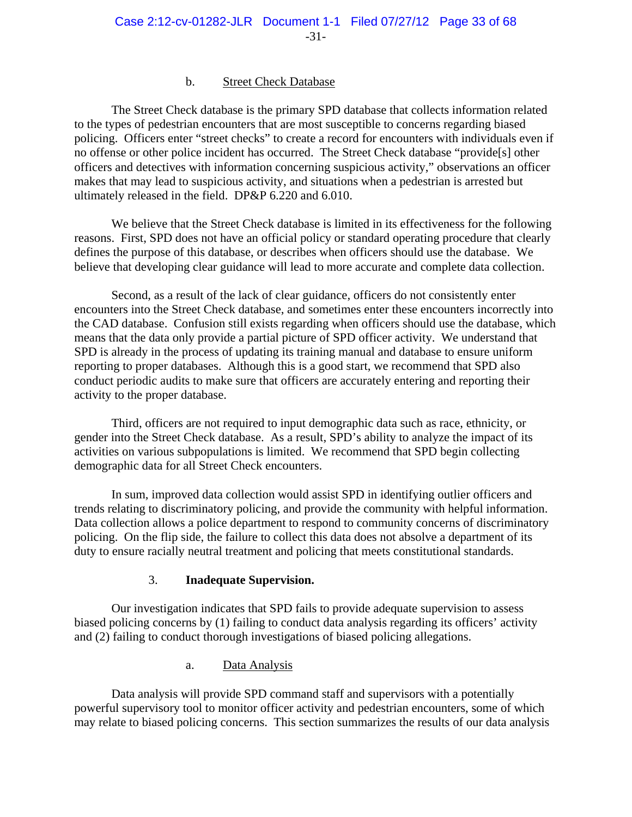#### b. Street Check Database

The Street Check database is the primary SPD database that collects information related to the types of pedestrian encounters that are most susceptible to concerns regarding biased policing. Officers enter "street checks" to create a record for encounters with individuals even if no offense or other police incident has occurred. The Street Check database "provide[s] other officers and detectives with information concerning suspicious activity," observations an officer makes that may lead to suspicious activity, and situations when a pedestrian is arrested but ultimately released in the field. DP&P 6.220 and 6.010.

We believe that the Street Check database is limited in its effectiveness for the following reasons. First, SPD does not have an official policy or standard operating procedure that clearly defines the purpose of this database, or describes when officers should use the database. We believe that developing clear guidance will lead to more accurate and complete data collection.

Second, as a result of the lack of clear guidance, officers do not consistently enter encounters into the Street Check database, and sometimes enter these encounters incorrectly into the CAD database. Confusion still exists regarding when officers should use the database, which means that the data only provide a partial picture of SPD officer activity. We understand that SPD is already in the process of updating its training manual and database to ensure uniform reporting to proper databases. Although this is a good start, we recommend that SPD also conduct periodic audits to make sure that officers are accurately entering and reporting their activity to the proper database.

Third, officers are not required to input demographic data such as race, ethnicity, or gender into the Street Check database. As a result, SPD's ability to analyze the impact of its activities on various subpopulations is limited. We recommend that SPD begin collecting demographic data for all Street Check encounters.

In sum, improved data collection would assist SPD in identifying outlier officers and trends relating to discriminatory policing, and provide the community with helpful information. Data collection allows a police department to respond to community concerns of discriminatory policing. On the flip side, the failure to collect this data does not absolve a department of its duty to ensure racially neutral treatment and policing that meets constitutional standards.

## 3. **Inadequate Supervision.**

Our investigation indicates that SPD fails to provide adequate supervision to assess biased policing concerns by (1) failing to conduct data analysis regarding its officers' activity and (2) failing to conduct thorough investigations of biased policing allegations.

## a. Data Analysis

Data analysis will provide SPD command staff and supervisors with a potentially powerful supervisory tool to monitor officer activity and pedestrian encounters, some of which may relate to biased policing concerns. This section summarizes the results of our data analysis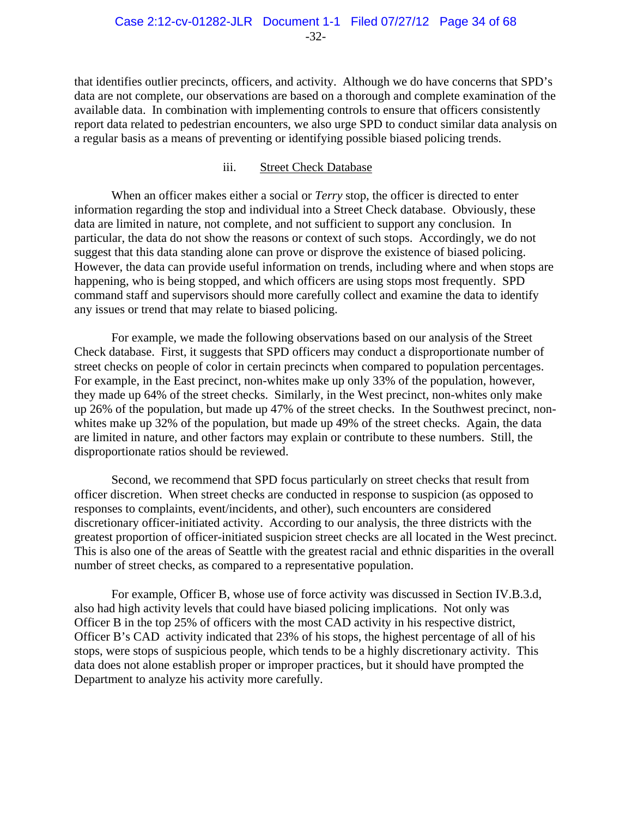that identifies outlier precincts, officers, and activity. Although we do have concerns that SPD's data are not complete, our observations are based on a thorough and complete examination of the available data. In combination with implementing controls to ensure that officers consistently report data related to pedestrian encounters, we also urge SPD to conduct similar data analysis on a regular basis as a means of preventing or identifying possible biased policing trends.

#### iii. Street Check Database

When an officer makes either a social or *Terry* stop, the officer is directed to enter information regarding the stop and individual into a Street Check database. Obviously, these data are limited in nature, not complete, and not sufficient to support any conclusion. In particular, the data do not show the reasons or context of such stops. Accordingly, we do not suggest that this data standing alone can prove or disprove the existence of biased policing. However, the data can provide useful information on trends, including where and when stops are happening, who is being stopped, and which officers are using stops most frequently. SPD command staff and supervisors should more carefully collect and examine the data to identify any issues or trend that may relate to biased policing.

For example, we made the following observations based on our analysis of the Street Check database. First, it suggests that SPD officers may conduct a disproportionate number of street checks on people of color in certain precincts when compared to population percentages. For example, in the East precinct, non-whites make up only 33% of the population, however, they made up 64% of the street checks. Similarly, in the West precinct, non-whites only make up 26% of the population, but made up 47% of the street checks. In the Southwest precinct, nonwhites make up 32% of the population, but made up 49% of the street checks. Again, the data are limited in nature, and other factors may explain or contribute to these numbers. Still, the disproportionate ratios should be reviewed.

Second, we recommend that SPD focus particularly on street checks that result from officer discretion. When street checks are conducted in response to suspicion (as opposed to responses to complaints, event/incidents, and other), such encounters are considered discretionary officer-initiated activity. According to our analysis, the three districts with the greatest proportion of officer-initiated suspicion street checks are all located in the West precinct. This is also one of the areas of Seattle with the greatest racial and ethnic disparities in the overall number of street checks, as compared to a representative population.

For example, Officer B, whose use of force activity was discussed in Section IV.B.3.d, also had high activity levels that could have biased policing implications. Not only was Officer B in the top 25% of officers with the most CAD activity in his respective district, Officer B's CAD activity indicated that 23% of his stops, the highest percentage of all of his stops, were stops of suspicious people, which tends to be a highly discretionary activity. This data does not alone establish proper or improper practices, but it should have prompted the Department to analyze his activity more carefully.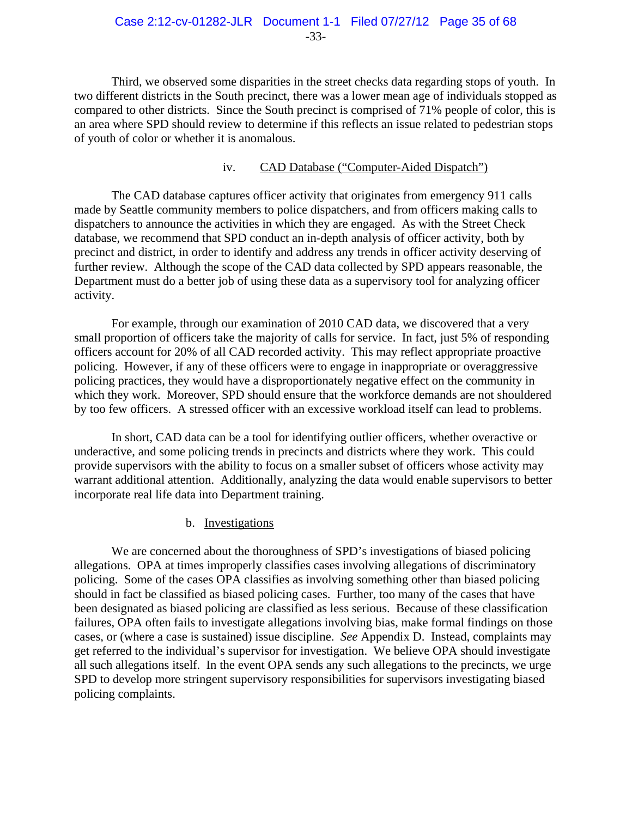Third, we observed some disparities in the street checks data regarding stops of youth. In two different districts in the South precinct, there was a lower mean age of individuals stopped as compared to other districts. Since the South precinct is comprised of 71% people of color, this is an area where SPD should review to determine if this reflects an issue related to pedestrian stops of youth of color or whether it is anomalous.

## iv. CAD Database ("Computer-Aided Dispatch")

The CAD database captures officer activity that originates from emergency 911 calls made by Seattle community members to police dispatchers, and from officers making calls to dispatchers to announce the activities in which they are engaged. As with the Street Check database, we recommend that SPD conduct an in-depth analysis of officer activity, both by precinct and district, in order to identify and address any trends in officer activity deserving of further review. Although the scope of the CAD data collected by SPD appears reasonable, the Department must do a better job of using these data as a supervisory tool for analyzing officer activity.

For example, through our examination of 2010 CAD data, we discovered that a very small proportion of officers take the majority of calls for service. In fact, just 5% of responding officers account for 20% of all CAD recorded activity. This may reflect appropriate proactive policing. However, if any of these officers were to engage in inappropriate or overaggressive policing practices, they would have a disproportionately negative effect on the community in which they work. Moreover, SPD should ensure that the workforce demands are not shouldered by too few officers. A stressed officer with an excessive workload itself can lead to problems.

In short, CAD data can be a tool for identifying outlier officers, whether overactive or underactive, and some policing trends in precincts and districts where they work. This could provide supervisors with the ability to focus on a smaller subset of officers whose activity may warrant additional attention. Additionally, analyzing the data would enable supervisors to better incorporate real life data into Department training.

## b. Investigations

We are concerned about the thoroughness of SPD's investigations of biased policing allegations. OPA at times improperly classifies cases involving allegations of discriminatory policing. Some of the cases OPA classifies as involving something other than biased policing should in fact be classified as biased policing cases. Further, too many of the cases that have been designated as biased policing are classified as less serious. Because of these classification failures, OPA often fails to investigate allegations involving bias, make formal findings on those cases, or (where a case is sustained) issue discipline. *See* Appendix D. Instead, complaints may get referred to the individual's supervisor for investigation. We believe OPA should investigate all such allegations itself. In the event OPA sends any such allegations to the precincts, we urge SPD to develop more stringent supervisory responsibilities for supervisors investigating biased policing complaints.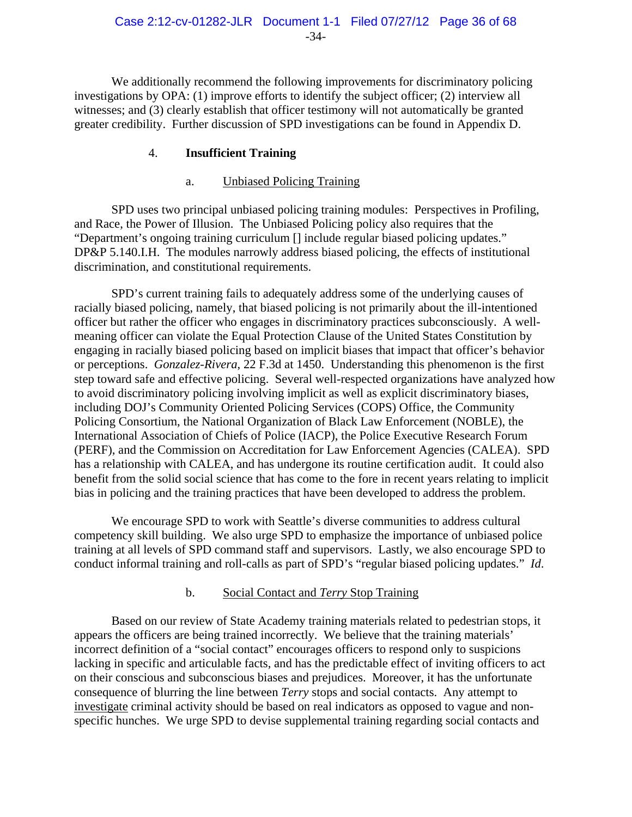We additionally recommend the following improvements for discriminatory policing investigations by OPA: (1) improve efforts to identify the subject officer; (2) interview all witnesses; and (3) clearly establish that officer testimony will not automatically be granted greater credibility. Further discussion of SPD investigations can be found in Appendix D.

## 4. **Insufficient Training**

## a. Unbiased Policing Training

SPD uses two principal unbiased policing training modules: Perspectives in Profiling, and Race, the Power of Illusion. The Unbiased Policing policy also requires that the "Department's ongoing training curriculum [] include regular biased policing updates." DP&P 5.140.I.H. The modules narrowly address biased policing, the effects of institutional discrimination, and constitutional requirements.

SPD's current training fails to adequately address some of the underlying causes of racially biased policing, namely, that biased policing is not primarily about the ill-intentioned officer but rather the officer who engages in discriminatory practices subconsciously. A wellmeaning officer can violate the Equal Protection Clause of the United States Constitution by engaging in racially biased policing based on implicit biases that impact that officer's behavior or perceptions. *Gonzalez-Rivera*, 22 F.3d at 1450. Understanding this phenomenon is the first step toward safe and effective policing. Several well-respected organizations have analyzed how to avoid discriminatory policing involving implicit as well as explicit discriminatory biases, including DOJ's Community Oriented Policing Services (COPS) Office, the Community Policing Consortium, the National Organization of Black Law Enforcement (NOBLE), the International Association of Chiefs of Police (IACP), the Police Executive Research Forum (PERF), and the Commission on Accreditation for Law Enforcement Agencies (CALEA). SPD has a relationship with CALEA, and has undergone its routine certification audit. It could also benefit from the solid social science that has come to the fore in recent years relating to implicit bias in policing and the training practices that have been developed to address the problem.

We encourage SPD to work with Seattle's diverse communities to address cultural competency skill building. We also urge SPD to emphasize the importance of unbiased police training at all levels of SPD command staff and supervisors. Lastly, we also encourage SPD to conduct informal training and roll-calls as part of SPD's "regular biased policing updates." *Id*.

## b. Social Contact and *Terry* Stop Training

Based on our review of State Academy training materials related to pedestrian stops, it appears the officers are being trained incorrectly. We believe that the training materials' incorrect definition of a "social contact" encourages officers to respond only to suspicions lacking in specific and articulable facts, and has the predictable effect of inviting officers to act on their conscious and subconscious biases and prejudices. Moreover, it has the unfortunate consequence of blurring the line between *Terry* stops and social contacts. Any attempt to investigate criminal activity should be based on real indicators as opposed to vague and nonspecific hunches. We urge SPD to devise supplemental training regarding social contacts and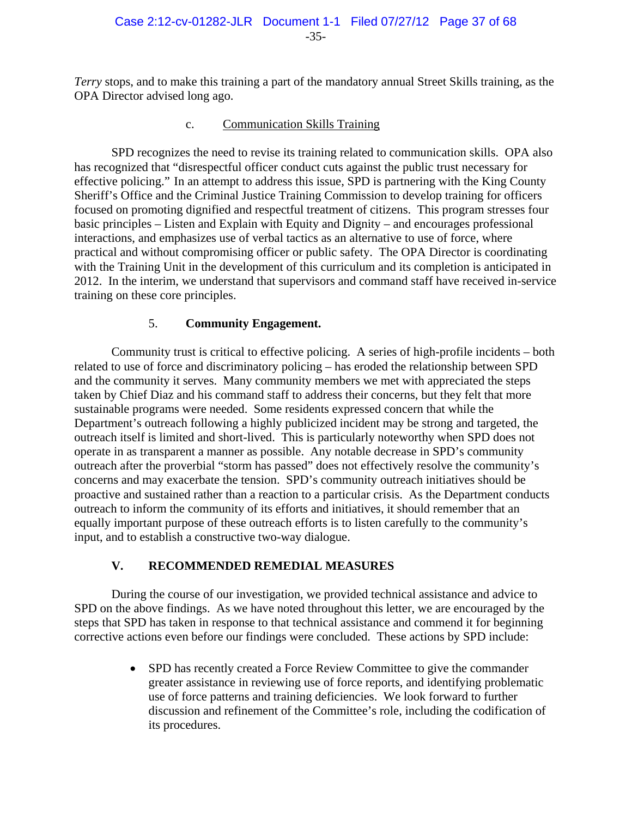*Terry* stops, and to make this training a part of the mandatory annual Street Skills training, as the OPA Director advised long ago.

# c. Communication Skills Training

SPD recognizes the need to revise its training related to communication skills. OPA also has recognized that "disrespectful officer conduct cuts against the public trust necessary for effective policing." In an attempt to address this issue, SPD is partnering with the King County Sheriff's Office and the Criminal Justice Training Commission to develop training for officers focused on promoting dignified and respectful treatment of citizens. This program stresses four basic principles – Listen and Explain with Equity and Dignity – and encourages professional interactions, and emphasizes use of verbal tactics as an alternative to use of force, where practical and without compromising officer or public safety. The OPA Director is coordinating with the Training Unit in the development of this curriculum and its completion is anticipated in 2012. In the interim, we understand that supervisors and command staff have received in-service training on these core principles.

# 5. **Community Engagement.**

Community trust is critical to effective policing. A series of high-profile incidents – both related to use of force and discriminatory policing – has eroded the relationship between SPD and the community it serves. Many community members we met with appreciated the steps taken by Chief Diaz and his command staff to address their concerns, but they felt that more sustainable programs were needed. Some residents expressed concern that while the Department's outreach following a highly publicized incident may be strong and targeted, the outreach itself is limited and short-lived. This is particularly noteworthy when SPD does not operate in as transparent a manner as possible. Any notable decrease in SPD's community outreach after the proverbial "storm has passed" does not effectively resolve the community's concerns and may exacerbate the tension. SPD's community outreach initiatives should be proactive and sustained rather than a reaction to a particular crisis. As the Department conducts outreach to inform the community of its efforts and initiatives, it should remember that an equally important purpose of these outreach efforts is to listen carefully to the community's input, and to establish a constructive two-way dialogue.

# **V. RECOMMENDED REMEDIAL MEASURES**

During the course of our investigation, we provided technical assistance and advice to SPD on the above findings. As we have noted throughout this letter, we are encouraged by the steps that SPD has taken in response to that technical assistance and commend it for beginning corrective actions even before our findings were concluded. These actions by SPD include:

> • SPD has recently created a Force Review Committee to give the commander greater assistance in reviewing use of force reports, and identifying problematic use of force patterns and training deficiencies. We look forward to further discussion and refinement of the Committee's role, including the codification of its procedures.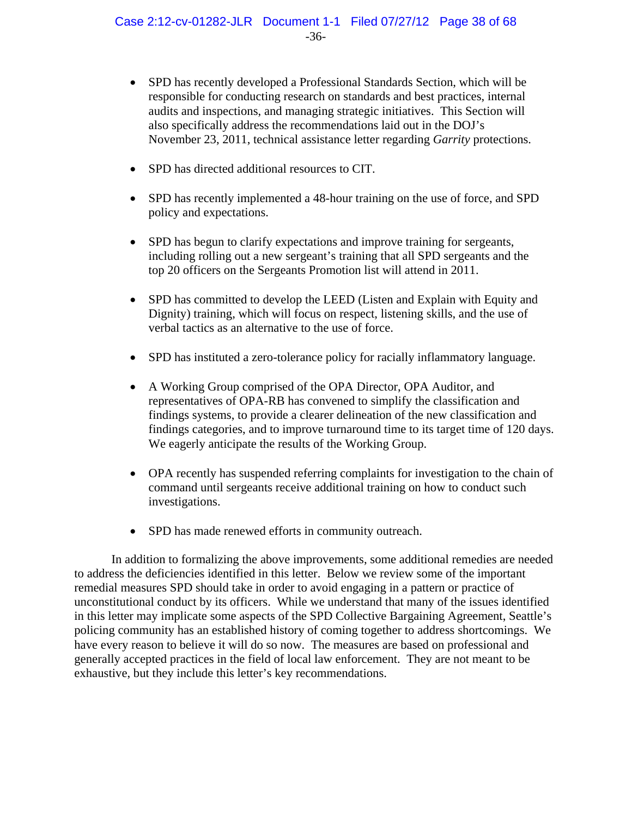- SPD has recently developed a Professional Standards Section, which will be responsible for conducting research on standards and best practices, internal audits and inspections, and managing strategic initiatives. This Section will also specifically address the recommendations laid out in the DOJ's November 23, 2011, technical assistance letter regarding *Garrity* protections.
- SPD has directed additional resources to CIT.
- SPD has recently implemented a 48-hour training on the use of force, and SPD policy and expectations.
- SPD has begun to clarify expectations and improve training for sergeants, including rolling out a new sergeant's training that all SPD sergeants and the top 20 officers on the Sergeants Promotion list will attend in 2011.
- SPD has committed to develop the LEED (Listen and Explain with Equity and Dignity) training, which will focus on respect, listening skills, and the use of verbal tactics as an alternative to the use of force.
- SPD has instituted a zero-tolerance policy for racially inflammatory language.
- A Working Group comprised of the OPA Director, OPA Auditor, and representatives of OPA-RB has convened to simplify the classification and findings systems, to provide a clearer delineation of the new classification and findings categories, and to improve turnaround time to its target time of 120 days. We eagerly anticipate the results of the Working Group.
- OPA recently has suspended referring complaints for investigation to the chain of command until sergeants receive additional training on how to conduct such investigations.
- SPD has made renewed efforts in community outreach.

In addition to formalizing the above improvements, some additional remedies are needed to address the deficiencies identified in this letter. Below we review some of the important remedial measures SPD should take in order to avoid engaging in a pattern or practice of unconstitutional conduct by its officers. While we understand that many of the issues identified in this letter may implicate some aspects of the SPD Collective Bargaining Agreement, Seattle's policing community has an established history of coming together to address shortcomings. We have every reason to believe it will do so now. The measures are based on professional and generally accepted practices in the field of local law enforcement. They are not meant to be exhaustive, but they include this letter's key recommendations.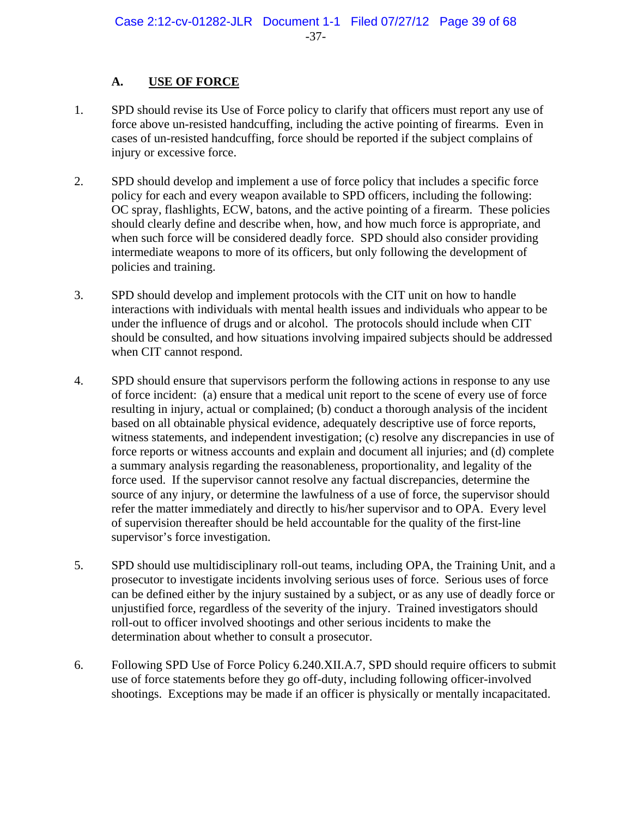# **A. USE OF FORCE**

- 1. SPD should revise its Use of Force policy to clarify that officers must report any use of force above un-resisted handcuffing, including the active pointing of firearms. Even in cases of un-resisted handcuffing, force should be reported if the subject complains of injury or excessive force.
- 2. SPD should develop and implement a use of force policy that includes a specific force policy for each and every weapon available to SPD officers, including the following: OC spray, flashlights, ECW, batons, and the active pointing of a firearm. These policies should clearly define and describe when, how, and how much force is appropriate, and when such force will be considered deadly force. SPD should also consider providing intermediate weapons to more of its officers, but only following the development of policies and training.
- 3. SPD should develop and implement protocols with the CIT unit on how to handle interactions with individuals with mental health issues and individuals who appear to be under the influence of drugs and or alcohol. The protocols should include when CIT should be consulted, and how situations involving impaired subjects should be addressed when CIT cannot respond.
- 4. SPD should ensure that supervisors perform the following actions in response to any use of force incident: (a) ensure that a medical unit report to the scene of every use of force resulting in injury, actual or complained; (b) conduct a thorough analysis of the incident based on all obtainable physical evidence, adequately descriptive use of force reports, witness statements, and independent investigation; (c) resolve any discrepancies in use of force reports or witness accounts and explain and document all injuries; and (d) complete a summary analysis regarding the reasonableness, proportionality, and legality of the force used. If the supervisor cannot resolve any factual discrepancies, determine the source of any injury, or determine the lawfulness of a use of force, the supervisor should refer the matter immediately and directly to his/her supervisor and to OPA. Every level of supervision thereafter should be held accountable for the quality of the first-line supervisor's force investigation.
- 5. SPD should use multidisciplinary roll-out teams, including OPA, the Training Unit, and a prosecutor to investigate incidents involving serious uses of force. Serious uses of force can be defined either by the injury sustained by a subject, or as any use of deadly force or unjustified force, regardless of the severity of the injury. Trained investigators should roll-out to officer involved shootings and other serious incidents to make the determination about whether to consult a prosecutor.
- 6. Following SPD Use of Force Policy 6.240.XII.A.7, SPD should require officers to submit use of force statements before they go off-duty, including following officer-involved shootings. Exceptions may be made if an officer is physically or mentally incapacitated.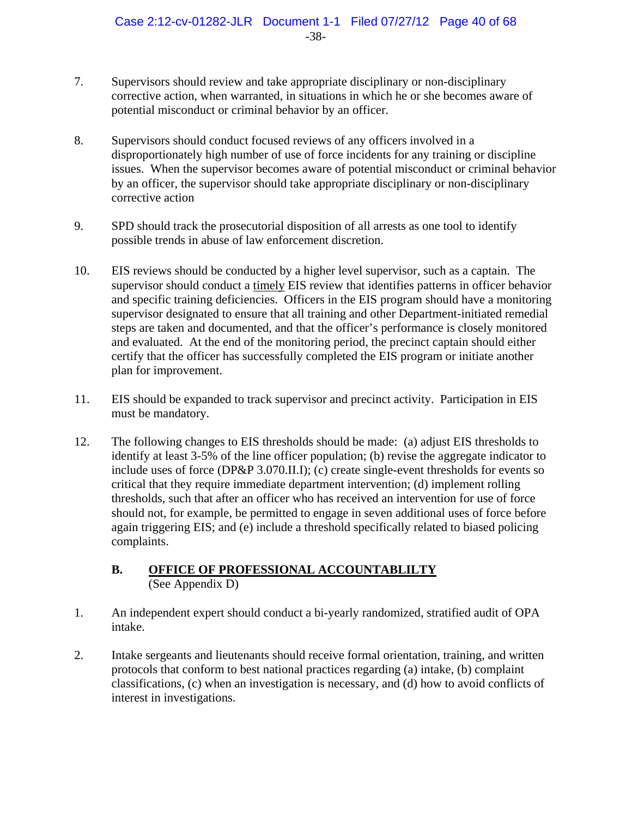- 7. Supervisors should review and take appropriate disciplinary or non-disciplinary corrective action, when warranted, in situations in which he or she becomes aware of potential misconduct or criminal behavior by an officer.
- 8. Supervisors should conduct focused reviews of any officers involved in a disproportionately high number of use of force incidents for any training or discipline issues. When the supervisor becomes aware of potential misconduct or criminal behavior by an officer, the supervisor should take appropriate disciplinary or non-disciplinary corrective action
- 9. SPD should track the prosecutorial disposition of all arrests as one tool to identify possible trends in abuse of law enforcement discretion.
- 10. EIS reviews should be conducted by a higher level supervisor, such as a captain. The supervisor should conduct a timely EIS review that identifies patterns in officer behavior and specific training deficiencies. Officers in the EIS program should have a monitoring supervisor designated to ensure that all training and other Department-initiated remedial steps are taken and documented, and that the officer's performance is closely monitored and evaluated. At the end of the monitoring period, the precinct captain should either certify that the officer has successfully completed the EIS program or initiate another plan for improvement.
- 11. EIS should be expanded to track supervisor and precinct activity. Participation in EIS must be mandatory.
- 12. The following changes to EIS thresholds should be made: (a) adjust EIS thresholds to identify at least 3-5% of the line officer population; (b) revise the aggregate indicator to include uses of force (DP&P 3.070.II.I); (c) create single-event thresholds for events so critical that they require immediate department intervention; (d) implement rolling thresholds, such that after an officer who has received an intervention for use of force should not, for example, be permitted to engage in seven additional uses of force before again triggering EIS; and (e) include a threshold specifically related to biased policing complaints.

# **B. OFFICE OF PROFESSIONAL ACCOUNTABLILTY** (See Appendix D)

- 1. An independent expert should conduct a bi-yearly randomized, stratified audit of OPA intake.
- 2. Intake sergeants and lieutenants should receive formal orientation, training, and written protocols that conform to best national practices regarding (a) intake, (b) complaint classifications, (c) when an investigation is necessary, and (d) how to avoid conflicts of interest in investigations.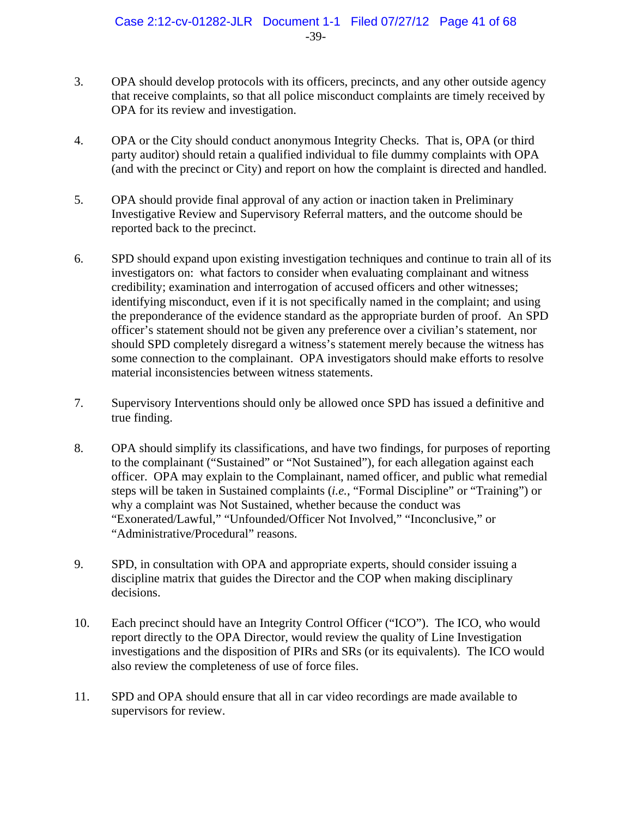- 3. OPA should develop protocols with its officers, precincts, and any other outside agency that receive complaints, so that all police misconduct complaints are timely received by OPA for its review and investigation.
- 4. OPA or the City should conduct anonymous Integrity Checks. That is, OPA (or third party auditor) should retain a qualified individual to file dummy complaints with OPA (and with the precinct or City) and report on how the complaint is directed and handled.
- 5. OPA should provide final approval of any action or inaction taken in Preliminary Investigative Review and Supervisory Referral matters, and the outcome should be reported back to the precinct.
- 6. SPD should expand upon existing investigation techniques and continue to train all of its investigators on: what factors to consider when evaluating complainant and witness credibility; examination and interrogation of accused officers and other witnesses; identifying misconduct, even if it is not specifically named in the complaint; and using the preponderance of the evidence standard as the appropriate burden of proof. An SPD officer's statement should not be given any preference over a civilian's statement, nor should SPD completely disregard a witness's statement merely because the witness has some connection to the complainant. OPA investigators should make efforts to resolve material inconsistencies between witness statements.
- 7. Supervisory Interventions should only be allowed once SPD has issued a definitive and true finding.
- 8. OPA should simplify its classifications, and have two findings, for purposes of reporting to the complainant ("Sustained" or "Not Sustained"), for each allegation against each officer. OPA may explain to the Complainant, named officer, and public what remedial steps will be taken in Sustained complaints (*i.e.*, "Formal Discipline" or "Training") or why a complaint was Not Sustained, whether because the conduct was "Exonerated/Lawful," "Unfounded/Officer Not Involved," "Inconclusive," or "Administrative/Procedural" reasons.
- 9. SPD, in consultation with OPA and appropriate experts, should consider issuing a discipline matrix that guides the Director and the COP when making disciplinary decisions.
- 10. Each precinct should have an Integrity Control Officer ("ICO"). The ICO, who would report directly to the OPA Director, would review the quality of Line Investigation investigations and the disposition of PIRs and SRs (or its equivalents). The ICO would also review the completeness of use of force files.
- 11. SPD and OPA should ensure that all in car video recordings are made available to supervisors for review.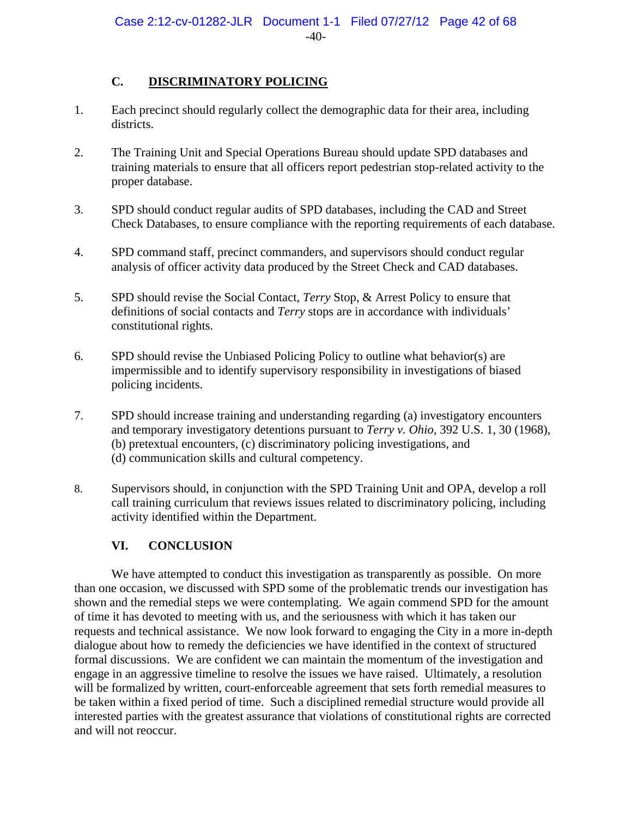# **C. DISCRIMINATORY POLICING**

- 1. Each precinct should regularly collect the demographic data for their area, including districts.
- 2. The Training Unit and Special Operations Bureau should update SPD databases and training materials to ensure that all officers report pedestrian stop-related activity to the proper database.
- 3. SPD should conduct regular audits of SPD databases, including the CAD and Street Check Databases, to ensure compliance with the reporting requirements of each database.
- 4. SPD command staff, precinct commanders, and supervisors should conduct regular analysis of officer activity data produced by the Street Check and CAD databases.
- 5. SPD should revise the Social Contact, *Terry* Stop, & Arrest Policy to ensure that definitions of social contacts and *Terry* stops are in accordance with individuals' constitutional rights.
- 6. SPD should revise the Unbiased Policing Policy to outline what behavior(s) are impermissible and to identify supervisory responsibility in investigations of biased policing incidents.
- 7. SPD should increase training and understanding regarding (a) investigatory encounters and temporary investigatory detentions pursuant to *Terry v. Ohio*, 392 U.S. 1, 30 (1968), (b) pretextual encounters, (c) discriminatory policing investigations, and (d) communication skills and cultural competency.
- 8. Supervisors should, in conjunction with the SPD Training Unit and OPA, develop a roll call training curriculum that reviews issues related to discriminatory policing, including activity identified within the Department.

# **VI. CONCLUSION**

We have attempted to conduct this investigation as transparently as possible. On more than one occasion, we discussed with SPD some of the problematic trends our investigation has shown and the remedial steps we were contemplating. We again commend SPD for the amount of time it has devoted to meeting with us, and the seriousness with which it has taken our requests and technical assistance. We now look forward to engaging the City in a more in-depth dialogue about how to remedy the deficiencies we have identified in the context of structured formal discussions. We are confident we can maintain the momentum of the investigation and engage in an aggressive timeline to resolve the issues we have raised. Ultimately, a resolution will be formalized by written, court-enforceable agreement that sets forth remedial measures to be taken within a fixed period of time. Such a disciplined remedial structure would provide all interested parties with the greatest assurance that violations of constitutional rights are corrected and will not reoccur.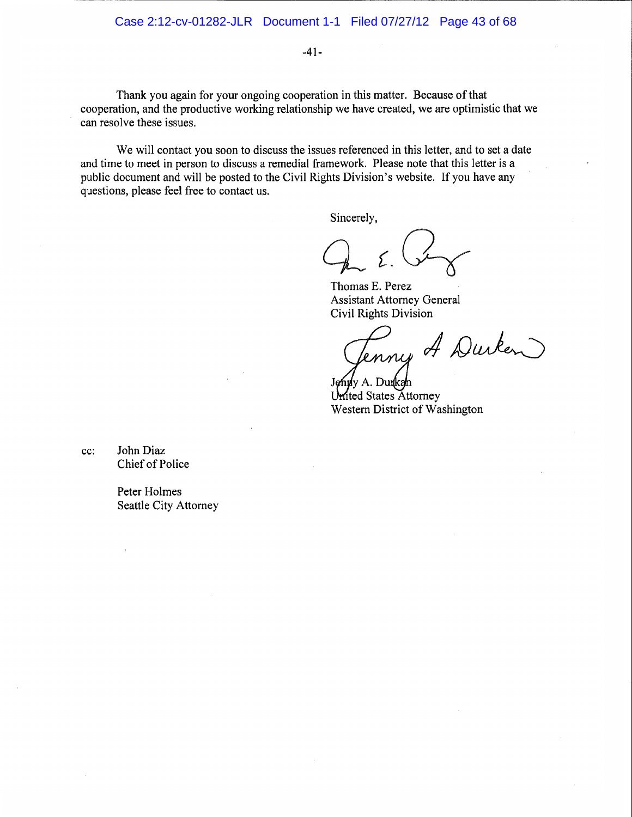$-41-$ 

Thank you again for your ongoing cooperation in this matter. Because of that cooperation, and the productive working relationship we have created, we are optimistic that we can resolve these issues.

We will contact you soon to discuss the issues referenced in this letter, and to set a date and time to meet in person to discuss a remedial framework. Please note that this letter is a public document and will be posted to the Civil Rights Division's website. If you have any questions, please feel free to contact us.

Sincerely,

Thomas E. Perez **Assistant Attorney General Civil Rights Division** 

Tenny A Durken

ly A. Dunkah United States Attorney Western District of Washington

John Diaz cc: Chief of Police

> Peter Holmes Seattle City Attorney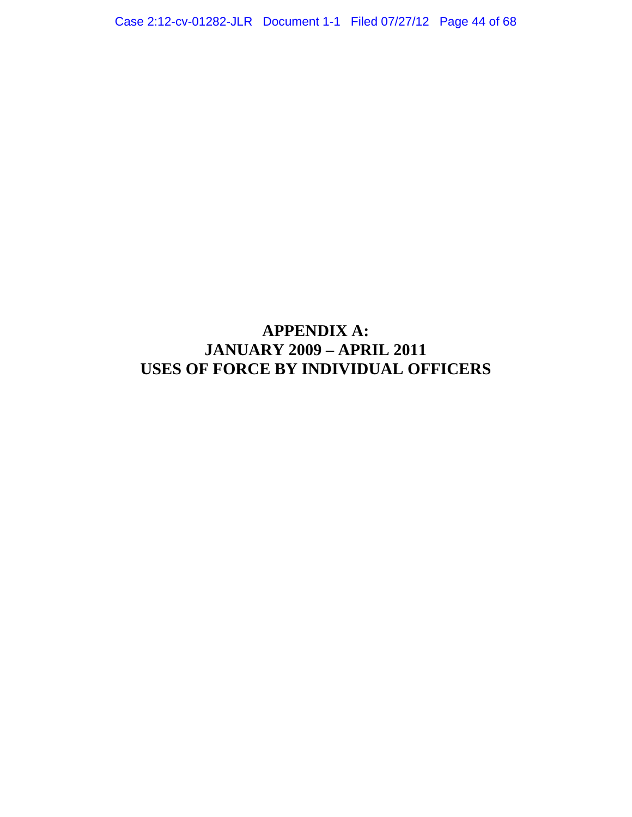# **APPENDIX A: JANUARY 2009 – APRIL 2011 USES OF FORCE BY INDIVIDUAL OFFICERS**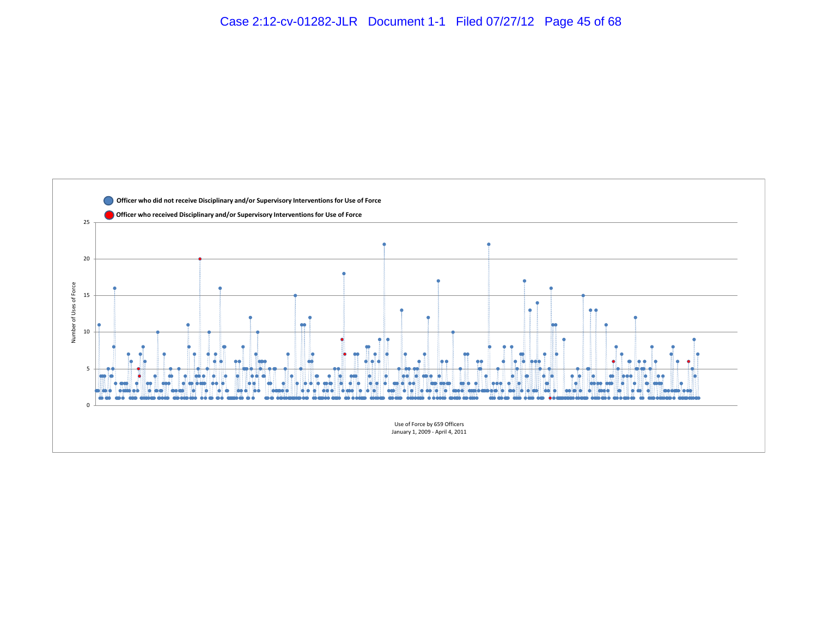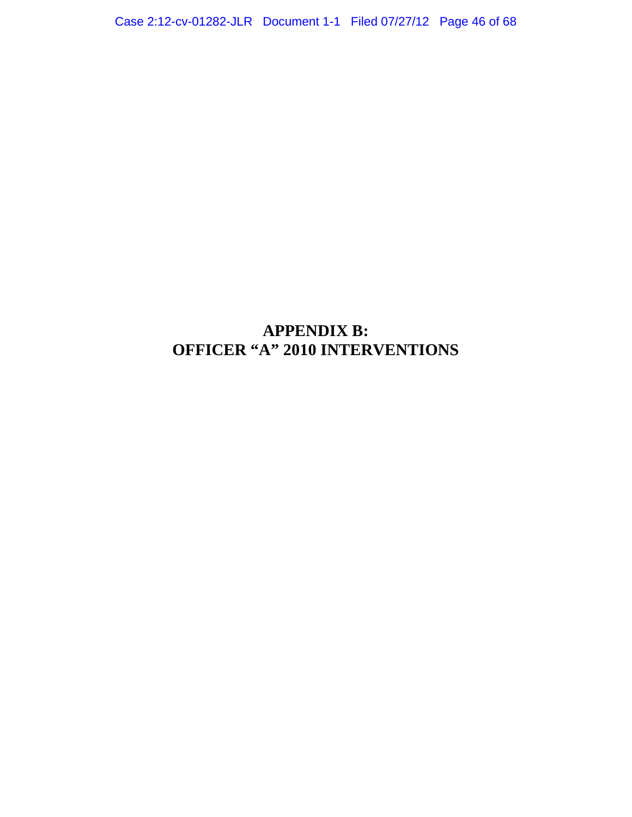Case 2:12-cv-01282-JLR Document 1-1 Filed 07/27/12 Page 46 of 68

# **APPENDIX B: OFFICER "A" 2010 INTERVENTIONS**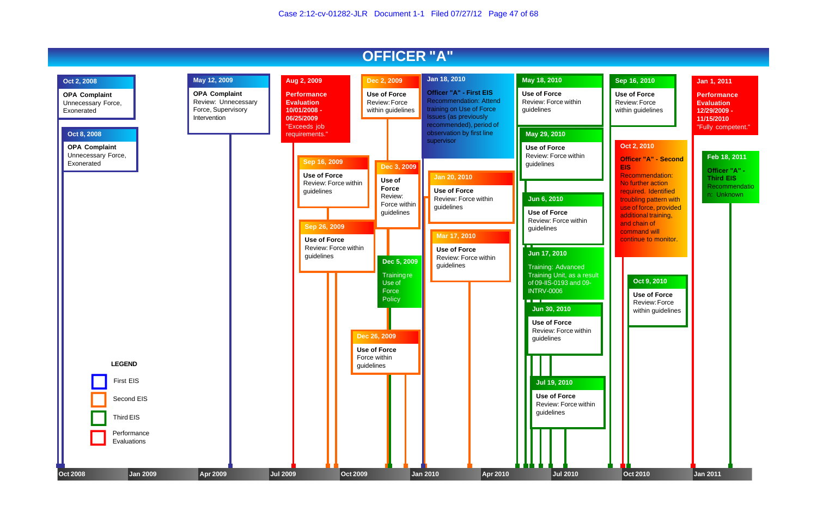

# **Sep 16, 2010**

**Use of Force** Review: Force within guidelines

#### **Oct 9, 2010**

**Use of Force** Review: Force within guidelines

## **Jan 1, 2011**

**Performance Evaluation 12/29/2009 - 11/15/2010** "Fully competent."

### **Oct 2, 2010**

**Officer "A" - Second EIS** Recommendation: No further action

required. Identified troubling pattern with use of force, provided additional training, and chain of command will continue to monitor.

#### **Feb 18, 2011**

**Officer "A" - Third EIS** Recommendatio n: Unknown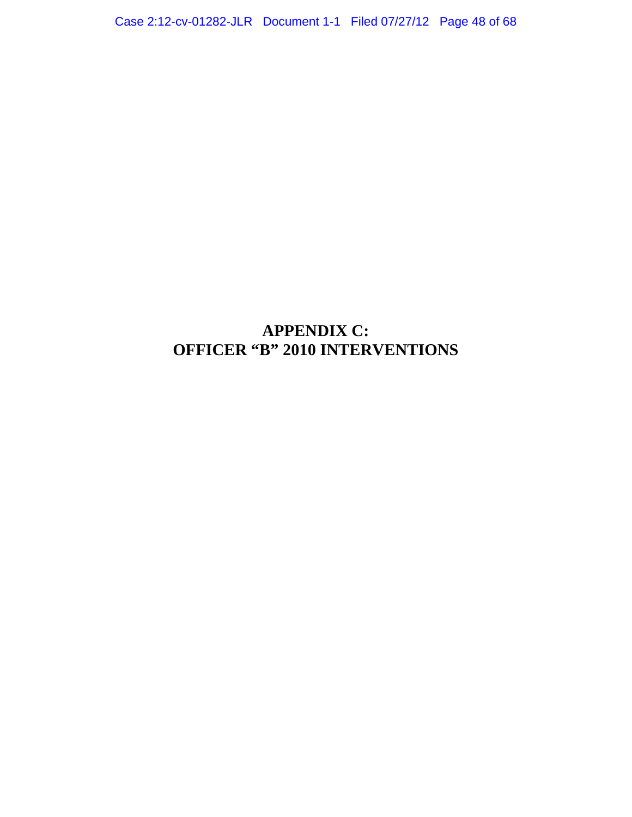Case 2:12-cv-01282-JLR Document 1-1 Filed 07/27/12 Page 48 of 68

# **APPENDIX C: OFFICER "B" 2010 INTERVENTIONS**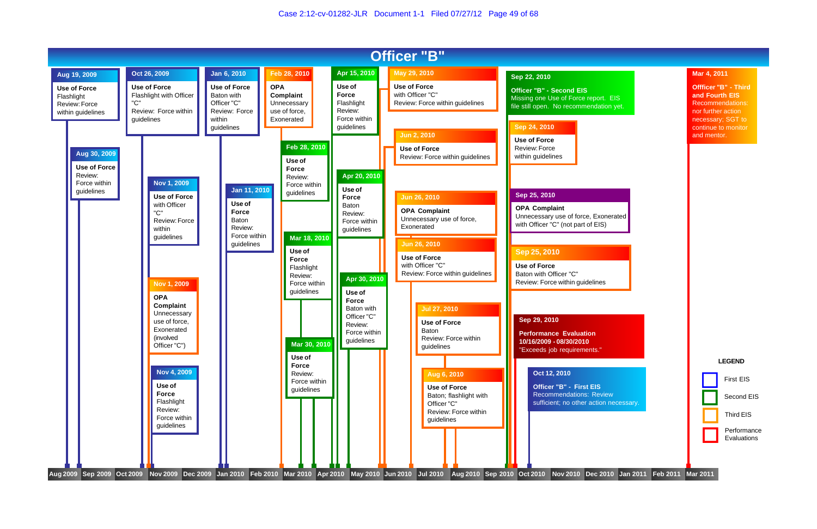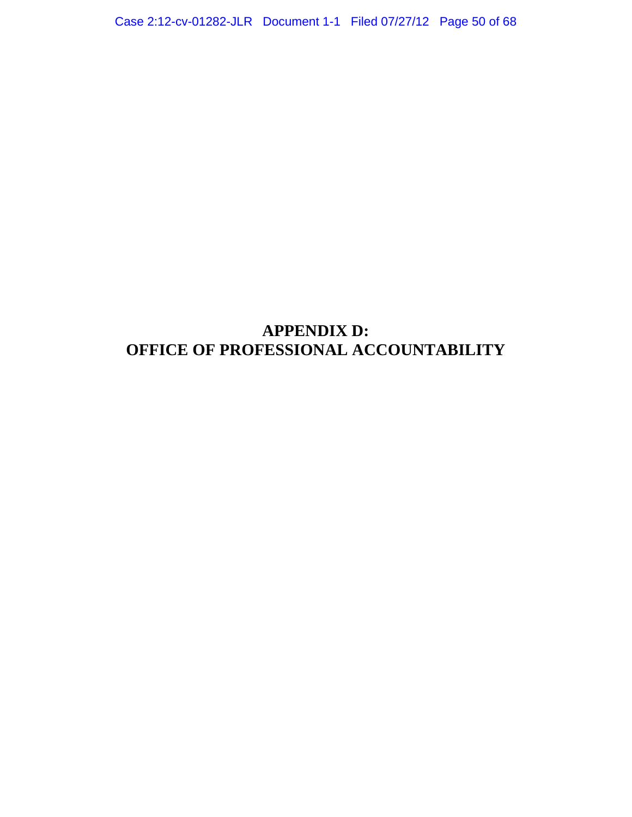Case 2:12-cv-01282-JLR Document 1-1 Filed 07/27/12 Page 50 of 68

# **APPENDIX D: OFFICE OF PROFESSIONAL ACCOUNTABILITY**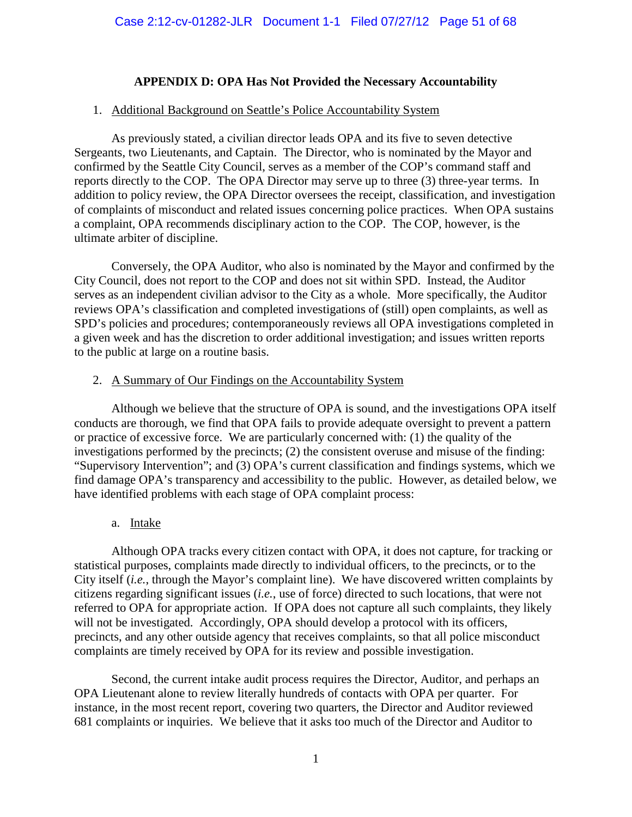# **APPENDIX D: OPA Has Not Provided the Necessary Accountability**

# 1. Additional Background on Seattle's Police Accountability System

As previously stated, a civilian director leads OPA and its five to seven detective Sergeants, two Lieutenants, and Captain. The Director, who is nominated by the Mayor and confirmed by the Seattle City Council, serves as a member of the COP's command staff and reports directly to the COP. The OPA Director may serve up to three (3) three-year terms. In addition to policy review, the OPA Director oversees the receipt, classification, and investigation of complaints of misconduct and related issues concerning police practices. When OPA sustains a complaint, OPA recommends disciplinary action to the COP. The COP, however, is the ultimate arbiter of discipline.

Conversely, the OPA Auditor, who also is nominated by the Mayor and confirmed by the City Council, does not report to the COP and does not sit within SPD. Instead, the Auditor serves as an independent civilian advisor to the City as a whole. More specifically, the Auditor reviews OPA's classification and completed investigations of (still) open complaints, as well as SPD's policies and procedures; contemporaneously reviews all OPA investigations completed in a given week and has the discretion to order additional investigation; and issues written reports to the public at large on a routine basis.

## 2. A Summary of Our Findings on the Accountability System

Although we believe that the structure of OPA is sound, and the investigations OPA itself conducts are thorough, we find that OPA fails to provide adequate oversight to prevent a pattern or practice of excessive force. We are particularly concerned with: (1) the quality of the investigations performed by the precincts; (2) the consistent overuse and misuse of the finding: "Supervisory Intervention"; and (3) OPA's current classification and findings systems, which we find damage OPA's transparency and accessibility to the public. However, as detailed below, we have identified problems with each stage of OPA complaint process:

## a. Intake

Although OPA tracks every citizen contact with OPA, it does not capture, for tracking or statistical purposes, complaints made directly to individual officers, to the precincts, or to the City itself (*i.e.*, through the Mayor's complaint line). We have discovered written complaints by citizens regarding significant issues (*i.e.*, use of force) directed to such locations, that were not referred to OPA for appropriate action. If OPA does not capture all such complaints, they likely will not be investigated.Accordingly, OPA should develop a protocol with its officers, precincts, and any other outside agency that receives complaints, so that all police misconduct complaints are timely received by OPA for its review and possible investigation.

 Second, the current intake audit process requires the Director, Auditor, and perhaps an OPA Lieutenant alone to review literally hundreds of contacts with OPA per quarter. For instance, in the most recent report, covering two quarters, the Director and Auditor reviewed 681 complaints or inquiries. We believe that it asks too much of the Director and Auditor to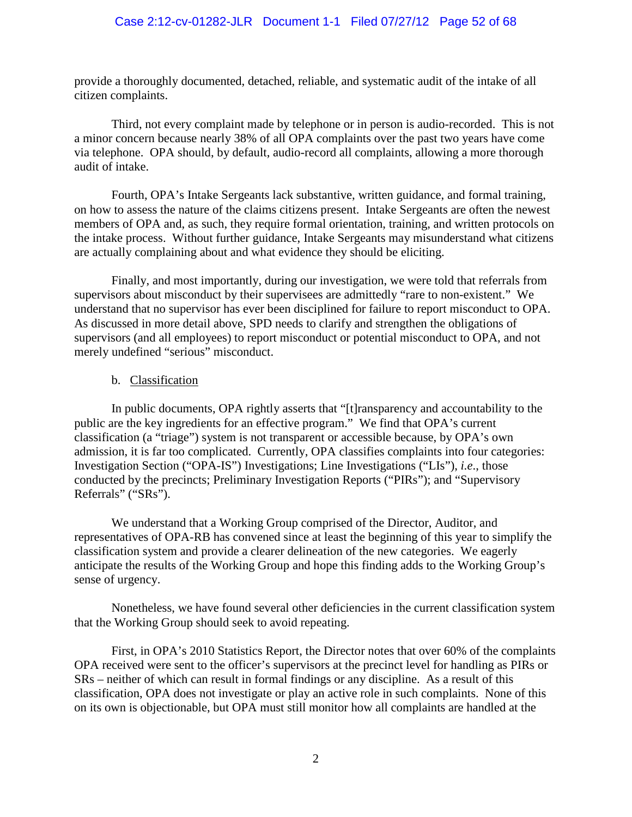provide a thoroughly documented, detached, reliable, and systematic audit of the intake of all citizen complaints.

 Third, not every complaint made by telephone or in person is audio-recorded. This is not a minor concern because nearly 38% of all OPA complaints over the past two years have come via telephone. OPA should, by default, audio-record all complaints, allowing a more thorough audit of intake.

 Fourth, OPA's Intake Sergeants lack substantive, written guidance, and formal training, on how to assess the nature of the claims citizens present. Intake Sergeants are often the newest members of OPA and, as such, they require formal orientation, training, and written protocols on the intake process. Without further guidance, Intake Sergeants may misunderstand what citizens are actually complaining about and what evidence they should be eliciting.

 Finally, and most importantly, during our investigation, we were told that referrals from supervisors about misconduct by their supervisees are admittedly "rare to non-existent." We understand that no supervisor has ever been disciplined for failure to report misconduct to OPA. As discussed in more detail above, SPD needs to clarify and strengthen the obligations of supervisors (and all employees) to report misconduct or potential misconduct to OPA, and not merely undefined "serious" misconduct.

## b. Classification

In public documents, OPA rightly asserts that "[t]ransparency and accountability to the public are the key ingredients for an effective program." We find that OPA's current classification (a "triage") system is not transparent or accessible because, by OPA's own admission, it is far too complicated. Currently, OPA classifies complaints into four categories: Investigation Section ("OPA-IS") Investigations; Line Investigations ("LIs"), *i.e*., those conducted by the precincts; Preliminary Investigation Reports ("PIRs"); and "Supervisory Referrals" ("SRs").

We understand that a Working Group comprised of the Director, Auditor, and representatives of OPA-RB has convened since at least the beginning of this year to simplify the classification system and provide a clearer delineation of the new categories. We eagerly anticipate the results of the Working Group and hope this finding adds to the Working Group's sense of urgency.

Nonetheless, we have found several other deficiencies in the current classification system that the Working Group should seek to avoid repeating.

First, in OPA's 2010 Statistics Report, the Director notes that over 60% of the complaints OPA received were sent to the officer's supervisors at the precinct level for handling as PIRs or SRs – neither of which can result in formal findings or any discipline. As a result of this classification, OPA does not investigate or play an active role in such complaints. None of this on its own is objectionable, but OPA must still monitor how all complaints are handled at the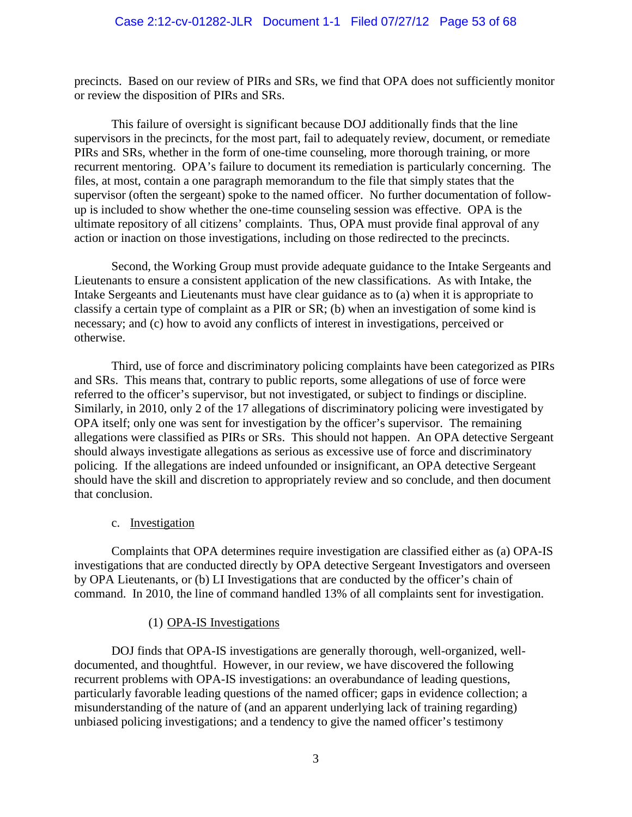precincts. Based on our review of PIRs and SRs, we find that OPA does not sufficiently monitor or review the disposition of PIRs and SRs.

This failure of oversight is significant because DOJ additionally finds that the line supervisors in the precincts, for the most part, fail to adequately review, document, or remediate PIRs and SRs, whether in the form of one-time counseling, more thorough training, or more recurrent mentoring. OPA's failure to document its remediation is particularly concerning. The files, at most, contain a one paragraph memorandum to the file that simply states that the supervisor (often the sergeant) spoke to the named officer. No further documentation of followup is included to show whether the one-time counseling session was effective. OPA is the ultimate repository of all citizens' complaints. Thus, OPA must provide final approval of any action or inaction on those investigations, including on those redirected to the precincts.

Second, the Working Group must provide adequate guidance to the Intake Sergeants and Lieutenants to ensure a consistent application of the new classifications. As with Intake, the Intake Sergeants and Lieutenants must have clear guidance as to (a) when it is appropriate to classify a certain type of complaint as a PIR or SR; (b) when an investigation of some kind is necessary; and (c) how to avoid any conflicts of interest in investigations, perceived or otherwise.

Third, use of force and discriminatory policing complaints have been categorized as PIRs and SRs. This means that, contrary to public reports, some allegations of use of force were referred to the officer's supervisor, but not investigated, or subject to findings or discipline. Similarly, in 2010, only 2 of the 17 allegations of discriminatory policing were investigated by OPA itself; only one was sent for investigation by the officer's supervisor. The remaining allegations were classified as PIRs or SRs.This should not happen. An OPA detective Sergeant should always investigate allegations as serious as excessive use of force and discriminatory policing. If the allegations are indeed unfounded or insignificant, an OPA detective Sergeant should have the skill and discretion to appropriately review and so conclude, and then document that conclusion.

## c. Investigation

Complaints that OPA determines require investigation are classified either as (a) OPA-IS investigations that are conducted directly by OPA detective Sergeant Investigators and overseen by OPA Lieutenants, or (b) LI Investigations that are conducted by the officer's chain of command. In 2010, the line of command handled 13% of all complaints sent for investigation.

## (1) OPA-IS Investigations

DOJ finds that OPA-IS investigations are generally thorough, well-organized, welldocumented, and thoughtful. However, in our review, we have discovered the following recurrent problems with OPA-IS investigations: an overabundance of leading questions, particularly favorable leading questions of the named officer; gaps in evidence collection; a misunderstanding of the nature of (and an apparent underlying lack of training regarding) unbiased policing investigations; and a tendency to give the named officer's testimony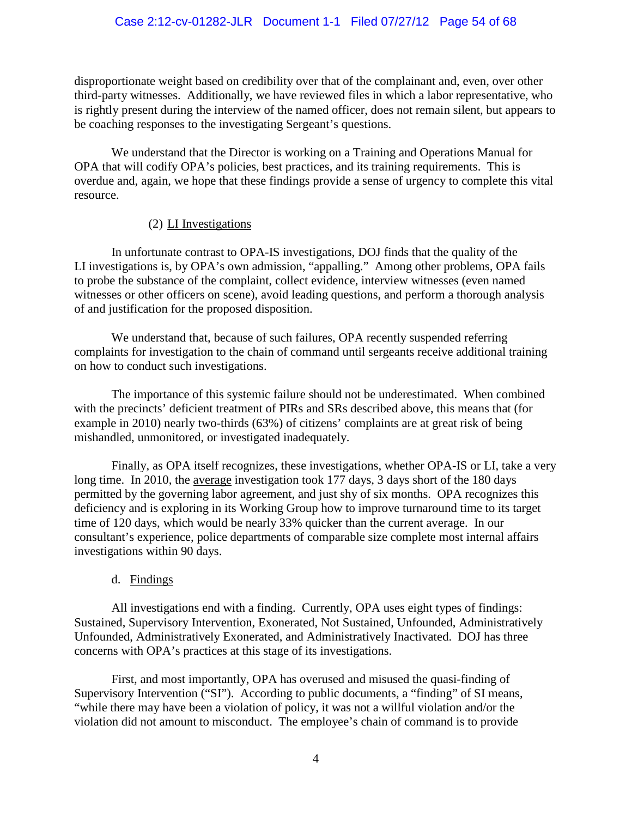## Case 2:12-cv-01282-JLR Document 1-1 Filed 07/27/12 Page 54 of 68

disproportionate weight based on credibility over that of the complainant and, even, over other third-party witnesses. Additionally, we have reviewed files in which a labor representative, who is rightly present during the interview of the named officer, does not remain silent, but appears to be coaching responses to the investigating Sergeant's questions.

We understand that the Director is working on a Training and Operations Manual for OPA that will codify OPA's policies, best practices, and its training requirements. This is overdue and, again, we hope that these findings provide a sense of urgency to complete this vital resource.

#### (2) LI Investigations

In unfortunate contrast to OPA-IS investigations, DOJ finds that the quality of the LI investigations is, by OPA's own admission, "appalling." Among other problems, OPA fails to probe the substance of the complaint, collect evidence, interview witnesses (even named witnesses or other officers on scene), avoid leading questions, and perform a thorough analysis of and justification for the proposed disposition.

We understand that, because of such failures, OPA recently suspended referring complaints for investigation to the chain of command until sergeants receive additional training on how to conduct such investigations.

The importance of this systemic failure should not be underestimated. When combined with the precincts' deficient treatment of PIRs and SRs described above, this means that (for example in 2010) nearly two-thirds (63%) of citizens' complaints are at great risk of being mishandled, unmonitored, or investigated inadequately.

Finally, as OPA itself recognizes, these investigations, whether OPA-IS or LI, take a very long time. In 2010, the average investigation took 177 days, 3 days short of the 180 days permitted by the governing labor agreement, and just shy of six months. OPA recognizes this deficiency and is exploring in its Working Group how to improve turnaround time to its target time of 120 days, which would be nearly 33% quicker than the current average. In our consultant's experience, police departments of comparable size complete most internal affairs investigations within 90 days.

## d. Findings

All investigations end with a finding. Currently, OPA uses eight types of findings: Sustained, Supervisory Intervention, Exonerated, Not Sustained, Unfounded, Administratively Unfounded, Administratively Exonerated, and Administratively Inactivated. DOJ has three concerns with OPA's practices at this stage of its investigations.

First, and most importantly, OPA has overused and misused the quasi-finding of Supervisory Intervention ("SI"). According to public documents, a "finding" of SI means, "while there may have been a violation of policy, it was not a willful violation and/or the violation did not amount to misconduct. The employee's chain of command is to provide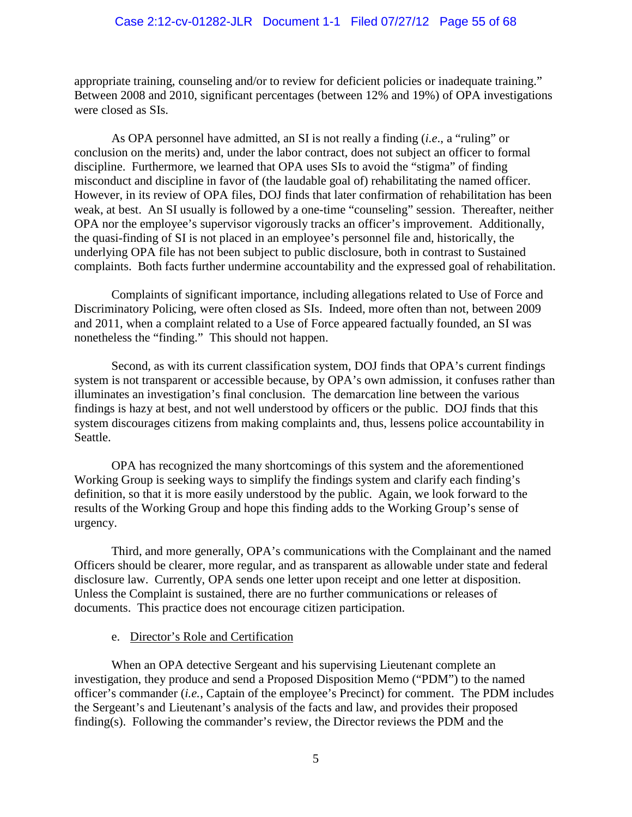appropriate training, counseling and/or to review for deficient policies or inadequate training." Between 2008 and 2010, significant percentages (between 12% and 19%) of OPA investigations were closed as SIs.

As OPA personnel have admitted, an SI is not really a finding (*i.e*., a "ruling" or conclusion on the merits) and, under the labor contract, does not subject an officer to formal discipline. Furthermore, we learned that OPA uses SIs to avoid the "stigma" of finding misconduct and discipline in favor of (the laudable goal of) rehabilitating the named officer. However, in its review of OPA files, DOJ finds that later confirmation of rehabilitation has been weak, at best. An SI usually is followed by a one-time "counseling" session. Thereafter, neither OPA nor the employee's supervisor vigorously tracks an officer's improvement.Additionally, the quasi-finding of SI is not placed in an employee's personnel file and, historically, the underlying OPA file has not been subject to public disclosure, both in contrast to Sustained complaints. Both facts further undermine accountability and the expressed goal of rehabilitation.

Complaints of significant importance, including allegations related to Use of Force and Discriminatory Policing, were often closed as SIs. Indeed, more often than not, between 2009 and 2011, when a complaint related to a Use of Force appeared factually founded, an SI was nonetheless the "finding." This should not happen.

Second, as with its current classification system, DOJ finds that OPA's current findings system is not transparent or accessible because, by OPA's own admission, it confuses rather than illuminates an investigation's final conclusion. The demarcation line between the various findings is hazy at best, and not well understood by officers or the public. DOJ finds that this system discourages citizens from making complaints and, thus, lessens police accountability in Seattle.

OPA has recognized the many shortcomings of this system and the aforementioned Working Group is seeking ways to simplify the findings system and clarify each finding's definition, so that it is more easily understood by the public. Again, we look forward to the results of the Working Group and hope this finding adds to the Working Group's sense of urgency.

Third, and more generally, OPA's communications with the Complainant and the named Officers should be clearer, more regular, and as transparent as allowable under state and federal disclosure law. Currently, OPA sends one letter upon receipt and one letter at disposition. Unless the Complaint is sustained, there are no further communications or releases of documents. This practice does not encourage citizen participation.

## e. Director's Role and Certification

When an OPA detective Sergeant and his supervising Lieutenant complete an investigation, they produce and send a Proposed Disposition Memo ("PDM") to the named officer's commander (*i.e.*, Captain of the employee's Precinct) for comment. The PDM includes the Sergeant's and Lieutenant's analysis of the facts and law, and provides their proposed finding(s). Following the commander's review, the Director reviews the PDM and the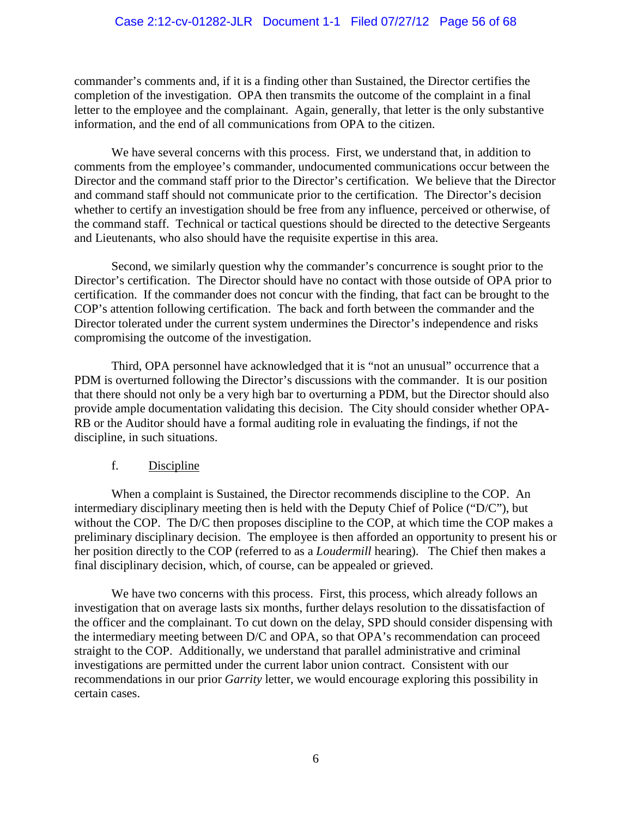commander's comments and, if it is a finding other than Sustained, the Director certifies the completion of the investigation. OPA then transmits the outcome of the complaint in a final letter to the employee and the complainant. Again, generally, that letter is the only substantive information, and the end of all communications from OPA to the citizen.

We have several concerns with this process. First, we understand that, in addition to comments from the employee's commander, undocumented communications occur between the Director and the command staff prior to the Director's certification. We believe that the Director and command staff should not communicate prior to the certification. The Director's decision whether to certify an investigation should be free from any influence, perceived or otherwise, of the command staff. Technical or tactical questions should be directed to the detective Sergeants and Lieutenants, who also should have the requisite expertise in this area.

Second, we similarly question why the commander's concurrence is sought prior to the Director's certification. The Director should have no contact with those outside of OPA prior to certification. If the commander does not concur with the finding, that fact can be brought to the COP's attention following certification. The back and forth between the commander and the Director tolerated under the current system undermines the Director's independence and risks compromising the outcome of the investigation.

Third, OPA personnel have acknowledged that it is "not an unusual" occurrence that a PDM is overturned following the Director's discussions with the commander. It is our position that there should not only be a very high bar to overturning a PDM, but the Director should also provide ample documentation validating this decision. The City should consider whether OPA-RB or the Auditor should have a formal auditing role in evaluating the findings, if not the discipline, in such situations.

# f. Discipline

When a complaint is Sustained, the Director recommends discipline to the COP. An intermediary disciplinary meeting then is held with the Deputy Chief of Police ("D/C"), but without the COP. The D/C then proposes discipline to the COP, at which time the COP makes a preliminary disciplinary decision. The employee is then afforded an opportunity to present his or her position directly to the COP (referred to as a *Loudermill* hearing). The Chief then makes a final disciplinary decision, which, of course, can be appealed or grieved.

We have two concerns with this process. First, this process, which already follows an investigation that on average lasts six months, further delays resolution to the dissatisfaction of the officer and the complainant. To cut down on the delay, SPD should consider dispensing with the intermediary meeting between D/C and OPA, so that OPA's recommendation can proceed straight to the COP. Additionally, we understand that parallel administrative and criminal investigations are permitted under the current labor union contract. Consistent with our recommendations in our prior *Garrity* letter, we would encourage exploring this possibility in certain cases.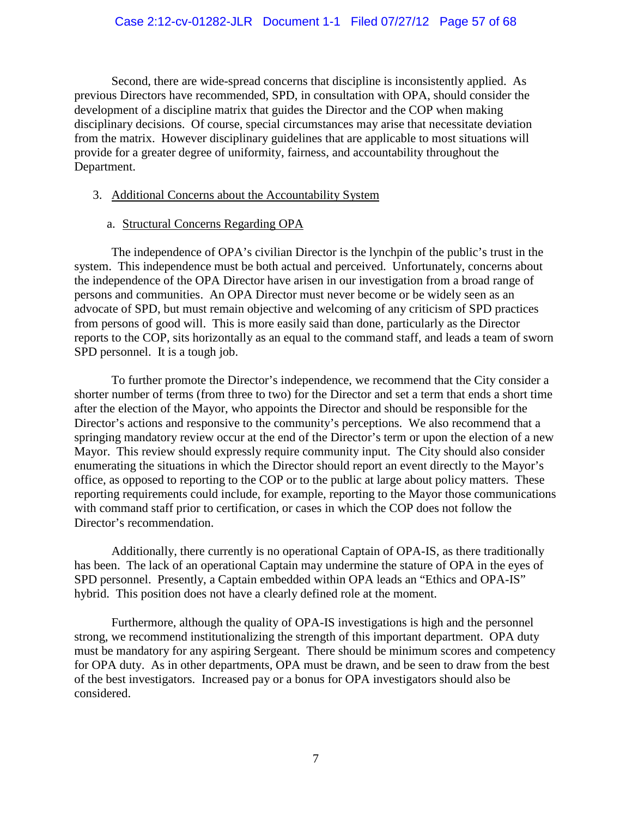Second, there are wide-spread concerns that discipline is inconsistently applied. As previous Directors have recommended, SPD, in consultation with OPA, should consider the development of a discipline matrix that guides the Director and the COP when making disciplinary decisions. Of course, special circumstances may arise that necessitate deviation from the matrix. However disciplinary guidelines that are applicable to most situations will provide for a greater degree of uniformity, fairness, and accountability throughout the Department.

## 3. Additional Concerns about the Accountability System

a. Structural Concerns Regarding OPA

 The independence of OPA's civilian Director is the lynchpin of the public's trust in the system. This independence must be both actual and perceived. Unfortunately, concerns about the independence of the OPA Director have arisen in our investigation from a broad range of persons and communities. An OPA Director must never become or be widely seen as an advocate of SPD, but must remain objective and welcoming of any criticism of SPD practices from persons of good will. This is more easily said than done, particularly as the Director reports to the COP, sits horizontally as an equal to the command staff, and leads a team of sworn SPD personnel. It is a tough job.

 To further promote the Director's independence, we recommend that the City consider a shorter number of terms (from three to two) for the Director and set a term that ends a short time after the election of the Mayor, who appoints the Director and should be responsible for the Director's actions and responsive to the community's perceptions. We also recommend that a springing mandatory review occur at the end of the Director's term or upon the election of a new Mayor. This review should expressly require community input. The City should also consider enumerating the situations in which the Director should report an event directly to the Mayor's office, as opposed to reporting to the COP or to the public at large about policy matters. These reporting requirements could include, for example, reporting to the Mayor those communications with command staff prior to certification, or cases in which the COP does not follow the Director's recommendation.

 Additionally, there currently is no operational Captain of OPA-IS, as there traditionally has been. The lack of an operational Captain may undermine the stature of OPA in the eyes of SPD personnel. Presently, a Captain embedded within OPA leads an "Ethics and OPA-IS" hybrid. This position does not have a clearly defined role at the moment.

Furthermore, although the quality of OPA-IS investigations is high and the personnel strong, we recommend institutionalizing the strength of this important department. OPA duty must be mandatory for any aspiring Sergeant. There should be minimum scores and competency for OPA duty. As in other departments, OPA must be drawn, and be seen to draw from the best of the best investigators. Increased pay or a bonus for OPA investigators should also be considered.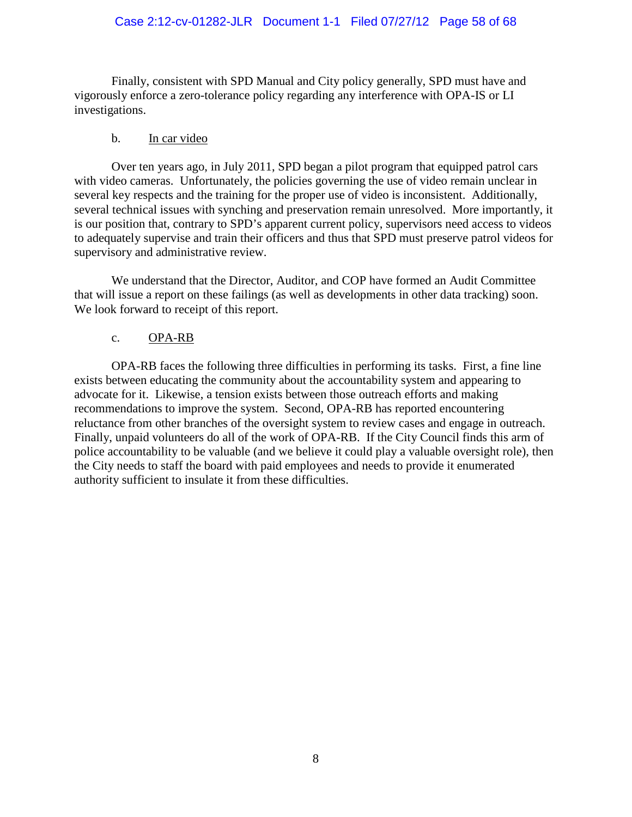### Case 2:12-cv-01282-JLR Document 1-1 Filed 07/27/12 Page 58 of 68

 Finally, consistent with SPD Manual and City policy generally, SPD must have and vigorously enforce a zero-tolerance policy regarding any interference with OPA-IS or LI investigations.

#### b. In car video

Over ten years ago, in July 2011, SPD began a pilot program that equipped patrol cars with video cameras. Unfortunately, the policies governing the use of video remain unclear in several key respects and the training for the proper use of video is inconsistent. Additionally, several technical issues with synching and preservation remain unresolved. More importantly, it is our position that, contrary to SPD's apparent current policy, supervisors need access to videos to adequately supervise and train their officers and thus that SPD must preserve patrol videos for supervisory and administrative review.

 We understand that the Director, Auditor, and COP have formed an Audit Committee that will issue a report on these failings (as well as developments in other data tracking) soon. We look forward to receipt of this report.

#### c. OPA-RB

OPA-RB faces the following three difficulties in performing its tasks. First, a fine line exists between educating the community about the accountability system and appearing to advocate for it. Likewise, a tension exists between those outreach efforts and making recommendations to improve the system. Second, OPA-RB has reported encountering reluctance from other branches of the oversight system to review cases and engage in outreach. Finally, unpaid volunteers do all of the work of OPA-RB. If the City Council finds this arm of police accountability to be valuable (and we believe it could play a valuable oversight role), then the City needs to staff the board with paid employees and needs to provide it enumerated authority sufficient to insulate it from these difficulties.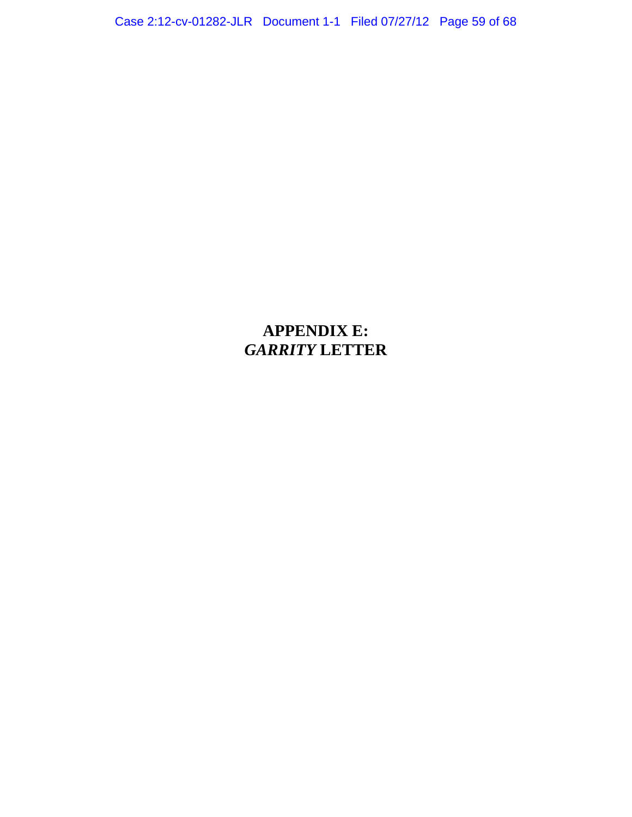Case 2:12-cv-01282-JLR Document 1-1 Filed 07/27/12 Page 59 of 68

# **APPENDIX E:**  *GARRITY* **LETTER**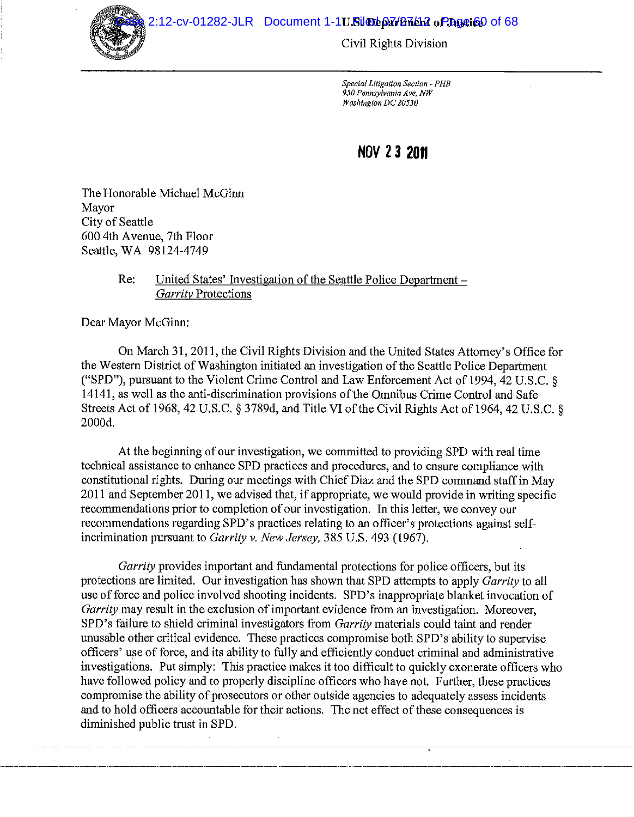2:12-cv-01282-JLR Document 1-1U. Sileubon/binet 2 o Phastice of 68



Civil Rights Division

Special Litigation Section - PHB 950 Pennsylvania Ave. NW Washington DC 20530

## NOV 23 2011

The Honorable Michael McGinn Mavor City of Seattle 600 4th Avenue, 7th Floor Seattle, WA 98124-4749

> United States' Investigation of the Seattle Police Department -Re: Garrity Protections

Dear Mayor McGinn:

On March 31, 2011, the Civil Rights Division and the United States Attorney's Office for the Western District of Washington initiated an investigation of the Seattle Police Department ("SPD"), pursuant to the Violent Crime Control and Law Enforcement Act of 1994, 42 U.S.C. § 14141, as well as the anti-discrimination provisions of the Omnibus Crime Control and Safe Streets Act of 1968, 42 U.S.C. § 3789d, and Title VI of the Civil Rights Act of 1964, 42 U.S.C. § 2000d.

At the beginning of our investigation, we committed to providing SPD with real time technical assistance to enhance SPD practices and procedures, and to ensure compliance with constitutional rights. During our meetings with Chief Diaz and the SPD command staff in May 2011 and September 2011, we advised that, if appropriate, we would provide in writing specific recommendations prior to completion of our investigation. In this letter, we convey our recommendations regarding SPD's practices relating to an officer's protections against selfincrimination pursuant to *Garrity v. New Jersey*, 385 U.S. 493 (1967).

Garrity provides important and fundamental protections for police officers, but its protections are limited. Our investigation has shown that SPD attempts to apply *Garrity* to all use of force and police involved shooting incidents. SPD's inappropriate blanket invocation of *Garrity* may result in the exclusion of important evidence from an investigation. Moreover, SPD's failure to shield criminal investigators from *Garrity* materials could taint and render unusable other critical evidence. These practices compromise both SPD's ability to supervise officers' use of force, and its ability to fully and efficiently conduct criminal and administrative investigations. Put simply: This practice makes it too difficult to quickly exonerate officers who have followed policy and to properly discipline officers who have not. Further, these practices compromise the ability of prosecutors or other outside agencies to adequately assess incidents and to hold officers accountable for their actions. The net effect of these consequences is diminished public trust in SPD.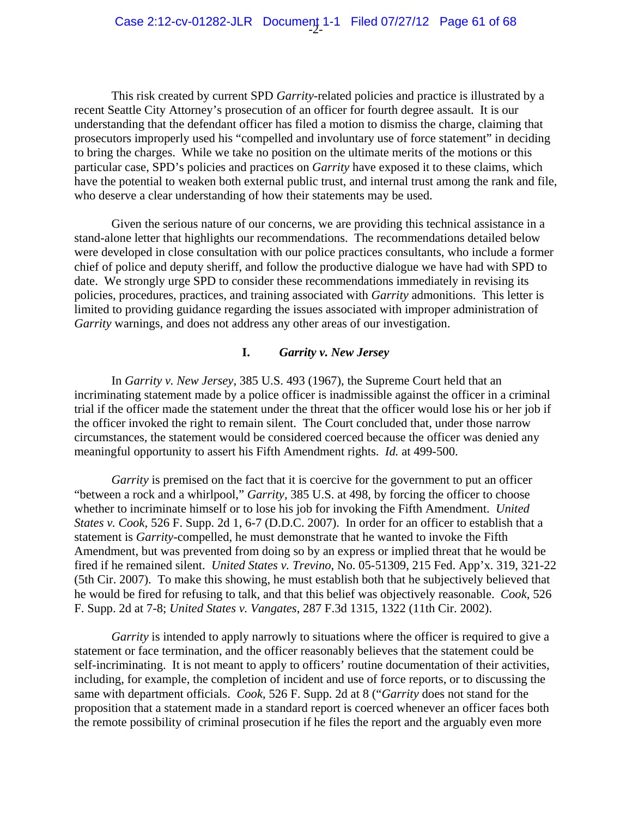This risk created by current SPD *Garrity*-related policies and practice is illustrated by a recent Seattle City Attorney's prosecution of an officer for fourth degree assault. It is our understanding that the defendant officer has filed a motion to dismiss the charge, claiming that prosecutors improperly used his "compelled and involuntary use of force statement" in deciding to bring the charges. While we take no position on the ultimate merits of the motions or this particular case, SPD's policies and practices on *Garrity* have exposed it to these claims, which have the potential to weaken both external public trust, and internal trust among the rank and file, who deserve a clear understanding of how their statements may be used.

Given the serious nature of our concerns, we are providing this technical assistance in a stand-alone letter that highlights our recommendations. The recommendations detailed below were developed in close consultation with our police practices consultants, who include a former chief of police and deputy sheriff, and follow the productive dialogue we have had with SPD to date. We strongly urge SPD to consider these recommendations immediately in revising its policies, procedures, practices, and training associated with *Garrity* admonitions. This letter is limited to providing guidance regarding the issues associated with improper administration of *Garrity* warnings, and does not address any other areas of our investigation.

#### **I.** *Garrity v. New Jersey*

In *Garrity v. New Jersey*, 385 U.S. 493 (1967), the Supreme Court held that an incriminating statement made by a police officer is inadmissible against the officer in a criminal trial if the officer made the statement under the threat that the officer would lose his or her job if the officer invoked the right to remain silent. The Court concluded that, under those narrow circumstances, the statement would be considered coerced because the officer was denied any meaningful opportunity to assert his Fifth Amendment rights. *Id.* at 499-500.

*Garrity* is premised on the fact that it is coercive for the government to put an officer "between a rock and a whirlpool," *Garrity*, 385 U.S. at 498, by forcing the officer to choose whether to incriminate himself or to lose his job for invoking the Fifth Amendment. *United States v. Cook,* 526 F. Supp. 2d 1, 6-7 (D.D.C. 2007). In order for an officer to establish that a statement is *Garrity*-compelled, he must demonstrate that he wanted to invoke the Fifth Amendment, but was prevented from doing so by an express or implied threat that he would be fired if he remained silent. *United States v. Trevino*, No. 05-51309, 215 Fed. App'x. 319, 321-22 (5th Cir. 2007). To make this showing, he must establish both that he subjectively believed that he would be fired for refusing to talk, and that this belief was objectively reasonable. *Cook*, 526 F. Supp. 2d at 7-8; *United States v. Vangates*, 287 F.3d 1315, 1322 (11th Cir. 2002).

*Garrity* is intended to apply narrowly to situations where the officer is required to give a statement or face termination, and the officer reasonably believes that the statement could be self-incriminating. It is not meant to apply to officers' routine documentation of their activities, including, for example, the completion of incident and use of force reports, or to discussing the same with department officials. *Cook*, 526 F. Supp. 2d at 8 ("*Garrity* does not stand for the proposition that a statement made in a standard report is coerced whenever an officer faces both the remote possibility of criminal prosecution if he files the report and the arguably even more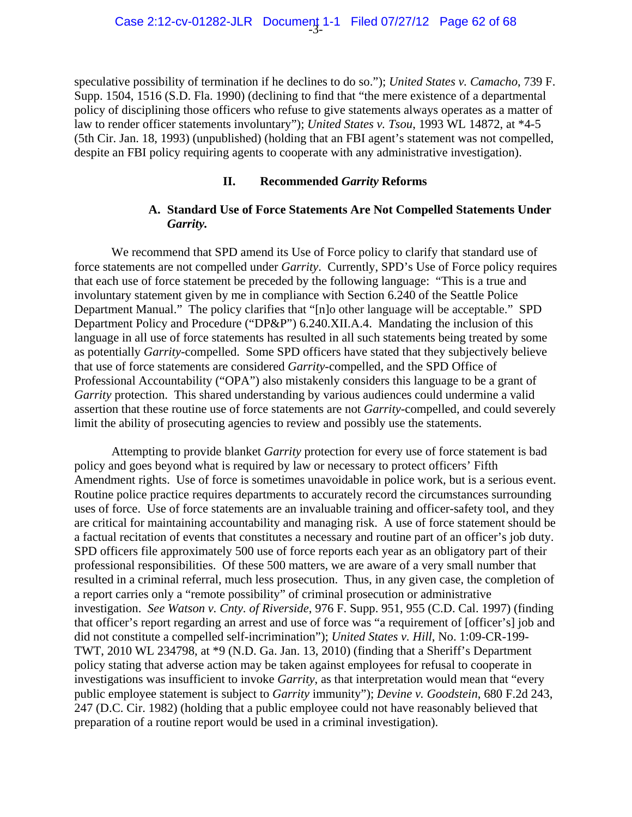speculative possibility of termination if he declines to do so."); *United States v. Camacho*, 739 F. Supp. 1504, 1516 (S.D. Fla. 1990) (declining to find that "the mere existence of a departmental policy of disciplining those officers who refuse to give statements always operates as a matter of law to render officer statements involuntary"); *United States v. Tsou*, 1993 WL 14872, at \*4-5 (5th Cir. Jan. 18, 1993) (unpublished) (holding that an FBI agent's statement was not compelled, despite an FBI policy requiring agents to cooperate with any administrative investigation).

#### **II. Recommended** *Garrity* **Reforms**

### **A. Standard Use of Force Statements Are Not Compelled Statements Under**  *Garrity.*

We recommend that SPD amend its Use of Force policy to clarify that standard use of force statements are not compelled under *Garrity*. Currently, SPD's Use of Force policy requires that each use of force statement be preceded by the following language: "This is a true and involuntary statement given by me in compliance with Section 6.240 of the Seattle Police Department Manual." The policy clarifies that "[n]o other language will be acceptable." SPD Department Policy and Procedure ("DP&P") 6.240.XII.A.4. Mandating the inclusion of this language in all use of force statements has resulted in all such statements being treated by some as potentially *Garrity*-compelled. Some SPD officers have stated that they subjectively believe that use of force statements are considered *Garrity*-compelled, and the SPD Office of Professional Accountability ("OPA") also mistakenly considers this language to be a grant of *Garrity* protection. This shared understanding by various audiences could undermine a valid assertion that these routine use of force statements are not *Garrity*-compelled, and could severely limit the ability of prosecuting agencies to review and possibly use the statements.

 Attempting to provide blanket *Garrity* protection for every use of force statement is bad policy and goes beyond what is required by law or necessary to protect officers' Fifth Amendment rights. Use of force is sometimes unavoidable in police work, but is a serious event. Routine police practice requires departments to accurately record the circumstances surrounding uses of force. Use of force statements are an invaluable training and officer-safety tool, and they are critical for maintaining accountability and managing risk. A use of force statement should be a factual recitation of events that constitutes a necessary and routine part of an officer's job duty. SPD officers file approximately 500 use of force reports each year as an obligatory part of their professional responsibilities. Of these 500 matters, we are aware of a very small number that resulted in a criminal referral, much less prosecution. Thus, in any given case, the completion of a report carries only a "remote possibility" of criminal prosecution or administrative investigation. *See Watson v. Cnty. of Riverside*, 976 F. Supp. 951, 955 (C.D. Cal. 1997) (finding that officer's report regarding an arrest and use of force was "a requirement of [officer's] job and did not constitute a compelled self-incrimination"); *United States v. Hill*, No. 1:09-CR-199- TWT, 2010 WL 234798, at \*9 (N.D. Ga. Jan. 13, 2010) (finding that a Sheriff's Department policy stating that adverse action may be taken against employees for refusal to cooperate in investigations was insufficient to invoke *Garrity*, as that interpretation would mean that "every public employee statement is subject to *Garrity* immunity"); *Devine v. Goodstein*, 680 F.2d 243, 247 (D.C. Cir. 1982) (holding that a public employee could not have reasonably believed that preparation of a routine report would be used in a criminal investigation).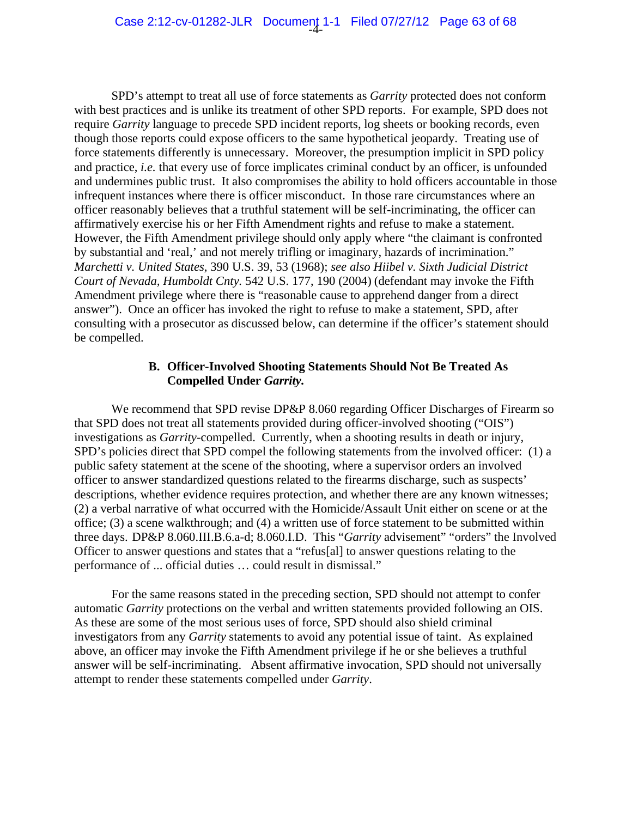SPD's attempt to treat all use of force statements as *Garrity* protected does not conform with best practices and is unlike its treatment of other SPD reports. For example, SPD does not require *Garrity* language to precede SPD incident reports, log sheets or booking records, even though those reports could expose officers to the same hypothetical jeopardy. Treating use of force statements differently is unnecessary. Moreover, the presumption implicit in SPD policy and practice, *i.e.* that every use of force implicates criminal conduct by an officer, is unfounded and undermines public trust. It also compromises the ability to hold officers accountable in those infrequent instances where there is officer misconduct. In those rare circumstances where an officer reasonably believes that a truthful statement will be self-incriminating, the officer can affirmatively exercise his or her Fifth Amendment rights and refuse to make a statement. However, the Fifth Amendment privilege should only apply where "the claimant is confronted by substantial and 'real,' and not merely trifling or imaginary, hazards of incrimination." *Marchetti v. United States*, 390 U.S. 39, 53 (1968); *see also Hiibel v. Sixth Judicial District Court of Nevada, Humboldt Cnty.* 542 U.S. 177, 190 (2004) (defendant may invoke the Fifth Amendment privilege where there is "reasonable cause to apprehend danger from a direct answer"). Once an officer has invoked the right to refuse to make a statement, SPD, after consulting with a prosecutor as discussed below, can determine if the officer's statement should be compelled.

#### **B. Officer-Involved Shooting Statements Should Not Be Treated As Compelled Under** *Garrity.*

We recommend that SPD revise DP&P 8.060 regarding Officer Discharges of Firearm so that SPD does not treat all statements provided during officer-involved shooting ("OIS") investigations as *Garrity*-compelled. Currently, when a shooting results in death or injury, SPD's policies direct that SPD compel the following statements from the involved officer: (1) a public safety statement at the scene of the shooting, where a supervisor orders an involved officer to answer standardized questions related to the firearms discharge, such as suspects' descriptions, whether evidence requires protection, and whether there are any known witnesses; (2) a verbal narrative of what occurred with the Homicide/Assault Unit either on scene or at the office; (3) a scene walkthrough; and (4) a written use of force statement to be submitted within three days. DP&P 8.060.III.B.6.a-d; 8.060.I.D. This "*Garrity* advisement" "orders" the Involved Officer to answer questions and states that a "refus[al] to answer questions relating to the performance of ... official duties … could result in dismissal."

 For the same reasons stated in the preceding section, SPD should not attempt to confer automatic *Garrity* protections on the verbal and written statements provided following an OIS. As these are some of the most serious uses of force, SPD should also shield criminal investigators from any *Garrity* statements to avoid any potential issue of taint. As explained above, an officer may invoke the Fifth Amendment privilege if he or she believes a truthful answer will be self-incriminating. Absent affirmative invocation, SPD should not universally attempt to render these statements compelled under *Garrity*.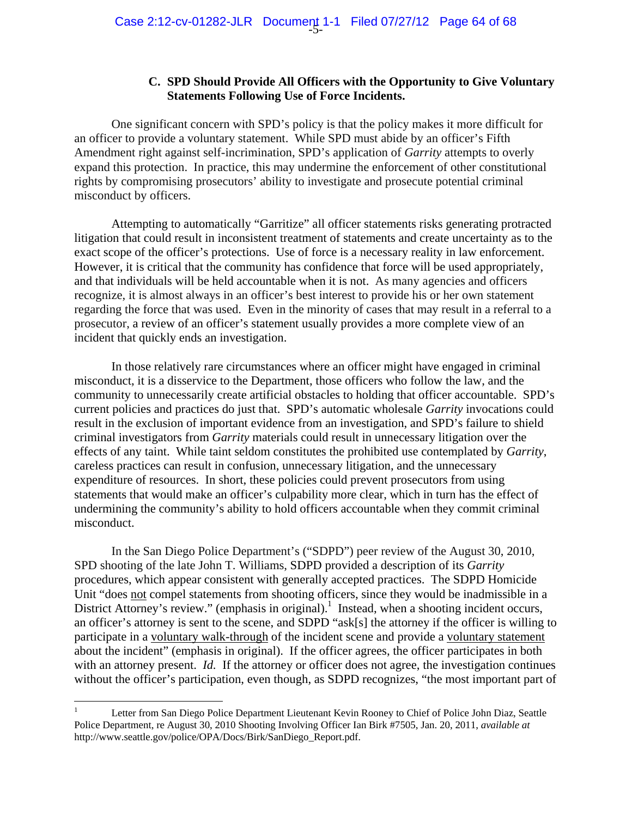#### **C. SPD Should Provide All Officers with the Opportunity to Give Voluntary Statements Following Use of Force Incidents.**

One significant concern with SPD's policy is that the policy makes it more difficult for an officer to provide a voluntary statement. While SPD must abide by an officer's Fifth Amendment right against self-incrimination, SPD's application of *Garrity* attempts to overly expand this protection. In practice, this may undermine the enforcement of other constitutional rights by compromising prosecutors' ability to investigate and prosecute potential criminal misconduct by officers.

Attempting to automatically "Garritize" all officer statements risks generating protracted litigation that could result in inconsistent treatment of statements and create uncertainty as to the exact scope of the officer's protections. Use of force is a necessary reality in law enforcement. However, it is critical that the community has confidence that force will be used appropriately, and that individuals will be held accountable when it is not. As many agencies and officers recognize, it is almost always in an officer's best interest to provide his or her own statement regarding the force that was used. Even in the minority of cases that may result in a referral to a prosecutor, a review of an officer's statement usually provides a more complete view of an incident that quickly ends an investigation.

In those relatively rare circumstances where an officer might have engaged in criminal misconduct, it is a disservice to the Department, those officers who follow the law, and the community to unnecessarily create artificial obstacles to holding that officer accountable. SPD's current policies and practices do just that. SPD's automatic wholesale *Garrity* invocations could result in the exclusion of important evidence from an investigation, and SPD's failure to shield criminal investigators from *Garrity* materials could result in unnecessary litigation over the effects of any taint. While taint seldom constitutes the prohibited use contemplated by *Garrity*, careless practices can result in confusion, unnecessary litigation, and the unnecessary expenditure of resources. In short, these policies could prevent prosecutors from using statements that would make an officer's culpability more clear, which in turn has the effect of undermining the community's ability to hold officers accountable when they commit criminal misconduct.

In the San Diego Police Department's ("SDPD") peer review of the August 30, 2010, SPD shooting of the late John T. Williams, SDPD provided a description of its *Garrity* procedures, which appear consistent with generally accepted practices. The SDPD Homicide Unit "does not compel statements from shooting officers, since they would be inadmissible in a District Attorney's review." (emphasis in original).<sup>1</sup> Instead, when a shooting incident occurs, an officer's attorney is sent to the scene, and SDPD "ask[s] the attorney if the officer is willing to participate in a voluntary walk-through of the incident scene and provide a voluntary statement about the incident" (emphasis in original). If the officer agrees, the officer participates in both with an attorney present. *Id.* If the attorney or officer does not agree, the investigation continues without the officer's participation, even though, as SDPD recognizes, "the most important part of

 $\frac{1}{1}$  Letter from San Diego Police Department Lieutenant Kevin Rooney to Chief of Police John Diaz, Seattle Police Department, re August 30, 2010 Shooting Involving Officer Ian Birk #7505, Jan. 20, 2011, *available at* http://www.seattle.gov/police/OPA/Docs/Birk/SanDiego\_Report.pdf.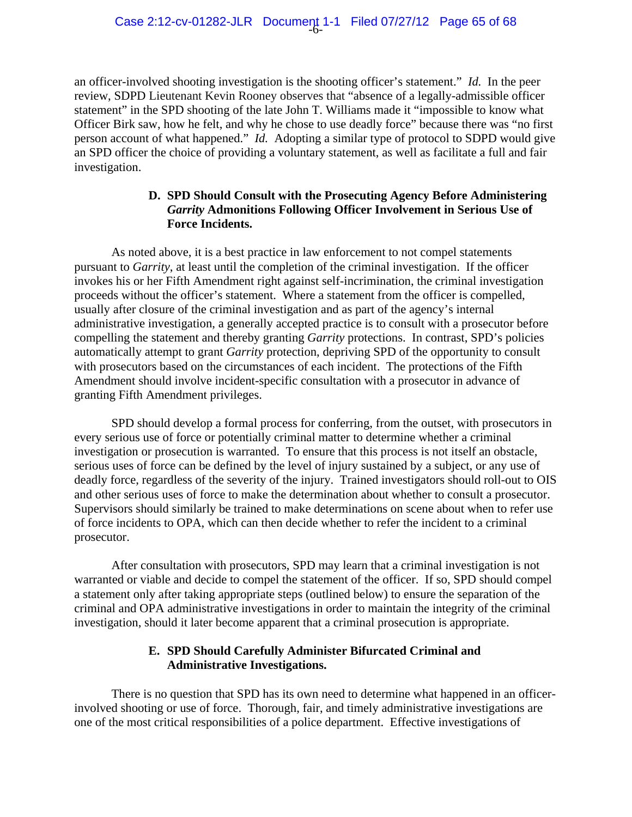an officer-involved shooting investigation is the shooting officer's statement." *Id.* In the peer review, SDPD Lieutenant Kevin Rooney observes that "absence of a legally-admissible officer statement" in the SPD shooting of the late John T. Williams made it "impossible to know what Officer Birk saw, how he felt, and why he chose to use deadly force" because there was "no first person account of what happened." *Id.* Adopting a similar type of protocol to SDPD would give an SPD officer the choice of providing a voluntary statement, as well as facilitate a full and fair investigation.

### **D. SPD Should Consult with the Prosecuting Agency Before Administering**  *Garrity* **Admonitions Following Officer Involvement in Serious Use of Force Incidents.**

 As noted above, it is a best practice in law enforcement to not compel statements pursuant to *Garrity*, at least until the completion of the criminal investigation. If the officer invokes his or her Fifth Amendment right against self-incrimination, the criminal investigation proceeds without the officer's statement. Where a statement from the officer is compelled, usually after closure of the criminal investigation and as part of the agency's internal administrative investigation, a generally accepted practice is to consult with a prosecutor before compelling the statement and thereby granting *Garrity* protections. In contrast, SPD's policies automatically attempt to grant *Garrity* protection, depriving SPD of the opportunity to consult with prosecutors based on the circumstances of each incident. The protections of the Fifth Amendment should involve incident-specific consultation with a prosecutor in advance of granting Fifth Amendment privileges.

 SPD should develop a formal process for conferring, from the outset, with prosecutors in every serious use of force or potentially criminal matter to determine whether a criminal investigation or prosecution is warranted. To ensure that this process is not itself an obstacle, serious uses of force can be defined by the level of injury sustained by a subject, or any use of deadly force, regardless of the severity of the injury. Trained investigators should roll-out to OIS and other serious uses of force to make the determination about whether to consult a prosecutor. Supervisors should similarly be trained to make determinations on scene about when to refer use of force incidents to OPA, which can then decide whether to refer the incident to a criminal prosecutor.

 After consultation with prosecutors, SPD may learn that a criminal investigation is not warranted or viable and decide to compel the statement of the officer. If so, SPD should compel a statement only after taking appropriate steps (outlined below) to ensure the separation of the criminal and OPA administrative investigations in order to maintain the integrity of the criminal investigation, should it later become apparent that a criminal prosecution is appropriate.

### **E. SPD Should Carefully Administer Bifurcated Criminal and Administrative Investigations.**

 There is no question that SPD has its own need to determine what happened in an officerinvolved shooting or use of force. Thorough, fair, and timely administrative investigations are one of the most critical responsibilities of a police department. Effective investigations of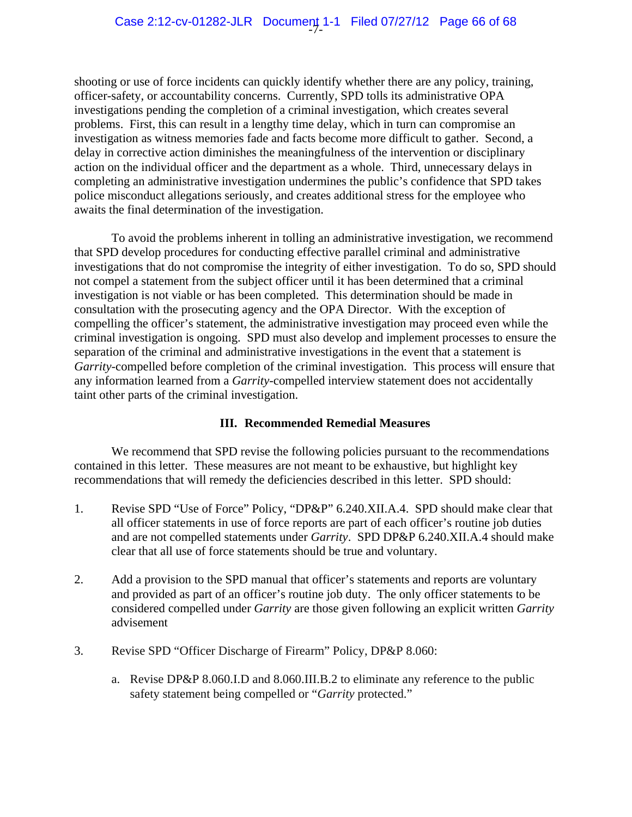shooting or use of force incidents can quickly identify whether there are any policy, training, officer-safety, or accountability concerns. Currently, SPD tolls its administrative OPA investigations pending the completion of a criminal investigation, which creates several problems. First, this can result in a lengthy time delay, which in turn can compromise an investigation as witness memories fade and facts become more difficult to gather. Second, a delay in corrective action diminishes the meaningfulness of the intervention or disciplinary action on the individual officer and the department as a whole. Third, unnecessary delays in completing an administrative investigation undermines the public's confidence that SPD takes police misconduct allegations seriously, and creates additional stress for the employee who awaits the final determination of the investigation.

 To avoid the problems inherent in tolling an administrative investigation, we recommend that SPD develop procedures for conducting effective parallel criminal and administrative investigations that do not compromise the integrity of either investigation. To do so, SPD should not compel a statement from the subject officer until it has been determined that a criminal investigation is not viable or has been completed. This determination should be made in consultation with the prosecuting agency and the OPA Director. With the exception of compelling the officer's statement, the administrative investigation may proceed even while the criminal investigation is ongoing. SPD must also develop and implement processes to ensure the separation of the criminal and administrative investigations in the event that a statement is *Garrity-*compelled before completion of the criminal investigation. This process will ensure that any information learned from a *Garrity*-compelled interview statement does not accidentally taint other parts of the criminal investigation.

### **III. Recommended Remedial Measures**

We recommend that SPD revise the following policies pursuant to the recommendations contained in this letter. These measures are not meant to be exhaustive, but highlight key recommendations that will remedy the deficiencies described in this letter. SPD should:

- 1. Revise SPD "Use of Force" Policy, "DP&P" 6.240.XII.A.4. SPD should make clear that all officer statements in use of force reports are part of each officer's routine job duties and are not compelled statements under *Garrity*. SPD DP&P 6.240.XII.A.4 should make clear that all use of force statements should be true and voluntary.
- 2. Add a provision to the SPD manual that officer's statements and reports are voluntary and provided as part of an officer's routine job duty. The only officer statements to be considered compelled under *Garrity* are those given following an explicit written *Garrity* advisement
- 3. Revise SPD "Officer Discharge of Firearm" Policy, DP&P 8.060:
	- a. Revise DP&P 8.060.I.D and 8.060.III.B.2 to eliminate any reference to the public safety statement being compelled or "*Garrity* protected."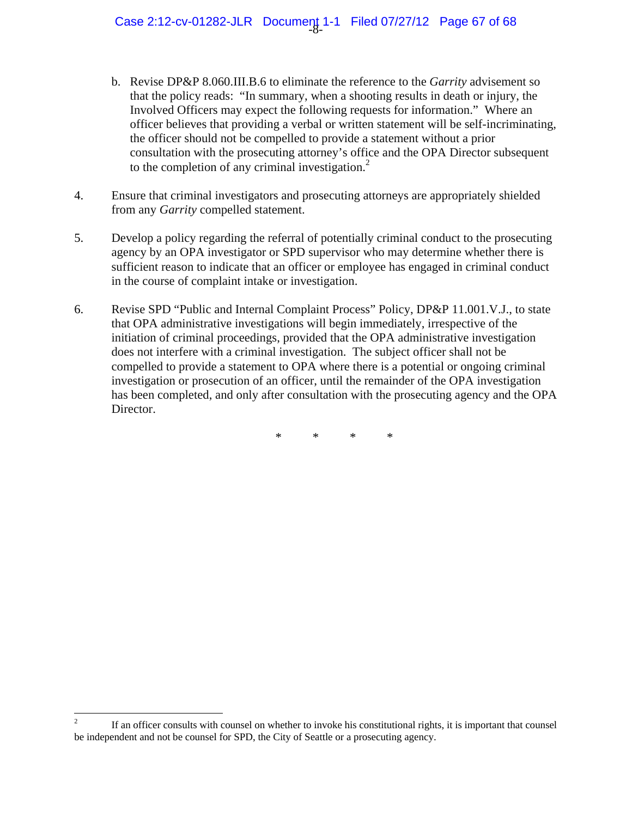Case 2:12-cv-01282-JLR Document 1-1 Filed 07/27/12 Page 67 of 68

- b. Revise DP&P 8.060.III.B.6 to eliminate the reference to the *Garrity* advisement so that the policy reads: "In summary, when a shooting results in death or injury, the Involved Officers may expect the following requests for information." Where an officer believes that providing a verbal or written statement will be self-incriminating, the officer should not be compelled to provide a statement without a prior consultation with the prosecuting attorney's office and the OPA Director subsequent to the completion of any criminal investigation.<sup>2</sup>
- 4. Ensure that criminal investigators and prosecuting attorneys are appropriately shielded from any *Garrity* compelled statement.
- 5. Develop a policy regarding the referral of potentially criminal conduct to the prosecuting agency by an OPA investigator or SPD supervisor who may determine whether there is sufficient reason to indicate that an officer or employee has engaged in criminal conduct in the course of complaint intake or investigation.
- 6. Revise SPD "Public and Internal Complaint Process" Policy, DP&P 11.001.V.J., to state that OPA administrative investigations will begin immediately, irrespective of the initiation of criminal proceedings, provided that the OPA administrative investigation does not interfere with a criminal investigation. The subject officer shall not be compelled to provide a statement to OPA where there is a potential or ongoing criminal investigation or prosecution of an officer, until the remainder of the OPA investigation has been completed, and only after consultation with the prosecuting agency and the OPA Director.

\* \* \* \*

 $\frac{1}{2}$  If an officer consults with counsel on whether to invoke his constitutional rights, it is important that counsel be independent and not be counsel for SPD, the City of Seattle or a prosecuting agency.